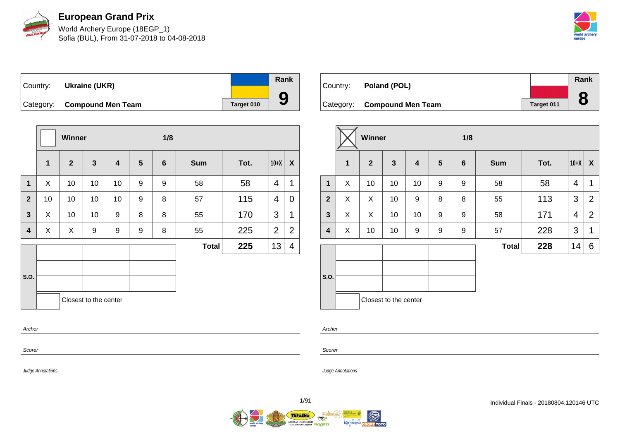

World Archery Europe (18EGP\_1) Sofia (BUL), From 31-07-2018 to 04-08-2018



Country: **Ukraine (UKR)** Category: **Compound Men Team Target 010 Rank 9**

|                  |              | Winner       |                       |    |                | 1/8            |              |      |                |                  |  |  |
|------------------|--------------|--------------|-----------------------|----|----------------|----------------|--------------|------|----------------|------------------|--|--|
|                  | $\mathbf{1}$ | $\mathbf{2}$ | $\mathbf{3}$          | 4  | $5\phantom{1}$ | $6\phantom{1}$ | <b>Sum</b>   | Tot. | $10+X$         | $\boldsymbol{X}$ |  |  |
| $\mathbf{1}$     | X            | 10           | 10                    | 10 | 9              | 9              | 58           | 58   | 4              | 1                |  |  |
| $\overline{2}$   | 10           | 10           | 10                    | 10 | 9              | 8              | 57           | 115  | 4              | 0                |  |  |
| $\mathbf{3}$     | X            | 10           | 10                    | 9  | 8              | 8              | 55           | 170  | 3              | 1                |  |  |
| 4                | X            | X            | 9                     | 9  | 9              | 8              | 55           | 225  | $\overline{2}$ | $\overline{2}$   |  |  |
|                  |              |              |                       |    |                |                | <b>Total</b> | 225  | 13             | 4                |  |  |
| S.O.             |              |              | Closest to the center |    |                |                |              |      |                |                  |  |  |
| Archer<br>Scorer |              |              |                       |    |                |                |              |      |                |                  |  |  |

| Country: | Poland (POL)                |            | Rank |
|----------|-----------------------------|------------|------|
|          |                             |            | O    |
|          | Category: Compound Men Team | Target 011 | O    |

|                |             | Winner         |                       |                  |                  | 1/8             |              |      |                |                  |  |  |
|----------------|-------------|----------------|-----------------------|------------------|------------------|-----------------|--------------|------|----------------|------------------|--|--|
|                | $\mathbf 1$ | $\overline{2}$ | $\mathbf{3}$          | $\boldsymbol{4}$ | 5                | $6\phantom{1}6$ | <b>Sum</b>   | Tot. | $10+X$         | $\boldsymbol{X}$ |  |  |
| $\mathbf{1}$   | X           | 10             | 10                    | 10               | $\boldsymbol{9}$ | 9               | 58           | 58   | $\overline{4}$ | 1                |  |  |
| $\overline{2}$ | X           | X              | 10                    | 9                | 8                | 8               | 55           | 113  | 3              | $\overline{2}$   |  |  |
| $\mathbf{3}$   | X           | X              | 10                    | 10               | 9                | 9               | 58           | 171  | 4              | $\overline{2}$   |  |  |
| 4              | X           | 10             | 10                    | 9                | 9                | 9               | 57           | 228  | 3              | 1                |  |  |
|                |             |                |                       |                  |                  |                 | <b>Total</b> | 228  | 14             | 6                |  |  |
|                |             |                |                       |                  |                  |                 |              |      |                |                  |  |  |
| S.O.           |             |                |                       |                  |                  |                 |              |      |                |                  |  |  |
|                |             |                | Closest to the center |                  |                  |                 |              |      |                |                  |  |  |

Archer

Scorer

Judge Annotations

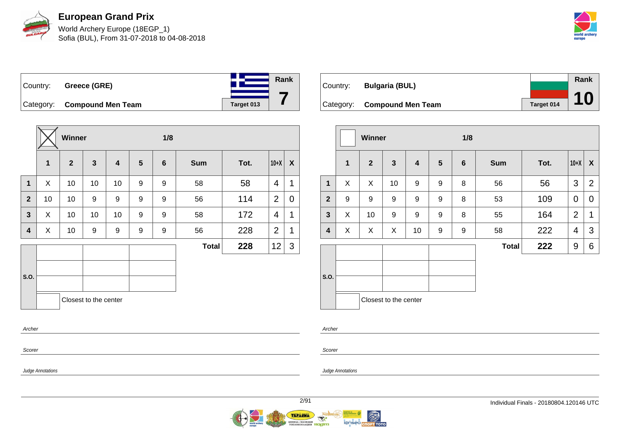

World Archery Europe (18EGP\_1) Sofia (BUL), From 31-07-2018 to 04-08-2018



## Country: **Greece (GRE)** Category: **Compound Men Team Target 013**

|                |    | Winner         |                       |                         |   | 1/8             |              |      |                |                           |
|----------------|----|----------------|-----------------------|-------------------------|---|-----------------|--------------|------|----------------|---------------------------|
|                | 1  | $\overline{2}$ | $\mathbf{3}$          | $\overline{\mathbf{4}}$ | 5 | $6\phantom{1}6$ | <b>Sum</b>   | Tot. | $10+X$         | $\boldsymbol{\mathsf{X}}$ |
| $\mathbf{1}$   | X  | 10             | 10                    | 10                      | 9 | 9               | 58           | 58   | 4              | 1                         |
| $\overline{2}$ | 10 | 10             | 9                     | 9                       | 9 | 9               | 56           | 114  | $\overline{2}$ | 0                         |
| $\mathbf{3}$   | X  | 10             | 10                    | 10                      | 9 | 9               | 58           | 172  | 4              | 1                         |
| 4              | X  | 10             | 9                     | 9                       | 9 | 9               | 56           | 228  | $\overline{2}$ | 1                         |
|                |    |                |                       |                         |   |                 | <b>Total</b> | 228  | 12             | 3                         |
|                |    |                |                       |                         |   |                 |              |      |                |                           |
| S.O.           |    |                |                       |                         |   |                 |              |      |                |                           |
|                |    |                | Closest to the center |                         |   |                 |              |      |                |                           |
| Archer         |    |                |                       |                         |   |                 |              |      |                |                           |
| Scorer         |    |                |                       |                         |   |                 |              |      |                |                           |

| Country: | <b>Bulgaria (BUL)</b>       |            | Rank |
|----------|-----------------------------|------------|------|
|          |                             |            |      |
|          | Category: Compound Men Team | Target 014 |      |

|                |              | <b>Winner</b>  |                         |                         |                | 1/8             |              |      |                |                |
|----------------|--------------|----------------|-------------------------|-------------------------|----------------|-----------------|--------------|------|----------------|----------------|
|                | $\mathbf{1}$ | $\overline{2}$ | $\overline{\mathbf{3}}$ | $\overline{\mathbf{4}}$ | $5\phantom{1}$ | $6\phantom{1}6$ | <b>Sum</b>   | Tot. | $10+X$         | $\mathsf{X}$   |
| $\mathbf{1}$   | X            | X              | 10                      | 9                       | 9              | 8               | 56           | 56   | 3              | $\overline{2}$ |
| $\overline{2}$ | 9            | 9              | 9                       | 9                       | 9              | 8               | 53           | 109  | $\mathbf 0$    | 0              |
| $\mathbf{3}$   | X            | 10             | 9                       | 9                       | 9              | 8               | 55           | 164  | $\overline{2}$ | 1              |
| 4              | X            | X              | X                       | 10                      | 9              | 9               | 58           | 222  | 4              | 3              |
|                |              |                |                         |                         |                |                 | <b>Total</b> | 222  | 9              | 6              |
| S.O.           |              |                | Closest to the center   |                         |                |                 |              |      |                |                |

Archer

Scorer

Judge Annotations

Judge Annotations

**Rank**

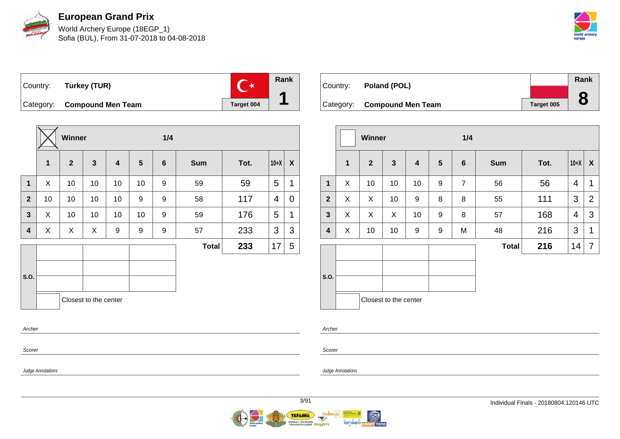

World Archery Europe (18EGP\_1) Sofia (BUL), From 31-07-2018 to 04-08-2018



 $\overline{C^*}$ Country: **Turkey (TUR)** Category: **Compound Men Team Target 004** 

**Winner 1/4 1 2 3 4 5 6 Sum Tot. 10+X X 1**  $\mid$  X  $\mid$  10  $\mid$  10  $\mid$  10  $\mid$  9  $\mid$  59  $\mid$  59  $\mid$  5  $\mid$  1 **2** | 10 | 10 | 10 | 9 | 9 | 9 | 58 | 117 | 4 | 0 **3**  $\mid$  X  $\mid$  10  $\mid$  10  $\mid$  10  $\mid$  9  $\mid$  59  $\mid$  176  $\mid$  5  $\mid$  1 **4** X X X 9 9 9 57 233 3 3 **S.O. Total 233**  $|17|$  5 Closest to the center Archer Scorer

| Country: | Poland (POL)                |            | Rank |
|----------|-----------------------------|------------|------|
|          |                             |            |      |
|          | Category: Compound Men Team | Target 005 |      |

|              |              | <b>Winner</b>  |                       |                         |                | 1/4             |              |      |        |                  |  |
|--------------|--------------|----------------|-----------------------|-------------------------|----------------|-----------------|--------------|------|--------|------------------|--|
|              | $\mathbf{1}$ | $\overline{2}$ | $\mathbf{3}$          | $\overline{\mathbf{4}}$ | $5\phantom{1}$ | $6\phantom{1}6$ | <b>Sum</b>   | Tot. | $10+X$ | $\boldsymbol{X}$ |  |
| $\mathbf{1}$ | X            | 10             | 10                    | 10                      | 9              | $\overline{7}$  | 56           | 56   | 4      | 1                |  |
| $\mathbf{2}$ | X            | X              | 10                    | 9                       | 8              | 8               | 55           | 111  | 3      | $\overline{2}$   |  |
| $\mathbf{3}$ | X            | X              | X                     | 10                      | 9              | 8               | 57           | 168  | 4      | 3                |  |
| 4            | X            | 10             | 10                    | 9                       | 9              | M               | 48           | 216  | 3      | 1                |  |
|              |              |                |                       |                         |                |                 | <b>Total</b> | 216  | 14     | $\overline{7}$   |  |
| S.O.         |              |                |                       |                         |                |                 |              |      |        |                  |  |
|              |              |                | Closest to the center |                         |                |                 |              |      |        |                  |  |

Archer

Scorer

Judge Annotations

Judge Annotations

**Rank**

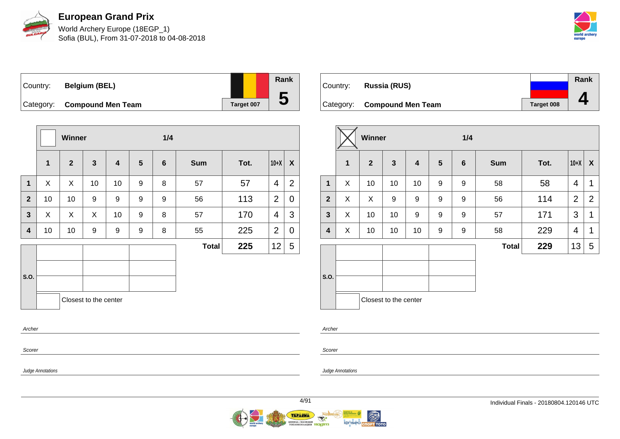

World Archery Europe (18EGP\_1) Sofia (BUL), From 31-07-2018 to 04-08-2018



Country: **Belgium (BEL)** Category: **Compound Men Team Target 007** 

|                |              | Winner       |                       |                         |   | 1/4            |              |      |                |                           |  |  |
|----------------|--------------|--------------|-----------------------|-------------------------|---|----------------|--------------|------|----------------|---------------------------|--|--|
|                | $\mathbf{1}$ | $\mathbf{2}$ | $\mathbf{3}$          | $\overline{\mathbf{4}}$ | 5 | $6\phantom{1}$ | <b>Sum</b>   | Tot. | $10+X$         | $\boldsymbol{\mathsf{X}}$ |  |  |
| $\mathbf{1}$   | X            | X            | 10                    | 10                      | 9 | 8              | 57           | 57   | 4              | $\overline{2}$            |  |  |
| $\overline{2}$ | 10           | 10           | 9                     | 9                       | 9 | 9              | 56           | 113  | $\overline{2}$ | 0                         |  |  |
| $\mathbf{3}$   | X            | X            | X                     | 10                      | 9 | 8              | 57           | 170  | 4              | 3                         |  |  |
| 4              | 10           | 10           | 9                     | 9                       | 9 | 8              | 55           | 225  | $\overline{2}$ | $\mathbf 0$               |  |  |
|                |              |              |                       |                         |   |                | <b>Total</b> | 225  | 12             | 5                         |  |  |
| S.O.           |              |              |                       |                         |   |                |              |      |                |                           |  |  |
|                |              |              | Closest to the center |                         |   |                |              |      |                |                           |  |  |
| Archer         |              |              |                       |                         |   |                |              |      |                |                           |  |  |
| Scorer         |              |              |                       |                         |   |                |              |      |                |                           |  |  |

|          |                             |                   | Rank |
|----------|-----------------------------|-------------------|------|
| Country: | <b>Russia (RUS)</b>         |                   |      |
|          |                             |                   |      |
|          | Category: Compound Men Team | <b>Target 008</b> |      |

|                         |              | Winner       |                       |                         |   |                 |              |      |                |                  |
|-------------------------|--------------|--------------|-----------------------|-------------------------|---|-----------------|--------------|------|----------------|------------------|
|                         | $\mathbf{1}$ | $\mathbf{2}$ | $\mathbf{3}$          | $\overline{\mathbf{4}}$ | 5 | $6\phantom{1}6$ | <b>Sum</b>   | Tot. | $10+X$         | $\boldsymbol{X}$ |
| 1                       | X            | 10           | 10                    | 10                      | 9 | 9               | 58           | 58   | 4              | 1                |
| $\mathbf{2}$            | X            | X            | 9                     | 9                       | 9 | 9               | 56           | 114  | $\overline{2}$ | $\overline{2}$   |
| $\mathbf{3}$            | X            | 10           | 10                    | 9                       | 9 | 9               | 57           | 171  | 3              | 1                |
| $\overline{\mathbf{4}}$ | X            | 10           | 10                    | 10                      | 9 | 9               | 58           | 229  | 4              | 1                |
|                         |              |              |                       |                         |   |                 | <b>Total</b> | 229  | 13             | 5                |
|                         |              |              |                       |                         |   |                 |              |      |                |                  |
| S.O.                    |              |              |                       |                         |   |                 |              |      |                |                  |
|                         |              |              | Closest to the center |                         |   |                 |              |      |                |                  |

Archer

Scorer

Judge Annotations

Judge Annotations

**Rank**

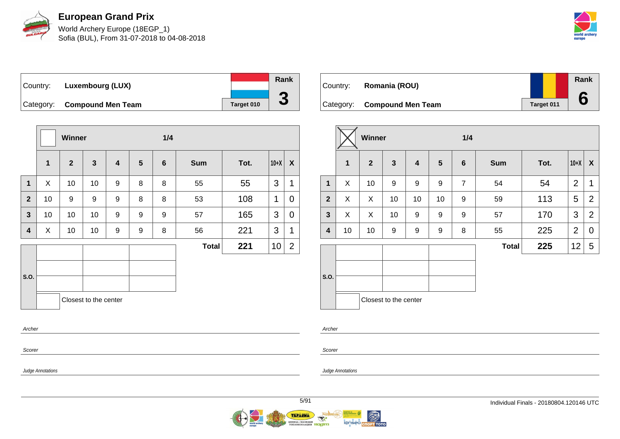

World Archery Europe (18EGP\_1) Sofia (BUL), From 31-07-2018 to 04-08-2018



| ∣Country: | Luxembourg (LUX)            |            | <b>Rank</b> |
|-----------|-----------------------------|------------|-------------|
|           |                             |            |             |
|           | Category: Compound Men Team | Target 010 | J           |

|                |              | <b>Winner</b>  |                         |                         |                 | 1/4            |              |      |        |                |
|----------------|--------------|----------------|-------------------------|-------------------------|-----------------|----------------|--------------|------|--------|----------------|
|                | $\mathbf{1}$ | $\overline{2}$ | $\overline{\mathbf{3}}$ | $\overline{\mathbf{4}}$ | $5\phantom{.0}$ | $6\phantom{1}$ | <b>Sum</b>   | Tot. | $10+X$ | X              |
| $\mathbf{1}$   | X            | 10             | 10                      | 9                       | 8               | 8              | 55           | 55   | 3      | 1              |
| $\overline{2}$ | 10           | 9              | $\boldsymbol{9}$        | 9                       | 8               | 8              | 53           | 108  | 1      | 0              |
| 3              | 10           | 10             | 10                      | 9                       | 9               | 9              | 57           | 165  | 3      | 0              |
| 4              | X            | 10             | 10                      | 9                       | 9               | 8              | 56           | 221  | 3      | 1              |
|                |              |                |                         |                         |                 |                | <b>Total</b> | 221  | 10     | $\overline{c}$ |
|                |              |                |                         |                         |                 |                |              |      |        |                |
| S.O.           |              |                |                         |                         |                 |                |              |      |        |                |
|                |              |                | Closest to the center   |                         |                 |                |              |      |        |                |
| Archer         |              |                |                         |                         |                 |                |              |      |        |                |

| Country: | Romania (ROU)               |            | Rank |
|----------|-----------------------------|------------|------|
|          | Category: Compound Men Team | Target 011 |      |

|                         |    | <b>Winner</b>  |                       |                  |                | 1/4            |              |      |                |                  |  |  |
|-------------------------|----|----------------|-----------------------|------------------|----------------|----------------|--------------|------|----------------|------------------|--|--|
|                         | 1  | $\overline{2}$ | $\mathbf{3}$          | $\boldsymbol{4}$ | $5\phantom{1}$ | $6\phantom{1}$ | <b>Sum</b>   | Tot. | $10+X$         | $\boldsymbol{X}$ |  |  |
| $\mathbf{1}$            | X  | 10             | 9                     | 9                | 9              | $\overline{7}$ | 54           | 54   | $\overline{2}$ | 1                |  |  |
| $\overline{2}$          | X  | X              | 10                    | 10               | 10             | 9              | 59           | 113  | 5              | 2                |  |  |
| $\overline{\mathbf{3}}$ | X  | X              | 10                    | 9                | 9              | 9              | 57           | 170  | 3              | 2                |  |  |
| 4                       | 10 | 10             | 9                     | 9                | 9              | 8              | 55           | 225  | $\overline{2}$ | $\mathbf 0$      |  |  |
|                         |    |                |                       |                  |                |                | <b>Total</b> | 225  | 12             | 5                |  |  |
| S.O.                    |    |                |                       |                  |                |                |              |      |                |                  |  |  |
|                         |    |                | Closest to the center |                  |                |                |              |      |                |                  |  |  |

Archer

Scorer

Judge Annotations

Scorer

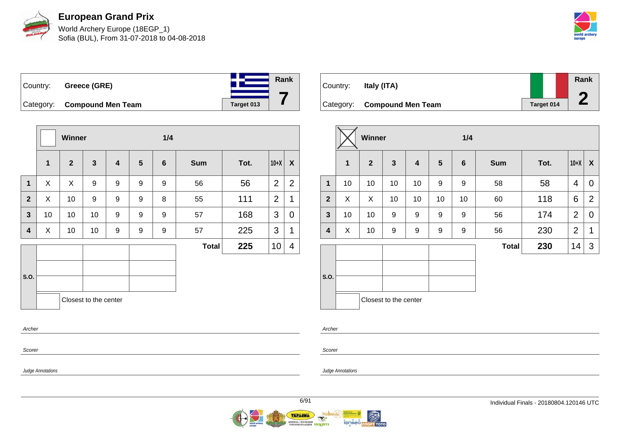

World Archery Europe (18EGP\_1) Sofia (BUL), From 31-07-2018 to 04-08-2018



## Country: **Greece (GRE)** Category: **Compound Men Team Target 013**

|              |              | Winner       |                         |   |   | 1/4            |              |      |                |                  |
|--------------|--------------|--------------|-------------------------|---|---|----------------|--------------|------|----------------|------------------|
|              | $\mathbf{1}$ | $\mathbf{2}$ | $\overline{\mathbf{3}}$ | 4 | 5 | $6\phantom{1}$ | <b>Sum</b>   | Tot. | $10+X$         | $\boldsymbol{X}$ |
| $\mathbf{1}$ | X            | X            | 9                       | 9 | 9 | 9              | 56           | 56   | $\overline{2}$ | $\overline{2}$   |
| $\mathbf{2}$ | X            | 10           | 9                       | 9 | 9 | 8              | 55           | 111  | $\overline{2}$ | 1                |
| $\mathbf{3}$ | 10           | 10           | 10                      | 9 | 9 | 9              | 57           | 168  | 3              | 0                |
| 4            | X            | 10           | 10                      | 9 | 9 | 9              | 57           | 225  | 3              | 1                |
|              |              |              |                         |   |   |                | <b>Total</b> | 225  | 10             | 4                |
| S.O.         |              |              |                         |   |   |                |              |      |                |                  |
| Archer       |              |              | Closest to the center   |   |   |                |              |      |                |                  |
| Scorer       |              |              |                         |   |   |                |              |      |                |                  |

| Country: | Italy (ITA)                 |                   | Rank |
|----------|-----------------------------|-------------------|------|
|          |                             |                   |      |
|          | Category: Compound Men Team | <b>Target 014</b> |      |

|              |    | Winner         |                       |                         |    | 1/4             |              |      |                |                |
|--------------|----|----------------|-----------------------|-------------------------|----|-----------------|--------------|------|----------------|----------------|
|              | 1  | $\overline{2}$ | $\mathbf{3}$          | $\overline{\mathbf{4}}$ | 5  | $6\phantom{1}6$ | <b>Sum</b>   | Tot. | $10+X$         | X              |
| $\mathbf{1}$ | 10 | 10             | 10                    | 10                      | 9  | 9               | 58           | 58   | 4              | $\overline{0}$ |
| $\mathbf{2}$ | X  | X              | 10                    | 10                      | 10 | 10              | 60           | 118  | 6              | 2              |
| $\mathbf{3}$ | 10 | 10             | 9                     | $\boldsymbol{9}$        | 9  | 9               | 56           | 174  | $\overline{2}$ | 0              |
| 4            | X  | 10             | 9                     | 9                       | 9  | 9               | 56           | 230  | $\overline{2}$ | 1              |
|              |    |                |                       |                         |    |                 | <b>Total</b> | 230  | 14             | 3              |
| S.O.         |    |                |                       |                         |    |                 |              |      |                |                |
|              |    |                | Closest to the center |                         |    |                 |              |      |                |                |

Archer

Scorer

Judge Annotations

Judge Annotations

**Rank**

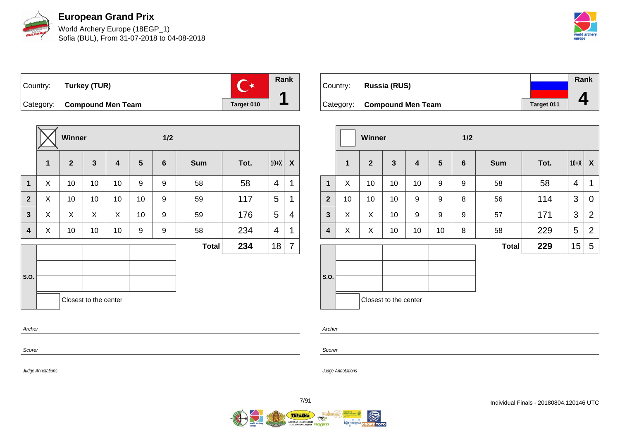

World Archery Europe (18EGP\_1) Sofia (BUL), From 31-07-2018 to 04-08-2018



 $\overline{C^*}$ Country: **Turkey (TUR)** Category: **Compound Men Team Target 010** 

**Winner 1/2 1 2 3 4 5 6 Sum Tot. 10+X X 1** X 10 10 10 9 9 58 58 4 1 **2**  $\mid$  X  $\mid$  10  $\mid$  10  $\mid$  10  $\mid$  9  $\mid$  59  $\mid$  117  $\mid$  5  $\mid$  1 **3**  $\mid$  X  $\mid$  X  $\mid$  X  $\mid$  10  $\mid$  9  $\mid$  59  $\mid$  176  $\mid$  5  $\mid$  4 **4**  $\mid$  X  $\mid$  10  $\mid$  10  $\mid$  9  $\mid$  9  $\mid$  58  $\mid$  234  $\mid$  4  $\mid$  1 **S.O. Total 234**  $|18|7$ Closest to the center Archer

Country: **Russia (RUS)** Category: **Compound Men Team Target 011 Rank 4**

|                         |              | <b>Winner</b>  |                       |                         |                | 1/2             |              |      |        |                |
|-------------------------|--------------|----------------|-----------------------|-------------------------|----------------|-----------------|--------------|------|--------|----------------|
|                         | $\mathbf{1}$ | $\overline{2}$ | $\mathbf{3}$          | $\overline{\mathbf{4}}$ | $5\phantom{1}$ | $6\phantom{1}6$ | <b>Sum</b>   | Tot. | $10+X$ | X              |
| $\mathbf{1}$            | X            | 10             | 10                    | 10                      | 9              | 9               | 58           | 58   | 4      | 1              |
| $\mathbf{2}$            | 10           | 10             | 10                    | 9                       | 9              | 8               | 56           | 114  | 3      | 0              |
| $\mathbf{3}$            | X            | X              | 10                    | 9                       | 9              | 9               | 57           | 171  | 3      | $\overline{2}$ |
| $\overline{\mathbf{4}}$ | X            | X              | 10                    | 10                      | 10             | 8               | 58           | 229  | 5      | $\overline{2}$ |
|                         |              |                |                       |                         |                |                 | <b>Total</b> | 229  | 15     | 5              |
| S.O.                    |              |                | Closest to the center |                         |                |                 |              |      |        |                |

Archer

Scorer

Judge Annotations

Scorer

Judge Annotations

**Rank**

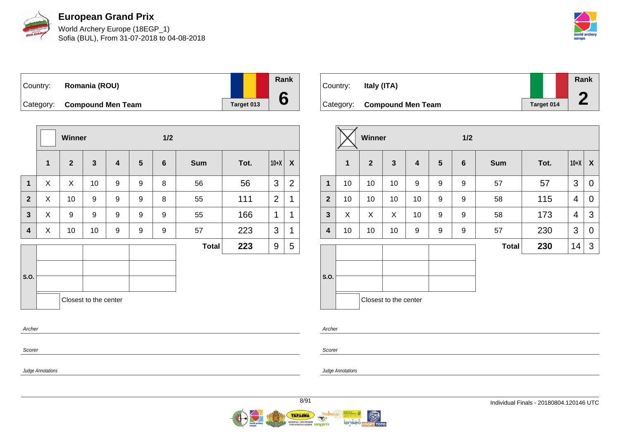

World Archery Europe (18EGP\_1) Sofia (BUL), From 31-07-2018 to 04-08-2018



Country: **Romania (ROU)** Category: **Compound Men Team Target 013** 

|                  |              | Winner       |                       |                  |                 | 1/2            |              |      |                |                  |
|------------------|--------------|--------------|-----------------------|------------------|-----------------|----------------|--------------|------|----------------|------------------|
|                  | $\mathbf{1}$ | $\mathbf{2}$ | $\mathbf{3}$          | $\boldsymbol{4}$ | $5\phantom{.0}$ | $6\phantom{1}$ | <b>Sum</b>   | Tot. | $10+X$         | $\boldsymbol{X}$ |
| $\mathbf{1}$     | X            | X            | 10                    | 9                | 9               | 8              | 56           | 56   | 3              | $\overline{2}$   |
| $\overline{2}$   | X            | 10           | 9                     | 9                | 9               | 8              | 55           | 111  | $\overline{2}$ | 1                |
| 3                | X            | 9            | 9                     | 9                | 9               | 9              | 55           | 166  | 1              | 1                |
| 4                | X            | 10           | 10                    | 9                | 9               | 9              | 57           | 223  | 3              | 1                |
|                  |              |              |                       |                  |                 |                | <b>Total</b> | 223  | 9              | 5                |
| S.O.             |              |              | Closest to the center |                  |                 |                |              |      |                |                  |
| Archer<br>Scorer |              |              |                       |                  |                 |                |              |      |                |                  |

| Country: | Italy (ITA)                 |            | Rank |
|----------|-----------------------------|------------|------|
|          | Category: Compound Men Team | Target 014 |      |
|          |                             |            |      |

|                |    | Winner         |                       |                         |   | 1/2             |              |      |        |   |
|----------------|----|----------------|-----------------------|-------------------------|---|-----------------|--------------|------|--------|---|
|                | 1  | $\overline{2}$ | $\mathbf{3}$          | $\overline{\mathbf{4}}$ | 5 | $6\phantom{1}6$ | <b>Sum</b>   | Tot. | $10+X$ | X |
| $\mathbf{1}$   | 10 | 10             | 10                    | 9                       | 9 | 9               | 57           | 57   | 3      | 0 |
| $\overline{2}$ | 10 | 10             | 10                    | 10                      | 9 | 9               | 58           | 115  | 4      | 0 |
| $\mathbf{3}$   | X  | X              | X                     | 10                      | 9 | 9               | 58           | 173  | 4      | 3 |
| 4              | 10 | 10             | 10                    | 9                       | 9 | 9               | 57           | 230  | 3      | 0 |
|                |    |                |                       |                         |   |                 | <b>Total</b> | 230  | 14     | 3 |
|                |    |                |                       |                         |   |                 |              |      |        |   |
| S.O.           |    |                |                       |                         |   |                 |              |      |        |   |
|                |    |                |                       |                         |   |                 |              |      |        |   |
|                |    |                | Closest to the center |                         |   |                 |              |      |        |   |

Archer

Scorer

Judge Annotations

Judge Annotations

**Rank**

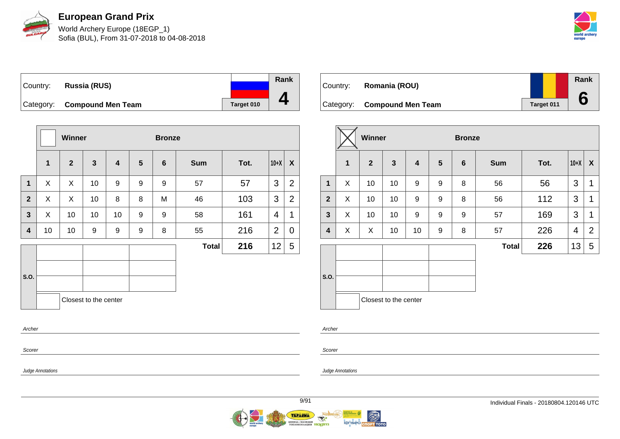

World Archery Europe (18EGP\_1) Sofia (BUL), From 31-07-2018 to 04-08-2018



| ∣Country: | Russia (RUS)                |            | Rank |
|-----------|-----------------------------|------------|------|
|           |                             |            |      |
|           | Category: Compound Men Team | Target 010 |      |

|                |              | <b>Winner</b>  |                       |                         |                | <b>Bronze</b>  |              |      |                |                  |
|----------------|--------------|----------------|-----------------------|-------------------------|----------------|----------------|--------------|------|----------------|------------------|
|                | $\mathbf{1}$ | $\overline{2}$ | $\mathbf{3}$          | $\overline{\mathbf{4}}$ | $5\phantom{.}$ | $6\phantom{1}$ | <b>Sum</b>   | Tot. | $10+X$         | $\boldsymbol{X}$ |
| $\mathbf 1$    | X            | X              | 10                    | 9                       | 9              | 9              | 57           | 57   | 3              | $\overline{2}$   |
| $\overline{2}$ | X            | X              | 10                    | 8                       | 8              | M              | 46           | 103  | 3              | 2                |
| 3              | X            | 10             | 10                    | 10                      | 9              | 9              | 58           | 161  | 4              | 1                |
| 4              | 10           | 10             | 9                     | 9                       | 9              | 8              | 55           | 216  | $\overline{2}$ | 0                |
|                |              |                |                       |                         |                |                | <b>Total</b> | 216  | 12             | 5                |
|                |              |                |                       |                         |                |                |              |      |                |                  |
| S.O.           |              |                |                       |                         |                |                |              |      |                |                  |
|                |              |                | Closest to the center |                         |                |                |              |      |                |                  |
|                | Archer       |                |                       |                         |                |                |              |      |                |                  |

| Country: | Romania (ROU)               |            | <b>Rank</b> |
|----------|-----------------------------|------------|-------------|
|          | Category: Compound Men Team | Target 011 |             |

|                |              | Winner         |                         |                         |                  | <b>Bronze</b>   |              |      |        |                |
|----------------|--------------|----------------|-------------------------|-------------------------|------------------|-----------------|--------------|------|--------|----------------|
|                | $\mathbf{1}$ | $\overline{2}$ | $\overline{\mathbf{3}}$ | $\overline{\mathbf{4}}$ | $5\phantom{1}$   | $6\phantom{1}6$ | <b>Sum</b>   | Tot. | $10+X$ | X              |
| $\mathbf{1}$   | X            | 10             | 10                      | 9                       | 9                | 8               | 56           | 56   | 3      | 1              |
| $\overline{2}$ | X            | 10             | 10                      | 9                       | 9                | 8               | 56           | 112  | 3      | 1              |
| $\mathbf{3}$   | X            | 10             | 10                      | $\boldsymbol{9}$        | $\boldsymbol{9}$ | 9               | 57           | 169  | 3      | 1              |
| 4              | X            | X              | 10                      | 10                      | 9                | 8               | 57           | 226  | 4      | $\overline{2}$ |
|                |              |                |                         |                         |                  |                 | <b>Total</b> | 226  | 13     | 5              |
| S.O.           |              |                |                         |                         |                  |                 |              |      |        |                |
|                |              |                | Closest to the center   |                         |                  |                 |              |      |        |                |

Archer

Scorer

Judge Annotations

Scorer

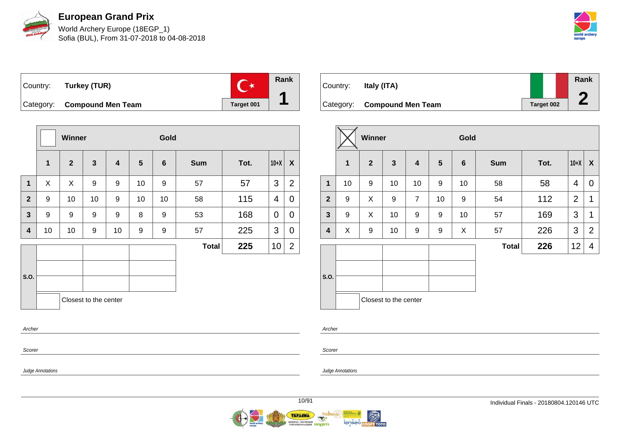

World Archery Europe (18EGP\_1) Sofia (BUL), From 31-07-2018 to 04-08-2018



 $\overline{C^*}$ Country: **Turkey (TUR)** Category: **Compound Men Team Target 001** 

|                  |              | Winner         |                         |                         |                | Gold             |              |      |        |                    |
|------------------|--------------|----------------|-------------------------|-------------------------|----------------|------------------|--------------|------|--------|--------------------|
|                  | $\mathbf{1}$ | $\overline{2}$ | $\overline{\mathbf{3}}$ | $\overline{\mathbf{4}}$ | $5\phantom{1}$ | $6\phantom{1}$   | <b>Sum</b>   | Tot. | $10+X$ | $\pmb{\mathsf{X}}$ |
| 1                | X            | X              | 9                       | 9                       | 10             | 9                | 57           | 57   | 3      | $\overline{2}$     |
| $\overline{2}$   | 9            | 10             | 10                      | 9                       | 10             | 10               | 58           | 115  | 4      | 0                  |
| $\mathbf{3}$     | 9            | 9              | 9                       | 9                       | 8              | 9                | 53           | 168  | 0      | 0                  |
| $\boldsymbol{4}$ | 10           | 10             | 9                       | 10                      | 9              | $\boldsymbol{9}$ | 57           | 225  | 3      | 0                  |
|                  |              |                |                         |                         |                |                  | <b>Total</b> | 225  | 10     | $\overline{2}$     |
|                  |              |                |                         |                         |                |                  |              |      |        |                    |
| S.O.             |              |                |                         |                         |                |                  |              |      |        |                    |
|                  |              |                | Closest to the center   |                         |                |                  |              |      |        |                    |
| Archer           |              |                |                         |                         |                |                  |              |      |        |                    |
| Scorer           |              |                |                         |                         |                |                  |              |      |        |                    |

Country: **Italy (ITA)** Category: **Compound Men Team Target 002 Rank 2**

|                |              | Winner         |                       |                         |                | Gold            |              |      |                |                |
|----------------|--------------|----------------|-----------------------|-------------------------|----------------|-----------------|--------------|------|----------------|----------------|
|                | $\mathbf{1}$ | $\overline{2}$ | $\mathbf{3}$          | $\overline{\mathbf{4}}$ | $5\phantom{1}$ | $6\phantom{1}6$ | <b>Sum</b>   | Tot. | $10+X$         | X              |
| $\mathbf{1}$   | 10           | 9              | 10                    | 10                      | 9              | 10              | 58           | 58   | 4              | 0              |
| $\overline{2}$ | 9            | X              | 9                     | $\overline{7}$          | 10             | 9               | 54           | 112  | $\overline{2}$ | 1              |
| $\mathbf{3}$   | 9            | X              | 10                    | 9                       | 9              | 10              | 57           | 169  | 3              | 1              |
| 4              | X            | 9              | 10                    | 9                       | 9              | X               | 57           | 226  | 3              | $\overline{2}$ |
|                |              |                |                       |                         |                |                 | <b>Total</b> | 226  | 12             | 4              |
| S.O.           |              |                |                       |                         |                |                 |              |      |                |                |
|                |              |                | Closest to the center |                         |                |                 |              |      |                |                |

Archer

Scorer

Judge Annotations

Judge Annotations

**Rank**

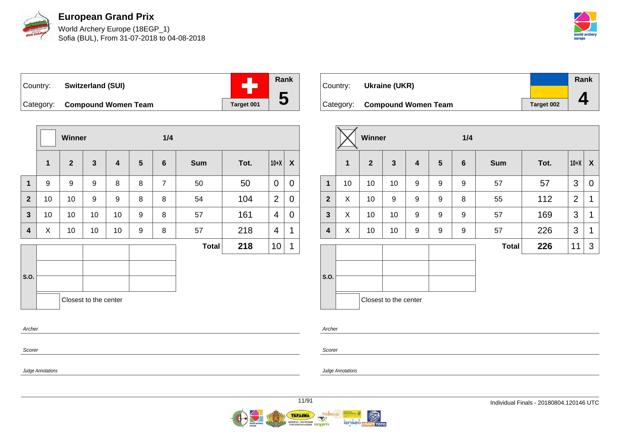

World Archery Europe (18EGP\_1) Sofia (BUL), From 31-07-2018 to 04-08-2018



**Rank** ÷ Country: **Switzerland (SUI) 5** Category: **Compound Women Team Target 001** 

|              |              | <b>Winner</b> |                       |                         |                | 1/4            |              |      |                |                           |
|--------------|--------------|---------------|-----------------------|-------------------------|----------------|----------------|--------------|------|----------------|---------------------------|
|              | $\mathbf{1}$ | $\mathbf{2}$  | $\mathbf{3}$          | $\overline{\mathbf{4}}$ | $5\phantom{1}$ | $6\phantom{1}$ | <b>Sum</b>   | Tot. | $10+X$         | $\boldsymbol{\mathsf{X}}$ |
| $\mathbf{1}$ | 9            | 9             | 9                     | 8                       | 8              | $\overline{7}$ | 50           | 50   | 0              | $\mathbf 0$               |
| $\mathbf{2}$ | 10           | 10            | 9                     | 9                       | 8              | 8              | 54           | 104  | $\overline{2}$ | $\mathbf 0$               |
| 3            | 10           | 10            | 10                    | 10                      | 9              | 8              | 57           | 161  | 4              | $\mathbf 0$               |
| 4            | X            | 10            | 10                    | 10                      | 9              | 8              | 57           | 218  | 4              | 1                         |
|              |              |               |                       |                         |                |                | <b>Total</b> | 218  | 10             | 1                         |
|              |              |               |                       |                         |                |                |              |      |                |                           |
| S.O.         |              |               |                       |                         |                |                |              |      |                |                           |
|              |              |               | Closest to the center |                         |                |                |              |      |                |                           |
| Archer       |              |               |                       |                         |                |                |              |      |                |                           |
|              |              |               |                       |                         |                |                |              |      |                |                           |

| Country: | Ukraine (UKR)                 |                   | Rank |
|----------|-------------------------------|-------------------|------|
|          |                               |                   |      |
|          | Category: Compound Women Team | <b>Target 002</b> |      |

|                |              | Winner         |                       |                         |                  | 1/4             |              |      |                |                  |
|----------------|--------------|----------------|-----------------------|-------------------------|------------------|-----------------|--------------|------|----------------|------------------|
|                | $\mathbf{1}$ | $\overline{2}$ | $\mathbf{3}$          | $\overline{\mathbf{4}}$ | 5                | $6\phantom{1}6$ | <b>Sum</b>   | Tot. | $10+X$         | $\boldsymbol{X}$ |
| 1              | 10           | 10             | 10                    | 9                       | 9                | 9               | 57           | 57   | 3              | 0                |
| $\overline{2}$ | X            | 10             | 9                     | 9                       | $\boldsymbol{9}$ | 8               | 55           | 112  | $\overline{2}$ | 1                |
| $\mathbf{3}$   | X            | 10             | 10                    | 9                       | 9                | 9               | 57           | 169  | 3              | 1                |
| 4              | X            | 10             | 10                    | 9                       | 9                | 9               | 57           | 226  | 3              | 1                |
|                |              |                |                       |                         |                  |                 | <b>Total</b> | 226  | 11             | 3                |
| S.O.           |              |                |                       |                         |                  |                 |              |      |                |                  |
|                |              |                | Closest to the center |                         |                  |                 |              |      |                |                  |

Archer

Scorer

Judge Annotations

Scorer

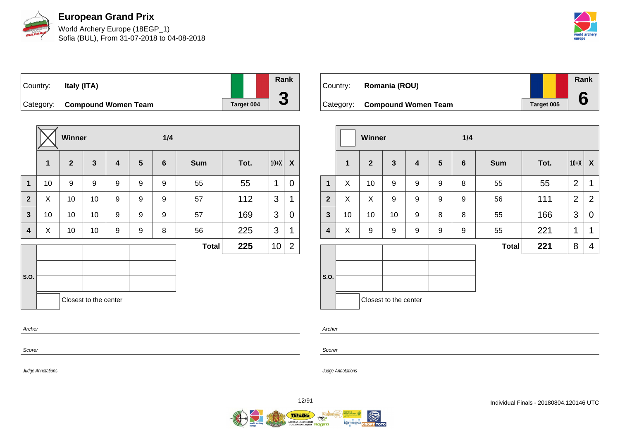

World Archery Europe (18EGP\_1) Sofia (BUL), From 31-07-2018 to 04-08-2018



| Country: | Italy (ITA)                   |            |
|----------|-------------------------------|------------|
|          | Category: Compound Women Team | Target 004 |

|              |              | Winner         |                       |                         |                 | 1/4            |              |      |        |                |
|--------------|--------------|----------------|-----------------------|-------------------------|-----------------|----------------|--------------|------|--------|----------------|
|              | $\mathbf{1}$ | $\overline{2}$ | $\mathbf{3}$          | $\overline{\mathbf{4}}$ | $5\phantom{.0}$ | $6\phantom{1}$ | <b>Sum</b>   | Tot. | $10+X$ | X              |
| 1            | 10           | 9              | 9                     | 9                       | 9               | 9              | 55           | 55   | 1      | $\overline{0}$ |
| $\mathbf{2}$ | X            | 10             | 10                    | 9                       | 9               | 9              | 57           | 112  | 3      | 1              |
| 3            | 10           | 10             | 10                    | $\boldsymbol{9}$        | 9               | 9              | 57           | 169  | 3      | 0              |
| 4            | X            | 10             | 10                    | 9                       | 9               | 8              | 56           | 225  | 3      | 1              |
|              |              |                |                       |                         |                 |                | <b>Total</b> | 225  | 10     | $\overline{2}$ |
|              |              |                |                       |                         |                 |                |              |      |        |                |
| S.O.         |              |                |                       |                         |                 |                |              |      |        |                |
|              |              |                | Closest to the center |                         |                 |                |              |      |        |                |
| Archer       |              |                |                       |                         |                 |                |              |      |        |                |

| Country: | Romania (ROU)                 |            | Rank |
|----------|-------------------------------|------------|------|
|          | Category: Compound Women Team | Target 005 |      |

|                |             | Winner         |                       |   |                  | 1/4            |              |      |                |                |
|----------------|-------------|----------------|-----------------------|---|------------------|----------------|--------------|------|----------------|----------------|
|                | $\mathbf 1$ | $\overline{2}$ | $\mathbf{3}$          | 4 | 5                | $6\phantom{1}$ | <b>Sum</b>   | Tot. | $10+X$         | X              |
| $\mathbf{1}$   | X           | 10             | 9                     | 9 | 9                | 8              | 55           | 55   | $\overline{2}$ | 1              |
| $\overline{2}$ | X           | X              | 9                     | 9 | $\boldsymbol{9}$ | 9              | 56           | 111  | $\overline{2}$ | $\overline{2}$ |
| $\mathbf{3}$   | 10          | 10             | 10                    | 9 | 8                | 8              | 55           | 166  | 3              | $\mathbf 0$    |
| 4              | X           | 9              | 9                     | 9 | 9                | 9              | 55           | 221  | 1              | 1              |
|                |             |                |                       |   |                  |                | <b>Total</b> | 221  | 8              | 4              |
| S.O.           |             |                | Closest to the center |   |                  |                |              |      |                |                |

Archer

Scorer

Judge Annotations

Judge Annotations

Scorer

**Rank**

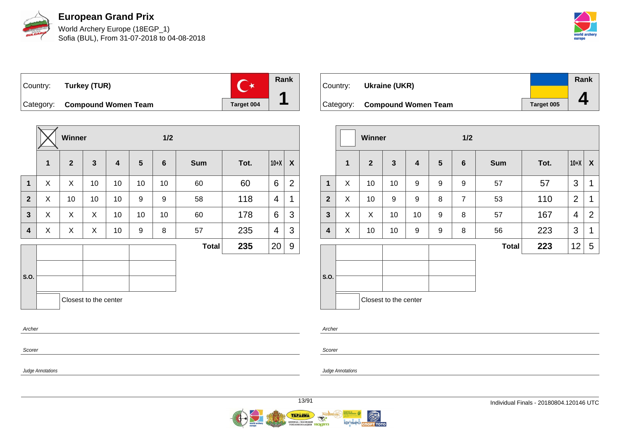

World Archery Europe (18EGP\_1) Sofia (BUL), From 31-07-2018 to 04-08-2018



Country: **Turkey (TUR)**



Category: **Compound Women Team Target 004** 

|                         |        | Winner         |                       |                         |                | 1/2            |              |      |        |                |  |  |
|-------------------------|--------|----------------|-----------------------|-------------------------|----------------|----------------|--------------|------|--------|----------------|--|--|
|                         | 1      | $\overline{2}$ | $\mathbf{3}$          | $\overline{\mathbf{4}}$ | $5\phantom{1}$ | $6\phantom{1}$ | <b>Sum</b>   | Tot. | $10+X$ | X              |  |  |
| $\mathbf 1$             | X      | X              | 10                    | 10                      | 10             | 10             | 60           | 60   | 6      | $\overline{2}$ |  |  |
| $\mathbf{2}$            | X      | 10             | 10                    | 10                      | 9              | 9              | 58           | 118  | 4      | 1              |  |  |
| $\overline{\mathbf{3}}$ | X      | X              | X                     | 10                      | 10             | 10             | 60           | 178  | 6      | 3              |  |  |
| 4                       | X      | X              | X                     | 10                      | 9              | 8              | 57           | 235  | 4      | 3              |  |  |
|                         |        |                |                       |                         |                |                | <b>Total</b> | 235  | 20     | 9              |  |  |
|                         |        |                |                       |                         |                |                |              |      |        |                |  |  |
| S.O.                    |        |                |                       |                         |                |                |              |      |        |                |  |  |
|                         |        |                | Closest to the center |                         |                |                |              |      |        |                |  |  |
|                         | Archer |                |                       |                         |                |                |              |      |        |                |  |  |

| Country: | Ukraine (UKR)                 |                   | Rank |
|----------|-------------------------------|-------------------|------|
|          |                               |                   |      |
|          | Category: Compound Women Team | <b>Target 005</b> |      |

|                         |              | Winner         |                       |    |                 | 1/2            |              |      |                |                  |
|-------------------------|--------------|----------------|-----------------------|----|-----------------|----------------|--------------|------|----------------|------------------|
|                         | $\mathbf{1}$ | $\overline{2}$ | $\mathbf{3}$          | 4  | $5\phantom{.0}$ | $6\phantom{1}$ | <b>Sum</b>   | Tot. | $10+X$         | $\boldsymbol{X}$ |
| $\mathbf 1$             | X            | 10             | 10                    | 9  | 9               | 9              | 57           | 57   | 3              | 1                |
| $\overline{2}$          | X            | 10             | 9                     | 9  | 8               | $\overline{7}$ | 53           | 110  | $\overline{2}$ | 1                |
| $\mathbf{3}$            | X            | X              | 10                    | 10 | 9               | 8              | 57           | 167  | 4              | 2                |
| $\overline{\mathbf{4}}$ | X            | 10             | 10                    | 9  | 9               | 8              | 56           | 223  | 3              | 1                |
|                         |              |                |                       |    |                 |                | <b>Total</b> | 223  | 12             | 5                |
| S.O.                    |              |                | Closest to the center |    |                 |                |              |      |                |                  |

Archer

Scorer

Judge Annotations

Scorer

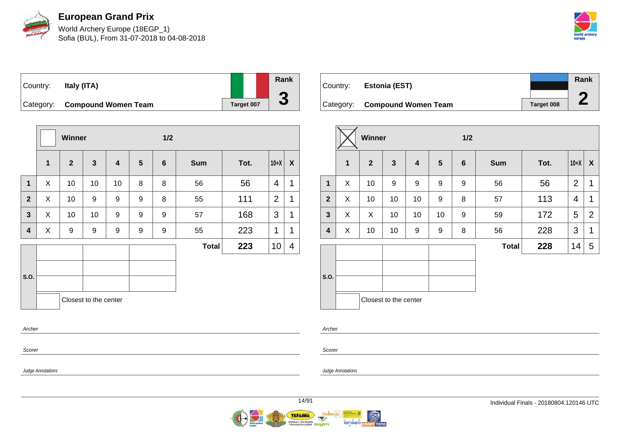

World Archery Europe (18EGP\_1) Sofia (BUL), From 31-07-2018 to 04-08-2018



| Country: | Italy (ITA)                   |            | Rank |
|----------|-------------------------------|------------|------|
|          | Category: Compound Women Team | Target 007 | u    |

|                |   | Winner         |                       |                         |                 | 1/2              |              |      |                |                |
|----------------|---|----------------|-----------------------|-------------------------|-----------------|------------------|--------------|------|----------------|----------------|
|                | 1 | $\overline{2}$ | $\mathbf{3}$          | $\overline{\mathbf{4}}$ | $5\phantom{.0}$ | $6\phantom{1}$   | <b>Sum</b>   | Tot. | $10+X$         | X              |
| $\mathbf{1}$   | X | 10             | 10                    | 10                      | 8               | 8                | 56           | 56   | 4              | 1              |
| $\overline{2}$ | X | 10             | 9                     | 9                       | 9               | 8                | 55           | 111  | $\overline{2}$ | 1              |
| 3              | X | 10             | 10                    | 9                       | 9               | 9                | 57           | 168  | 3              | 1              |
| 4              | X | 9              | 9                     | 9                       | 9               | $\boldsymbol{9}$ | 55           | 223  | 1              | 1              |
|                |   |                |                       |                         |                 |                  | <b>Total</b> | 223  | 10             | $\overline{4}$ |
| S.O.           |   |                |                       |                         |                 |                  |              |      |                |                |
|                |   |                | Closest to the center |                         |                 |                  |              |      |                |                |
| Archer         |   |                |                       |                         |                 |                  |              |      |                |                |

| Country: | <b>Estonia (EST)</b>          |                   | Rank |
|----------|-------------------------------|-------------------|------|
|          | Category: Compound Women Team | <b>Target 008</b> |      |

|              |   | Winner         |                       |                         |                | 1/2             |              |      |                |                |  |  |  |
|--------------|---|----------------|-----------------------|-------------------------|----------------|-----------------|--------------|------|----------------|----------------|--|--|--|
|              | 1 | $\overline{2}$ | $\mathbf{3}$          | $\overline{\mathbf{4}}$ | $5\phantom{1}$ | $6\phantom{1}6$ | <b>Sum</b>   | Tot. | $10+X$         | X              |  |  |  |
| $\mathbf{1}$ | X | 10             | 9                     | 9                       | 9              | 9               | 56           | 56   | $\overline{2}$ | 1              |  |  |  |
| $\mathbf{2}$ | X | 10             | 10                    | 10                      | 9              | 8               | 57           | 113  | 4              | 1              |  |  |  |
| $\mathbf{3}$ | X | X              | 10                    | 10                      | 10             | 9               | 59           | 172  | 5              | $\overline{2}$ |  |  |  |
| 4            | X | 10             | 10                    | 9                       | 9              | 8               | 56           | 228  | 3              | 1              |  |  |  |
|              |   |                |                       |                         |                |                 | <b>Total</b> | 228  | 14             | 5              |  |  |  |
| S.O.         |   |                | Closest to the center |                         |                |                 |              |      |                |                |  |  |  |

Archer

Scorer

Judge Annotations

Scorer

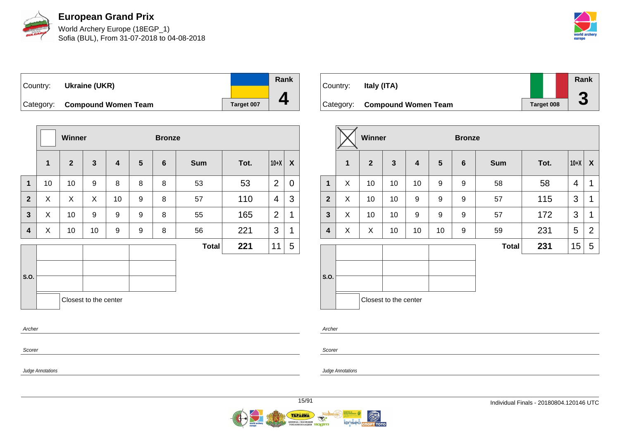

World Archery Europe (18EGP\_1) Sofia (BUL), From 31-07-2018 to 04-08-2018



Country: **Ukraine (UKR)** Category: **Compound Women Team Target 007** 

|                |    | <b>Winner</b> |                       |    |                | <b>Bronze</b> |              |      |                |                  |
|----------------|----|---------------|-----------------------|----|----------------|---------------|--------------|------|----------------|------------------|
|                | 1  | $\mathbf{2}$  | $\mathbf{3}$          | 4  | $5\phantom{1}$ | 6             | <b>Sum</b>   | Tot. | $10+X$         | $\boldsymbol{X}$ |
| $\mathbf 1$    | 10 | 10            | 9                     | 8  | 8              | 8             | 53           | 53   | $\overline{2}$ | 0                |
| $\overline{2}$ | X  | X             | X                     | 10 | 9              | 8             | 57           | 110  | 4              | 3                |
| $\mathbf{3}$   | X  | 10            | 9                     | 9  | 9              | 8             | 55           | 165  | 2              | 1                |
| 4              | X  | 10            | 10                    | 9  | 9              | 8             | 56           | 221  | 3              | 1                |
|                |    |               |                       |    |                |               | <b>Total</b> | 221  | 11             | 5                |
| S.O.           |    |               |                       |    |                |               |              |      |                |                  |
| Archer         |    |               | Closest to the center |    |                |               |              |      |                |                  |
| Scorer         |    |               |                       |    |                |               |              |      |                |                  |

| Country:  | Italy (ITA)                |            | <b>Rank</b>          |
|-----------|----------------------------|------------|----------------------|
| Category: | <b>Compound Women Team</b> | Target 008 | $\blacktriangledown$ |

|                |              | Winner       |                       |                         |                | <b>Bronze</b>   |              |      |        |                |
|----------------|--------------|--------------|-----------------------|-------------------------|----------------|-----------------|--------------|------|--------|----------------|
|                | $\mathbf{1}$ | $\mathbf{2}$ | $\mathbf{3}$          | $\overline{\mathbf{4}}$ | $5\phantom{1}$ | $6\phantom{1}6$ | <b>Sum</b>   | Tot. | $10+X$ | X              |
| $\mathbf 1$    | X            | 10           | 10                    | 10                      | 9              | 9               | 58           | 58   | 4      | 1              |
| $\overline{2}$ | X            | 10           | 10                    | 9                       | 9              | 9               | 57           | 115  | 3      | 1              |
| $\mathbf{3}$   | X            | 10           | 10                    | 9                       | 9              | 9               | 57           | 172  | 3      | 1              |
| 4              | X            | X            | 10                    | 10                      | 10             | 9               | 59           | 231  | 5      | $\overline{2}$ |
|                |              |              |                       |                         |                |                 | <b>Total</b> | 231  | 15     | 5              |
| S.O.           |              |              | Closest to the center |                         |                |                 |              |      |        |                |

Archer

Scorer

Judge Annotations

Judge Annotations

**Rank**

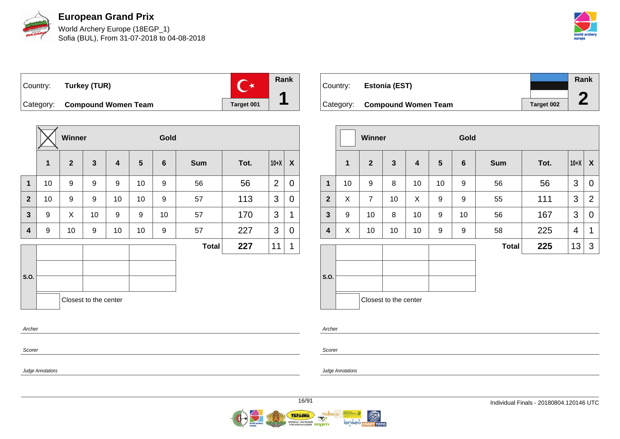

World Archery Europe (18EGP\_1) Sofia (BUL), From 31-07-2018 to 04-08-2018



Country: **Turkey (TUR)**



Category: **Compound Women Team Target 001** 

|                         |    | Winner       |                       |                         |                 | Gold    |              |      |                |             |
|-------------------------|----|--------------|-----------------------|-------------------------|-----------------|---------|--------------|------|----------------|-------------|
|                         | 1  | $\mathbf{2}$ | $\mathbf{3}$          | $\overline{\mathbf{4}}$ | $5\phantom{.0}$ | $\bf 6$ | <b>Sum</b>   | Tot. | $10+X$         | X           |
| $\mathbf 1$             | 10 | 9            | 9                     | 9                       | 10              | 9       | 56           | 56   | $\overline{2}$ | $\mathbf 0$ |
| $\overline{2}$          | 10 | 9            | 9                     | 10                      | 10              | 9       | 57           | 113  | 3              | $\mathbf 0$ |
| $\overline{\mathbf{3}}$ | 9  | X            | 10                    | 9                       | 9               | 10      | 57           | 170  | 3              | 1           |
| 4                       | 9  | 10           | 9                     | 10                      | 10              | 9       | 57           | 227  | 3              | 0           |
|                         |    |              |                       |                         |                 |         | <b>Total</b> | 227  | 11             | 1           |
|                         |    |              |                       |                         |                 |         |              |      |                |             |
| S.O.                    |    |              |                       |                         |                 |         |              |      |                |             |
|                         |    |              | Closest to the center |                         |                 |         |              |      |                |             |
| Archer                  |    |              |                       |                         |                 |         |              |      |                |             |

| Country: | Estonia (EST)                 |            | Rank |
|----------|-------------------------------|------------|------|
|          | Category: Compound Women Team | Target 002 |      |

|                         |              | <b>Winner</b>  |                         |                         |    | Gold           |              |      |        |                  |
|-------------------------|--------------|----------------|-------------------------|-------------------------|----|----------------|--------------|------|--------|------------------|
|                         | $\mathbf{1}$ | $\overline{2}$ | $\overline{\mathbf{3}}$ | $\overline{\mathbf{4}}$ | 5  | $6\phantom{1}$ | <b>Sum</b>   | Tot. | $10+X$ | $\boldsymbol{X}$ |
| $\mathbf{1}$            | 10           | 9              | 8                       | 10                      | 10 | 9              | 56           | 56   | 3      | 0                |
| $\overline{2}$          | X            | $\overline{7}$ | 10                      | X                       | 9  | 9              | 55           | 111  | 3      | $\overline{2}$   |
| $\mathbf{3}$            | 9            | 10             | 8                       | 10                      | 9  | 10             | 56           | 167  | 3      | $\mathbf 0$      |
| $\overline{\mathbf{4}}$ | X            | 10             | 10                      | 10                      | 9  | 9              | 58           | 225  | 4      | 1                |
|                         |              |                |                         |                         |    |                | <b>Total</b> | 225  | 13     | 3                |
| S.O.                    |              |                | Closest to the center   |                         |    |                |              |      |        |                  |

Archer

Scorer

Judge Annotations

Scorer

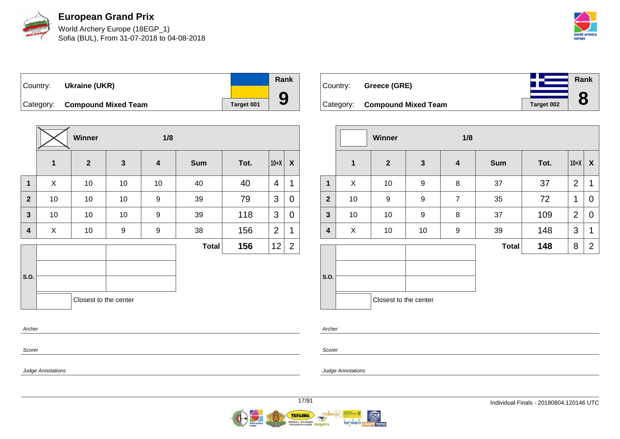

World Archery Europe (18EGP\_1) Sofia (BUL), From 31-07-2018 to 04-08-2018



Country: **Ukraine (UKR)** Category: **Compound Mixed Team Target 001 Rank 9**

|                         |             | Winner                |              | 1/8                     |              |      |                |                |
|-------------------------|-------------|-----------------------|--------------|-------------------------|--------------|------|----------------|----------------|
|                         | $\mathbf 1$ | $\overline{2}$        | $\mathbf{3}$ | $\overline{\mathbf{4}}$ | <b>Sum</b>   | Tot. | $10+X$         | X              |
| $\overline{1}$          | X           | 10                    | 10           | 10                      | 40           | 40   | $\overline{4}$ | 1              |
| $\overline{2}$          | 10          | 10                    | 10           | 9                       | 39           | 79   | 3              | 0              |
| $\mathbf{3}$            | 10          | 10                    | 10           | 9                       | 39           | 118  | 3              | 0              |
| $\overline{\mathbf{4}}$ | X           | $10$                  | 9            | 9                       | 38           | 156  | $\overline{2}$ | 1              |
|                         |             |                       |              |                         | <b>Total</b> | 156  | 12             | $\overline{2}$ |
| S.O.                    |             | Closest to the center |              |                         |              |      |                |                |
| Archer                  |             |                       |              |                         |              |      |                |                |



|              |              | Winner                | 1/8              |                         |              |      |                |                  |
|--------------|--------------|-----------------------|------------------|-------------------------|--------------|------|----------------|------------------|
|              | $\mathbf{1}$ | $\mathbf{2}$          | $\mathbf{3}$     | $\overline{\mathbf{4}}$ | <b>Sum</b>   | Tot. | $10+X$         | $\boldsymbol{X}$ |
| 1            | X            | 10                    | $\boldsymbol{9}$ | 8                       | 37           | 37   | $\overline{2}$ | 1                |
| $\mathbf{2}$ | 10           | 9                     | $\boldsymbol{9}$ | $\overline{7}$          | 35           | 72   | 1              | 0                |
| 3            | 10           | 10                    | 9                | 8                       | 37           | 109  | $\overline{2}$ | 0                |
| 4            | X            | 10                    | 10               | 9                       | 39           | 148  | 3              | 1                |
|              |              |                       |                  |                         | <b>Total</b> | 148  | 8              | $\overline{2}$   |
|              |              |                       |                  |                         |              |      |                |                  |
| S.O.         |              |                       |                  |                         |              |      |                |                  |
|              |              | Closest to the center |                  |                         |              |      |                |                  |

Archer

Scorer

Judge Annotations

Scorer

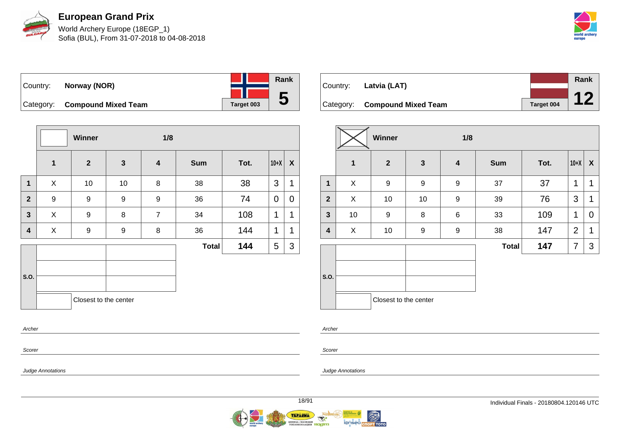

World Archery Europe (18EGP\_1) Sofia (BUL), From 31-07-2018 to 04-08-2018



| Country: | Norway (NOR)                  |            | Rank |
|----------|-------------------------------|------------|------|
|          | Category: Compound Mixed Team | Target 003 | b    |

|                |             | Winner<br>1/8         |                  |                         |              |      |             |   |
|----------------|-------------|-----------------------|------------------|-------------------------|--------------|------|-------------|---|
|                | $\mathbf 1$ | $\mathbf{2}$          | $\mathbf 3$      | $\overline{\mathbf{4}}$ | <b>Sum</b>   | Tot. | $10+X$      | X |
| $\mathbf 1$    | X           | 10                    | 10               | 8                       | 38           | 38   | 3           | 1 |
| $\overline{2}$ | 9           | 9                     | $\boldsymbol{9}$ | 9                       | 36           | 74   | $\mathbf 0$ | 0 |
| $\mathbf{3}$   | X           | 9                     | $\bf 8$          | $\overline{7}$          | 34           | 108  | 1           | 1 |
| 4              | X           | 9                     | 9                | 8                       | 36           | 144  | 1           | 1 |
|                |             |                       |                  |                         | <b>Total</b> | 144  | 5           | 3 |
| S.O.           |             | Closest to the center |                  |                         |              |      |             |   |
| Archer         |             |                       |                  |                         |              |      |             |   |

| Country: Latvia (LAT)         |            | Rank |
|-------------------------------|------------|------|
|                               |            |      |
| Category: Compound Mixed Team | Target 004 |      |

|                         |             | Winner<br>1/8         |                  |                  |              |      |                |                  |
|-------------------------|-------------|-----------------------|------------------|------------------|--------------|------|----------------|------------------|
|                         | $\mathbf 1$ | $\mathbf{2}$          | $\mathbf{3}$     | $\boldsymbol{4}$ | <b>Sum</b>   | Tot. | $10+X$         | $\boldsymbol{X}$ |
| $\mathbf{1}$            | X           | 9                     | 9                | 9                | 37           | 37   | $\mathbf 1$    | 1                |
| $\mathbf{2}$            | X           | 10                    | 10               | 9                | 39           | 76   | 3              | $\mathbf 1$      |
| $\overline{\mathbf{3}}$ | 10          | 9                     | 8                | $\,6$            | 33           | 109  | 1              | 0                |
| $\overline{\mathbf{4}}$ | X           | 10                    | $\boldsymbol{9}$ | $\boldsymbol{9}$ | 38           | 147  | $\overline{2}$ | 1                |
|                         |             |                       |                  |                  | <b>Total</b> | 147  | 7              | 3                |
| S.O.                    |             |                       |                  |                  |              |      |                |                  |
|                         |             | Closest to the center |                  |                  |              |      |                |                  |

Archer

Scorer

Judge Annotations

Scorer

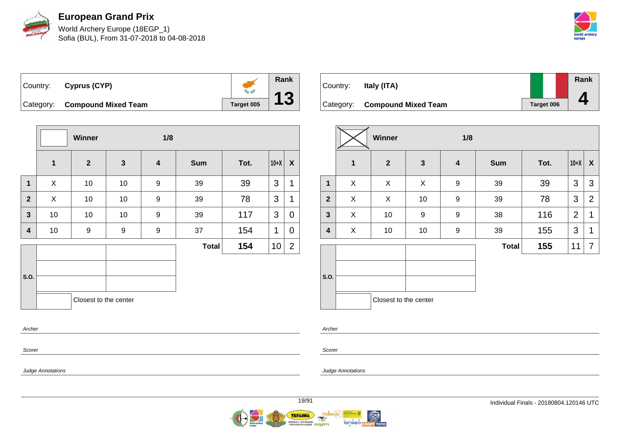

World Archery Europe (18EGP\_1) Sofia (BUL), From 31-07-2018 to 04-08-2018



Country: **Cyprus (CYP) NAME AND POST** Category: **Compound Mixed Team Target 005** 

|                         |                | Winner                |              | 1/8 |              |      |        |                |
|-------------------------|----------------|-----------------------|--------------|-----|--------------|------|--------|----------------|
|                         | $\mathbf 1$    | $\overline{2}$        | $\mathbf{3}$ | 4   | <b>Sum</b>   | Tot. | $10+X$ | X              |
| $\mathbf{1}$            | X              | 10                    | 10           | 9   | 39           | 39   | 3      | 1              |
| $\mathbf{2}$            | $\pmb{\times}$ | 10                    | 10           | 9   | 39           | 78   | 3      | 1              |
| $\mathbf{3}$            | 10             | 10                    | 10           | 9   | 39           | 117  | 3      | 0              |
| $\overline{\mathbf{4}}$ | 10             | 9                     | 9            | 9   | 37           | 154  | 1      | 0              |
|                         |                |                       |              |     | <b>Total</b> | 154  | 10     | $\overline{2}$ |
|                         |                |                       |              |     |              |      |        |                |
| S.O.                    |                |                       |              |     |              |      |        |                |
|                         |                | Closest to the center |              |     |              |      |        |                |
| Archer                  |                |                       |              |     |              |      |        |                |



|                |              | Winner<br>1/8         |              |                  |              |      |        |                |
|----------------|--------------|-----------------------|--------------|------------------|--------------|------|--------|----------------|
|                | $\mathbf{1}$ | $\overline{2}$        | $\mathbf{3}$ | $\boldsymbol{4}$ | <b>Sum</b>   | Tot. | $10+X$ | X              |
| $\mathbf{1}$   | X            | X                     | X            | 9                | 39           | 39   | 3      | 3              |
| $\overline{2}$ | X            | X                     | 10           | 9                | 39           | 78   | 3      | $\overline{2}$ |
| $\mathbf{3}$   | X            | 10                    | 9            | $\boldsymbol{9}$ | 38           | 116  | 2      | 1              |
| 4              | X            | 10                    | 10           | 9                | 39           | 155  | 3      | 1              |
|                |              |                       |              |                  | <b>Total</b> | 155  | 11     | 7              |
| S.O.           |              |                       |              |                  |              |      |        |                |
|                |              | Closest to the center |              |                  |              |      |        |                |

Scorer

Scorer

Archer

Judge Annotations

Judge Annotations

**Rank**

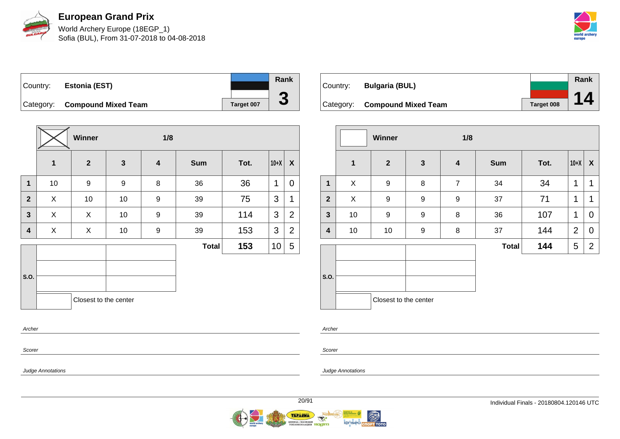

World Archery Europe (18EGP\_1) Sofia (BUL), From 31-07-2018 to 04-08-2018



Country: **Estonia (EST)** Category: **Compound Mixed Team Target 007** 



|                         |              | Winner                |              |                         |              |      |        |                  |
|-------------------------|--------------|-----------------------|--------------|-------------------------|--------------|------|--------|------------------|
|                         | $\mathbf{1}$ | $\overline{2}$        | $\mathbf{3}$ | $\overline{\mathbf{4}}$ | <b>Sum</b>   | Tot. | $10+X$ | $\boldsymbol{X}$ |
| $\overline{\mathbf{1}}$ | 10           | $\boldsymbol{9}$      | 9            | 8                       | 36           | 36   | 1      | $\mathbf 0$      |
| $\overline{2}$          | X            | 10                    | 10           | 9                       | 39           | 75   | 3      | 1                |
| $\mathbf{3}$            | X            | X                     | 10           | 9                       | 39           | 114  | 3      | 2                |
| 4                       | X            | X                     | 10           | 9                       | 39           | 153  | 3      | 2                |
|                         |              |                       |              |                         | <b>Total</b> | 153  | 10     | 5                |
| S.O.                    |              | Closest to the center |              |                         |              |      |        |                  |

|          |                               |                   | Rank |
|----------|-------------------------------|-------------------|------|
| Country: | <b>Bulgaria (BUL)</b>         |                   |      |
|          |                               |                   |      |
|          | Category: Compound Mixed Team | <b>Target 008</b> |      |

|              |    | Winner                |              | 1/8              |              |      |                |                  |
|--------------|----|-----------------------|--------------|------------------|--------------|------|----------------|------------------|
|              | 1  | $\boldsymbol{2}$      | $\mathbf{3}$ | $\boldsymbol{4}$ | <b>Sum</b>   | Tot. | $10+X$         | $\boldsymbol{X}$ |
| $\mathbf{1}$ | X  | 9                     | 8            | $\overline{7}$   | 34           | 34   | 1              | $\mathbf 1$      |
| $\mathbf{2}$ | X  | $\boldsymbol{9}$      | 9            | 9                | 37           | 71   | 1              | 1                |
| $\mathbf{3}$ | 10 | $\boldsymbol{9}$      | 9            | 8                | 36           | 107  | 1              | 0                |
| 4            | 10 | 10                    | 9            | 8                | 37           | 144  | $\overline{2}$ | 0                |
|              |    |                       |              |                  | <b>Total</b> | 144  | 5              | $\overline{2}$   |
| S.O.         |    |                       |              |                  |              |      |                |                  |
|              |    | Closest to the center |              |                  |              |      |                |                  |

Archer

Scorer

Judge Annotations

Archer

Scorer

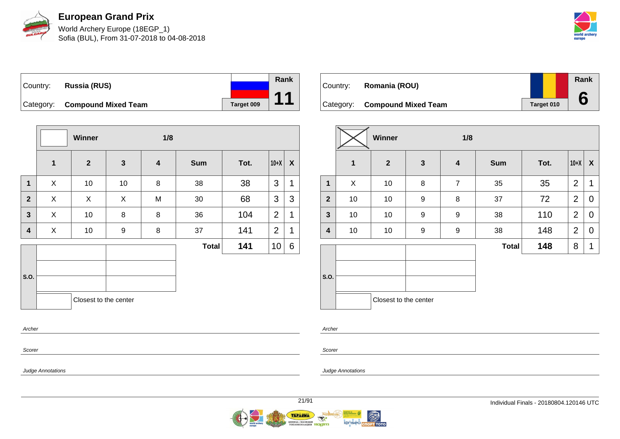

World Archery Europe (18EGP\_1) Sofia (BUL), From 31-07-2018 to 04-08-2018



| Country: | Russia (RUS)                  |            | Rank |
|----------|-------------------------------|------------|------|
|          |                               |            |      |
|          | Category: Compound Mixed Team | Target 009 |      |

|                         |             | <b>Winner</b>         |              | 1/8                     |              |      |                |   |
|-------------------------|-------------|-----------------------|--------------|-------------------------|--------------|------|----------------|---|
|                         | $\mathbf 1$ | 2 <sup>2</sup>        | $\mathbf{3}$ | $\overline{\mathbf{4}}$ | <b>Sum</b>   | Tot. | $10+X$         | X |
| $\mathbf{1}$            | X           | 10                    | 10           | 8                       | 38           | 38   | 3              | 1 |
| $\overline{2}$          | X           | X                     | X            | M                       | 30           | 68   | 3              | 3 |
| $\overline{\mathbf{3}}$ | X           | 10                    | 8            | 8                       | 36           | 104  | $\overline{2}$ | 1 |
| 4                       | X           | 10                    | 9            | 8                       | 37           | 141  | $\overline{2}$ | 1 |
|                         |             |                       |              |                         | <b>Total</b> | 141  | 10             | 6 |
| S.O.                    |             | Closest to the center |              |                         |              |      |                |   |
| Archer                  |             |                       |              |                         |              |      |                |   |

| Country: | Romania (ROU)                 |            | Rank |
|----------|-------------------------------|------------|------|
|          | Category: Compound Mixed Team | Target 010 |      |

| $\mathbf{2}$ | $\mathbf{3}$ | $\overline{\mathbf{4}}$ |              |      |                |                  |
|--------------|--------------|-------------------------|--------------|------|----------------|------------------|
|              |              |                         | <b>Sum</b>   | Tot. | $10+X$         | $\boldsymbol{X}$ |
|              | 8            | $\overline{7}$          | 35           | 35   | $\overline{2}$ | $\mathbf 1$      |
| 10           | 9            | 8                       | 37           | 72   | $\overline{2}$ | $\mathbf 0$      |
| 10           | 9            | 9                       | 38           | 110  | $\overline{2}$ | $\overline{0}$   |
| 10           | 9            | 9                       | 38           | 148  | $\overline{2}$ | $\mathbf 0$      |
|              |              |                         | <b>Total</b> | 148  | 8              | $\mathbf 1$      |
|              |              |                         |              |      |                |                  |
|              | 10           | Closest to the center   |              |      |                |                  |

Archer

Scorer

Judge Annotations

Judge Annotations

Scorer

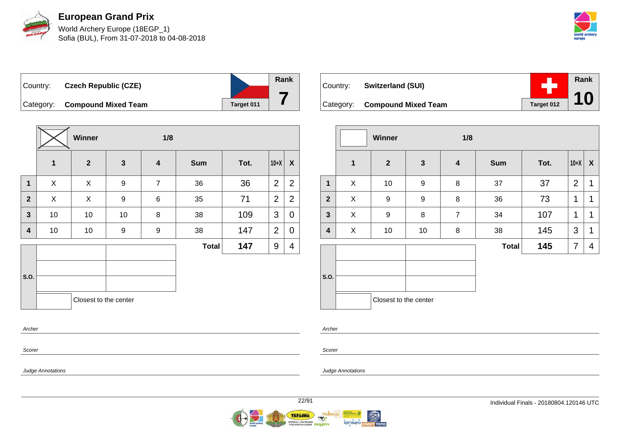

World Archery Europe (18EGP\_1) Sofia (BUL), From 31-07-2018 to 04-08-2018



Country: **Czech Republic (CZE)** Category: **Compound Mixed Team Target 011 Rank 7**

|                |             | Winner                |              | 1/8                     |              |      |                |                |
|----------------|-------------|-----------------------|--------------|-------------------------|--------------|------|----------------|----------------|
|                | $\mathbf 1$ | $\overline{2}$        | $\mathbf{3}$ | $\overline{\mathbf{4}}$ | <b>Sum</b>   | Tot. | $10+X$         | X              |
| 1              | X           | X                     | 9            | $\overline{7}$          | 36           | 36   | $\overline{2}$ | $\overline{2}$ |
| $\overline{2}$ | X           | X                     | 9            | $\,6$                   | 35           | 71   | $\overline{2}$ | $\overline{2}$ |
| $\mathbf{3}$   | 10          | 10                    | 10           | 8                       | 38           | 109  | 3              | $\overline{0}$ |
| 4              | 10          | 10                    | 9            | 9                       | 38           | 147  | $\overline{2}$ | 0              |
|                |             |                       |              |                         | <b>Total</b> | 147  | 9              | 4              |
| S.O.           |             |                       |              |                         |              |      |                |                |
|                |             | Closest to the center |              |                         |              |      |                |                |
| Archer         |             |                       |              |                         |              |      |                |                |
|                |             |                       |              |                         |              |      |                |                |

| Country: Switzerland (SUI)           |            | <b>Rank</b> |
|--------------------------------------|------------|-------------|
| Category: <b>Compound Mixed Team</b> | Target 012 |             |

|                |              | Winner                |                  | 1/8                     |              |      |                |                  |
|----------------|--------------|-----------------------|------------------|-------------------------|--------------|------|----------------|------------------|
|                | $\mathbf{1}$ | $\mathbf{2}$          | $\mathbf{3}$     | $\overline{\mathbf{4}}$ | <b>Sum</b>   | Tot. | $10+X$         | $\boldsymbol{X}$ |
| 1              | X            | 10                    | 9                | 8                       | 37           | 37   | $\overline{2}$ | 1                |
| $\overline{2}$ | X            | 9                     | $\boldsymbol{9}$ | 8                       | 36           | 73   | 1              | 1                |
| 3              | X            | 9                     | 8                | $\overline{7}$          | 34           | 107  | 1              | 1                |
| 4              | X            | 10                    | 10               | 8                       | 38           | 145  | 3              | 1                |
|                |              |                       |                  |                         | <b>Total</b> | 145  | 7              | 4                |
|                |              |                       |                  |                         |              |      |                |                  |
| S.O.           |              |                       |                  |                         |              |      |                |                  |
|                |              | Closest to the center |                  |                         |              |      |                |                  |

Archer

Scorer

Judge Annotations

Scorer

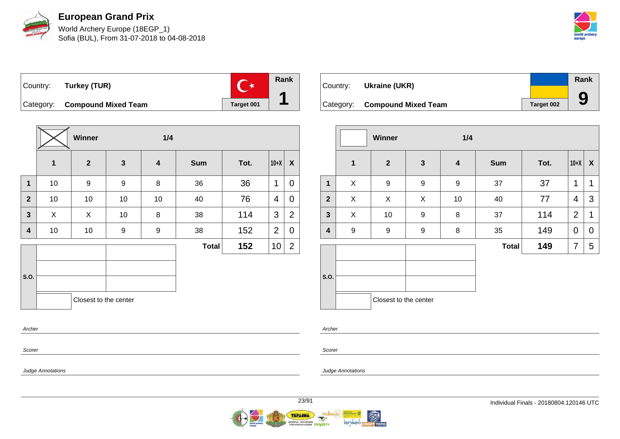

World Archery Europe (18EGP\_1) Sofia (BUL), From 31-07-2018 to 04-08-2018



 $\overline{C^*}$ Country: **Turkey (TUR)** Category: **Compound Mixed Team Target 001** 

**Winner 1/4 1 2 3 4 Sum Tot. 10+X X 1** | 10 | 9 | 9 | 8 | 36 | 36 |1 | 0 **2** | 10 | 10 | 10 | 10 | 40 | 76 |4 | 0 **3** X X 10 8 38 114 3 2 **4** | 10 | 10 | 9 | 9 | 38 | 152 |2 | 0 **S.O. Total 152**  $|10|2$ Closest to the center Archer

| Country: | Ukraine (UKR)                 |            | Rank |
|----------|-------------------------------|------------|------|
|          |                               |            |      |
|          | Category: Compound Mixed Team | Target 002 | 9    |

|                |             | Winner                |                  | 1/4              |              |      |                |                           |
|----------------|-------------|-----------------------|------------------|------------------|--------------|------|----------------|---------------------------|
|                | $\mathbf 1$ | $\mathbf{2}$          | $\mathbf{3}$     | $\boldsymbol{4}$ | <b>Sum</b>   | Tot. | $10+X$         | $\boldsymbol{\mathsf{X}}$ |
| $\mathbf 1$    | X           | 9                     | $\boldsymbol{9}$ | $\boldsymbol{9}$ | 37           | 37   | 1              | 1                         |
| $\overline{2}$ | X           | X                     | X                | 10               | 40           | 77   | 4              | 3                         |
| $\mathbf{3}$   | X           | 10                    | 9                | $\bf 8$          | 37           | 114  | $\overline{2}$ | 1                         |
| 4              | 9           | $\boldsymbol{9}$      | 9                | 8                | 35           | 149  | $\mathbf 0$    | 0                         |
|                |             |                       |                  |                  | <b>Total</b> | 149  | 7              | 5                         |
| S.O.           |             |                       |                  |                  |              |      |                |                           |
|                |             | Closest to the center |                  |                  |              |      |                |                           |

Scorer

Scorer

Archer

Judge Annotations

Judge Annotations

**Rank**

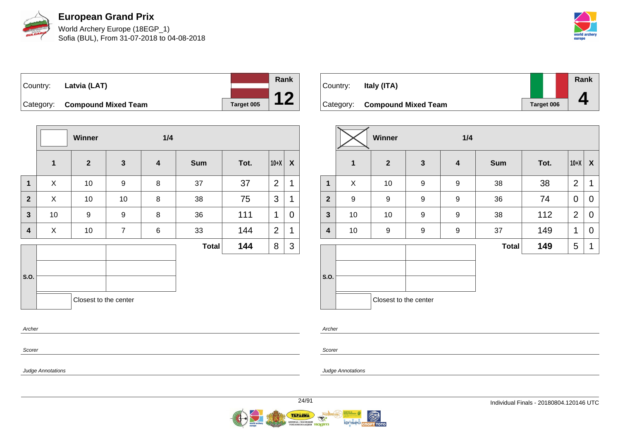

World Archery Europe (18EGP\_1) Sofia (BUL), From 31-07-2018 to 04-08-2018



Country: **Latvia (LAT)** Category: **Compound Mixed Team Target 005** 



|                         |              | Winner                |                | 1/4                     |              |      |                |   |
|-------------------------|--------------|-----------------------|----------------|-------------------------|--------------|------|----------------|---|
|                         | $\mathbf{1}$ | $\mathbf{2}$          | $\mathbf{3}$   | $\overline{\mathbf{4}}$ | <b>Sum</b>   | Tot. | $10+X$         | X |
| $\mathbf{1}$            | X            | 10                    | 9              | 8                       | 37           | 37   | $\overline{2}$ | 1 |
| $\overline{2}$          | X            | 10                    | 10             | 8                       | 38           | 75   | 3              | 1 |
| $\overline{\mathbf{3}}$ | 10           | 9                     | 9              | 8                       | 36           | 111  | 1              | 0 |
| $\overline{\mathbf{4}}$ | X            | 10                    | $\overline{7}$ | 6                       | 33           | 144  | $\overline{2}$ | 1 |
|                         |              |                       |                |                         | <b>Total</b> | 144  | 8              | 3 |
| S.O.                    |              | Closest to the center |                |                         |              |      |                |   |
| Archer                  |              |                       |                |                         |              |      |                |   |

| Country: | Italy (ITA)                   |                   | Rank |
|----------|-------------------------------|-------------------|------|
|          |                               |                   |      |
|          | Category: Compound Mixed Team | <b>Target 006</b> |      |

|                |             | Winner                |              | 1/4              |              |      |                |                  |
|----------------|-------------|-----------------------|--------------|------------------|--------------|------|----------------|------------------|
|                | $\mathbf 1$ | $\mathbf{2}$          | $\mathbf{3}$ | $\boldsymbol{4}$ | <b>Sum</b>   | Tot. | $10+X$         | $\boldsymbol{X}$ |
| $\mathbf{1}$   | X           | 10                    | 9            | 9                | 38           | 38   | $\overline{2}$ | 1                |
| $\overline{2}$ | 9           | 9                     | 9            | 9                | 36           | 74   | $\mathbf 0$    | 0                |
| $\mathbf{3}$   | 10          | 10                    | 9            | 9                | 38           | 112  | $\overline{2}$ | 0                |
| 4              | 10          | $\boldsymbol{9}$      | 9            | 9                | 37           | 149  | 1              | 0                |
|                |             |                       |              |                  | <b>Total</b> | 149  | 5              | 1                |
| S.O.           |             | Closest to the center |              |                  |              |      |                |                  |
|                |             |                       |              |                  |              |      |                |                  |

Archer

Scorer

Judge Annotations

Scorer

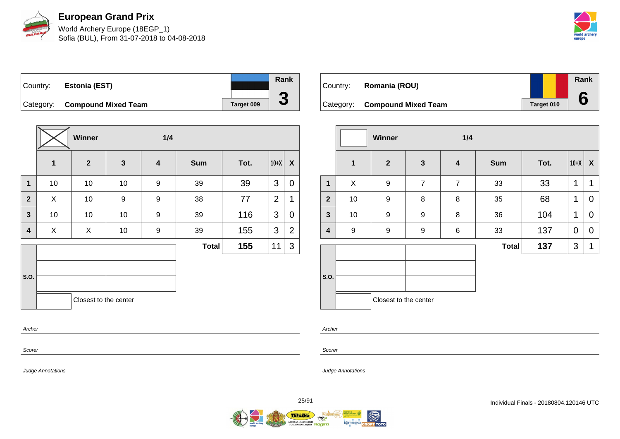

World Archery Europe (18EGP\_1) Sofia (BUL), From 31-07-2018 to 04-08-2018



Country: **Estonia (EST)** Category: **Compound Mixed Team Target 009** 



|                         |              | Winner                |                  | 1/4 |              |      |                |                |
|-------------------------|--------------|-----------------------|------------------|-----|--------------|------|----------------|----------------|
|                         | $\mathbf{1}$ | $\overline{2}$        | $\mathbf{3}$     | 4   | <b>Sum</b>   | Tot. | $10+X$         | X              |
| $\mathbf{1}$            | $10\,$       | 10                    | 10               | 9   | 39           | 39   | 3              | $\mathbf 0$    |
| $\overline{2}$          | X            | 10                    | $\boldsymbol{9}$ | 9   | 38           | 77   | $\overline{2}$ | 1              |
| $\mathbf{3}$            | 10           | 10                    | 10               | 9   | 39           | 116  | 3              | 0              |
| $\overline{\mathbf{4}}$ | X            | X                     | 10               | 9   | 39           | 155  | 3              | $\overline{2}$ |
|                         |              |                       |                  |     | <b>Total</b> | 155  | 11             | 3              |
|                         |              |                       |                  |     |              |      |                |                |
| S.O.                    |              |                       |                  |     |              |      |                |                |
|                         |              | Closest to the center |                  |     |              |      |                |                |
| Archer                  |              |                       |                  |     |              |      |                |                |

| Country: | Romania (ROU)                 |            | Rank |
|----------|-------------------------------|------------|------|
|          | Category: Compound Mixed Team | Target 010 |      |

|              |                  | Winner                |                | 1/4                     |              |      |                |                  |
|--------------|------------------|-----------------------|----------------|-------------------------|--------------|------|----------------|------------------|
|              | $\mathbf{1}$     | $\mathbf{2}$          | $\mathbf{3}$   | $\overline{\mathbf{4}}$ | <b>Sum</b>   | Tot. | $10+X$         | $\boldsymbol{X}$ |
| $\mathbf{1}$ | X                | 9                     | $\overline{7}$ | $\overline{7}$          | 33           | 33   | 1              | 1                |
| $\mathbf{2}$ | 10               | 9                     | 8              | 8                       | 35           | 68   | 1              | 0                |
| $\mathbf{3}$ | 10               | 9                     | 9              | 8                       | 36           | 104  | 1              | 0                |
| 4            | $\boldsymbol{9}$ | 9                     | 9              | 6                       | 33           | 137  | $\mathbf 0$    | 0                |
|              |                  |                       |                |                         | <b>Total</b> | 137  | $\mathfrak{B}$ | $\mathbf 1$      |
| S.O.         |                  |                       |                |                         |              |      |                |                  |
|              |                  | Closest to the center |                |                         |              |      |                |                  |

Archer

Scorer

Judge Annotations

Scorer

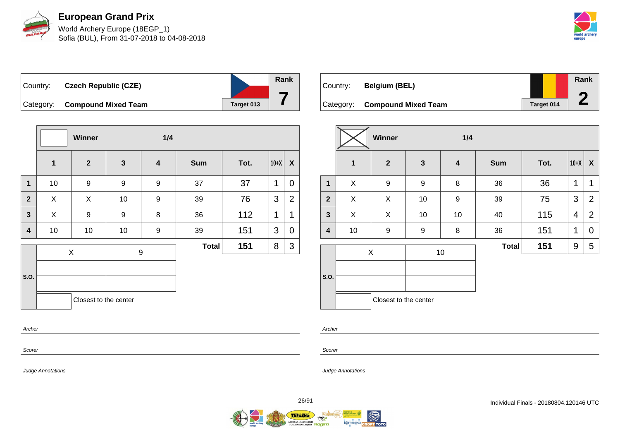

World Archery Europe (18EGP\_1) Sofia (BUL), From 31-07-2018 to 04-08-2018



Country: **Czech Republic (CZE)** Category: **Compound Mixed Team Target 013 Rank 7**

|              |              | Winner                | 1/4              |                         |            |      |        |                |
|--------------|--------------|-----------------------|------------------|-------------------------|------------|------|--------|----------------|
|              | $\mathbf{1}$ | $\overline{2}$        | $\mathbf{3}$     | $\overline{\mathbf{4}}$ | <b>Sum</b> | Tot. | $10+X$ | X              |
| $\mathbf{1}$ | 10           | $\boldsymbol{9}$      | $\boldsymbol{9}$ | 9                       | 37         | 37   | 1      | $\mathbf 0$    |
| $\mathbf{2}$ | X            | X                     | 10               | 9                       | 39         | 76   | 3      | $\overline{2}$ |
| $\mathbf{3}$ | X            | 9                     | 9                | 8                       | 36         | 112  | 1      | 1              |
| 4            | $10$         | 10                    | 10               | 9                       | 39         | 151  | 3      | 0              |
|              |              | $\mathsf X$           |                  | $\boldsymbol{9}$        |            | 151  | 8      | 3              |
|              |              |                       |                  |                         |            |      |        |                |
| S.O.         |              |                       |                  |                         |            |      |        |                |
|              |              | Closest to the center |                  |                         |            |      |        |                |
| Archer       |              |                       |                  |                         |            |      |        |                |

| Country: | <b>Belgium (BEL)</b>          |            | Rank |
|----------|-------------------------------|------------|------|
|          | Category: Compound Mixed Team | Target 014 |      |

|                |              | <b>Winner</b>         |              | 1/4                     |              |      |                |                  |
|----------------|--------------|-----------------------|--------------|-------------------------|--------------|------|----------------|------------------|
|                | $\mathbf{1}$ | $\overline{2}$        | $\mathbf{3}$ | $\overline{\mathbf{4}}$ | <b>Sum</b>   | Tot. | $10+X$         | $\boldsymbol{X}$ |
| $\mathbf{1}$   | X            | 9                     | 9            | 8                       | 36           | 36   | 1              | 1                |
| $\overline{2}$ | X            | X                     | 10           | $\boldsymbol{9}$        | 39           | 75   | 3              | $\overline{2}$   |
| $\mathbf{3}$   | X            | X                     | 10           | 10                      | 40           | 115  | $\overline{4}$ | $\overline{2}$   |
| 4              | 10           | 9                     | 9            | 8                       | 36           | 151  | 1              | 0                |
|                |              | X                     |              | 10                      | <b>Total</b> | 151  | 9              | 5                |
| S.O.           |              |                       |              |                         |              |      |                |                  |
|                |              | Closest to the center |              |                         |              |      |                |                  |

Archer

Scorer

Judge Annotations

Scorer

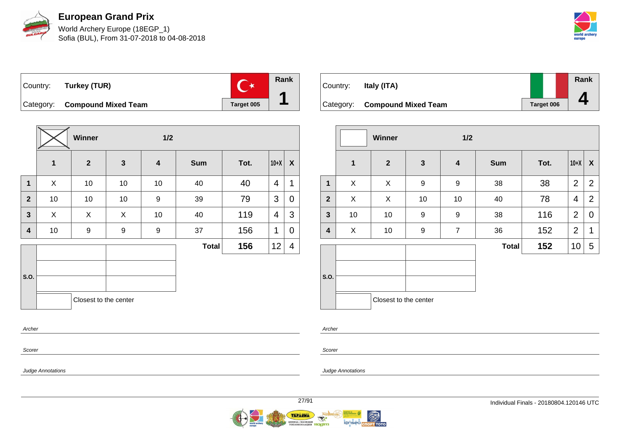

World Archery Europe (18EGP\_1) Sofia (BUL), From 31-07-2018 to 04-08-2018



 $C^*$ Country: **Turkey (TUR)** Category: **Compound Mixed Team Target 005** 

|                         | Winner<br>1/2 |                       |              |                         |              |      |                |                |
|-------------------------|---------------|-----------------------|--------------|-------------------------|--------------|------|----------------|----------------|
|                         | $\mathbf 1$   | $\overline{2}$        | $\mathbf{3}$ | $\overline{\mathbf{4}}$ | <b>Sum</b>   | Tot. | $10+X$         | X              |
| $\mathbf{1}$            | X             | $10$                  | 10           | 10                      | 40           | 40   | 4              | 1              |
| $\overline{2}$          | 10            | 10                    | 10           | 9                       | 39           | 79   | 3              | 0              |
| $\overline{\mathbf{3}}$ | X             | X                     | X            | 10                      | 40           | 119  | $\overline{4}$ | 3              |
| $\overline{\mathbf{4}}$ | 10            | 9                     | 9            | 9                       | 37           | 156  | 1              | 0              |
|                         |               |                       |              |                         | <b>Total</b> | 156  | 12             | $\overline{4}$ |
|                         |               |                       |              |                         |              |      |                |                |
| S.O.                    |               |                       |              |                         |              |      |                |                |
|                         |               | Closest to the center |              |                         |              |      |                |                |
| Archer                  |               |                       |              |                         |              |      |                |                |

| Country: | Italy (ITA)                   |            | Rank |
|----------|-------------------------------|------------|------|
|          | Category: Compound Mixed Team | Target 006 |      |

|                |              | Winner                |                  | 1/2                     |              |      |                |                  |
|----------------|--------------|-----------------------|------------------|-------------------------|--------------|------|----------------|------------------|
|                | $\mathbf{1}$ | $\boldsymbol{2}$      | $\mathbf{3}$     | $\overline{\mathbf{4}}$ | <b>Sum</b>   | Tot. | $10+X$         | $\boldsymbol{X}$ |
| 1              | X            | X                     | $\boldsymbol{9}$ | $\boldsymbol{9}$        | 38           | 38   | $\overline{2}$ | $\overline{2}$   |
| $\overline{2}$ | X            | X                     | 10               | 10                      | 40           | 78   | 4              | $\overline{2}$   |
| 3              | 10           | 10                    | 9                | 9                       | 38           | 116  | $\overline{2}$ | 0                |
| 4              | X            | 10                    | $\boldsymbol{9}$ | $\overline{7}$          | 36           | 152  | $\overline{2}$ | 1                |
|                |              |                       |                  |                         | <b>Total</b> | 152  | 10             | 5                |
| S.O.           |              | Closest to the center |                  |                         |              |      |                |                  |

Scorer

Scorer

Judge Annotations

Archer

Judge Annotations



**Rank**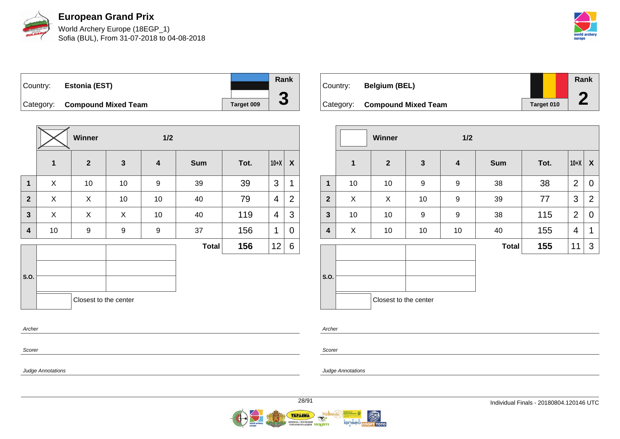

World Archery Europe (18EGP\_1) Sofia (BUL), From 31-07-2018 to 04-08-2018



Country: **Estonia (EST)** Category: **Compound Mixed Team Target 009** 

|                         |             | Winner                |              | 1/2                     |              |      |        |                  |
|-------------------------|-------------|-----------------------|--------------|-------------------------|--------------|------|--------|------------------|
|                         | $\mathbf 1$ | $\mathbf{2}$          | $\mathbf{3}$ | $\overline{\mathbf{4}}$ | <b>Sum</b>   | Tot. | $10+X$ | $\boldsymbol{X}$ |
| $\mathbf 1$             | X           | 10                    | 10           | 9                       | 39           | 39   | 3      | 1                |
| $\overline{2}$          | X           | X                     | 10           | $10$                    | 40           | 79   | 4      | $\overline{2}$   |
| $\overline{\mathbf{3}}$ | X           | X                     | X            | 10                      | 40           | 119  | 4      | 3                |
| 4                       | $10$        | $\boldsymbol{9}$      | 9            | 9                       | 37           | 156  | 1      | 0                |
|                         |             |                       |              |                         | <b>Total</b> | 156  | 12     | 6                |
|                         |             |                       |              |                         |              |      |        |                  |
| S.O.                    |             |                       |              |                         |              |      |        |                  |
|                         |             | Closest to the center |              |                         |              |      |        |                  |
| Archer                  |             |                       |              |                         |              |      |        |                  |

| Country: | <b>Belgium (BEL)</b>          |            | Rank |
|----------|-------------------------------|------------|------|
|          | Category: Compound Mixed Team | Target 010 |      |

|              |    | Winner                |              |                  |              |      |                |                |
|--------------|----|-----------------------|--------------|------------------|--------------|------|----------------|----------------|
|              | 1  | $\mathbf{2}$          | $\mathbf{3}$ | $\boldsymbol{4}$ | <b>Sum</b>   | Tot. | $10+X$         | X              |
| $\mathbf{1}$ | 10 | 10                    | 9            | $\boldsymbol{9}$ | 38           | 38   | $\overline{2}$ | $\overline{0}$ |
| $\mathbf{2}$ | X  | X                     | 10           | 9                | 39           | 77   | 3              | $\overline{2}$ |
| $\mathbf{3}$ | 10 | 10                    | 9            | 9                | 38           | 115  | $\overline{2}$ | 0              |
| 4            | X  | 10                    | 10           | 10               | 40           | 155  | 4              | 1              |
|              |    |                       |              |                  | <b>Total</b> | 155  | 11             | 3              |
| S.O.         |    |                       |              |                  |              |      |                |                |
|              |    | Closest to the center |              |                  |              |      |                |                |

Archer

Scorer

Judge Annotations

Scorer

Judge Annotations

**Rank**

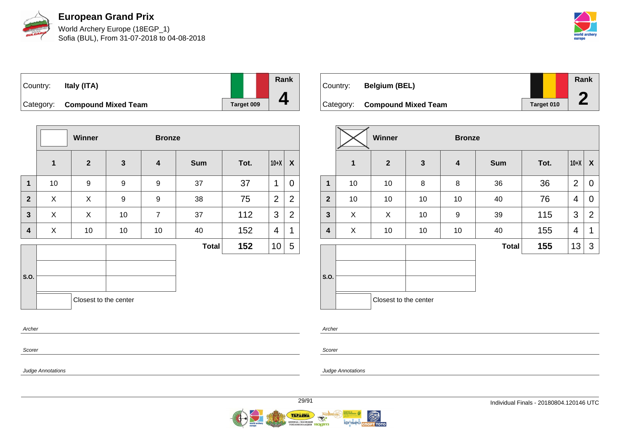

World Archery Europe (18EGP\_1) Sofia (BUL), From 31-07-2018 to 04-08-2018



| Country: | Italy (ITA)                   |                   | Rank |
|----------|-------------------------------|-------------------|------|
|          |                               |                   |      |
|          | Category: Compound Mixed Team | <b>Target 009</b> |      |

|                         |             | Winner                |                 | <b>Bronze</b>           |              |      |                |                |
|-------------------------|-------------|-----------------------|-----------------|-------------------------|--------------|------|----------------|----------------|
|                         | $\mathbf 1$ | $\overline{2}$        | $\mathbf{3}$    | $\overline{\mathbf{4}}$ | <b>Sum</b>   | Tot. | $10+X$         | X              |
| 1                       | 10          | $\boldsymbol{9}$      | 9               | 9                       | 37           | 37   | 1              | $\mathbf 0$    |
| $\mathbf{2}$            | X           | X                     | 9               | 9                       | 38           | 75   | $\overline{2}$ | $\overline{2}$ |
| 3                       | X           | X                     | 10              | $\overline{7}$          | 37           | 112  | 3              | $\overline{2}$ |
| $\overline{\mathbf{4}}$ | X           | 10                    | 10 <sup>1</sup> | 10                      | 40           | 152  | 4              | $\mathbf 1$    |
|                         |             |                       |                 |                         | <b>Total</b> | 152  | 10             | 5              |
| S.O.                    |             | Closest to the center |                 |                         |              |      |                |                |

| Country:  | <b>Belgium (BEL)</b>       |            | Rank |
|-----------|----------------------------|------------|------|
|           |                            |            |      |
| Category: | <b>Compound Mixed Team</b> | Target 010 |      |

|                |             | Winner                |              | <b>Bronze</b>    |              |      |                |                |  |  |  |
|----------------|-------------|-----------------------|--------------|------------------|--------------|------|----------------|----------------|--|--|--|
|                | $\mathbf 1$ | $\mathbf{2}$          | $\mathbf{3}$ | $\boldsymbol{4}$ | <b>Sum</b>   | Tot. | $10+X$         | X              |  |  |  |
| 1              | 10          | 10                    | 8            | 8                | 36           | 36   | $\overline{2}$ | $\mathbf 0$    |  |  |  |
| $\overline{2}$ | 10          | 10                    | 10           | 10               | 40           | 76   | 4              | $\overline{0}$ |  |  |  |
| $\mathbf{3}$   | X           | X                     | 10           | $\boldsymbol{9}$ | 39           | 115  | 3              | $\overline{2}$ |  |  |  |
| 4              | X           | 10                    | 10           | 10               | 40           | 155  | 4              | 1              |  |  |  |
|                |             |                       |              |                  | <b>Total</b> | 155  | 13             | 3              |  |  |  |
| S.O.           |             |                       |              |                  |              |      |                |                |  |  |  |
|                |             | Closest to the center |              |                  |              |      |                |                |  |  |  |

Archer

Scorer

Judge Annotations

Archer

Scorer

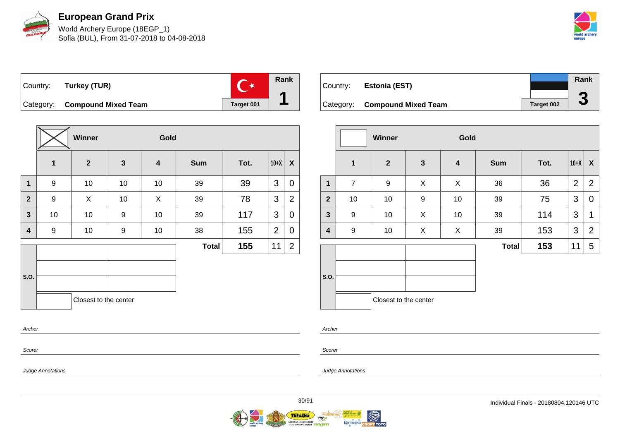

World Archery Europe (18EGP\_1) Sofia (BUL), From 31-07-2018 to 04-08-2018



 $\overline{C^*}$ Country: **Turkey (TUR)** Category: **Compound Mixed Team Target 001** 

**Winner Gold 1 2 3 4 Sum Tot. 10+X X 1** | 9 | 10 | 10 | 10 | 39 | 39 |3 |0 **2** | 9 | X | 10 | X | 39 | 78 |3 | 2 **3** | 10 | 10 | 9 | 10 | 39 | 117 |3 | 0 **4** | 9 | 10 | 9 | 10 | 38 | 155 |2 | 0 **S.O. Total 155**  $|11|2$ Closest to the center Archer

Country: **Estonia (EST)** Category: **Compound Mixed Team Target 002 Rank 3**

|                         |                | Winner                |              | Gold                    |              |      |                |                  |
|-------------------------|----------------|-----------------------|--------------|-------------------------|--------------|------|----------------|------------------|
|                         | 1              | $\mathbf{2}$          | $\mathbf{3}$ | $\overline{\mathbf{4}}$ | <b>Sum</b>   | Tot. | $10+X$         | $\boldsymbol{X}$ |
| $\mathbf{1}$            | $\overline{7}$ | 9                     | X            | X                       | 36           | 36   | $\overline{2}$ | $\overline{2}$   |
| $\mathbf{2}$            | 10             | 10                    | 9            | 10                      | 39           | 75   | 3              | 0                |
| $\mathbf{3}$            | 9              | 10                    | X            | 10                      | 39           | 114  | 3              | 1                |
| $\overline{\mathbf{4}}$ | 9              | 10                    | X            | X                       | 39           | 153  | 3              | $\overline{2}$   |
|                         |                |                       |              |                         | <b>Total</b> | 153  | 11             | 5                |
| S.O.                    |                | Closest to the center |              |                         |              |      |                |                  |
|                         |                |                       |              |                         |              |      |                |                  |

Scorer

Scorer

Archer

Judge Annotations

Judge Annotations

**Rank**

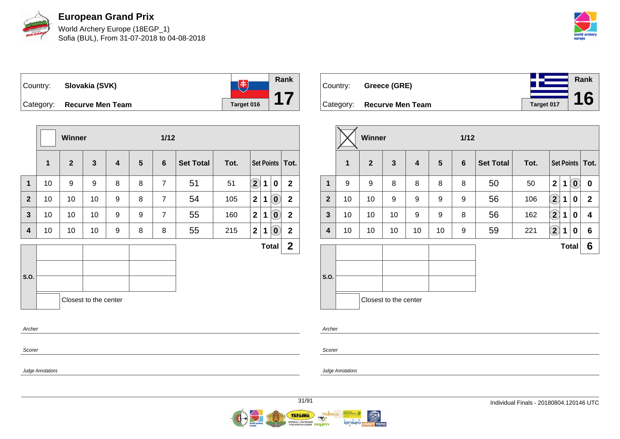

World Archery Europe (18EGP\_1) Sofia (BUL), From 31-07-2018 to 04-08-2018



**Rank**  $\begin{tabular}{|c|c|c|c|c|} \hline & \# & \# \\ \hline \end{tabular}$ Country: **Slovakia (SVK) 17** Category: **Recurve Men Team Tanget 016** 

|                |    | Winner         |                       |                         |                | $1/12$         |                  |      |              |              |                                                |                   |
|----------------|----|----------------|-----------------------|-------------------------|----------------|----------------|------------------|------|--------------|--------------|------------------------------------------------|-------------------|
|                | 1  | $\overline{2}$ | $\mathbf{3}$          | $\overline{\mathbf{4}}$ | $5\phantom{1}$ | 6              | <b>Set Total</b> | Tot. |              |              |                                                | Set Points   Tot. |
| $\mathbf{1}$   | 10 | 9              | 9                     | 8                       | 8              | $\overline{7}$ | 51               | 51   | $\mathbf{2}$ | 1            | 0                                              | $\mathbf{2}$      |
| $\overline{2}$ | 10 | 10             | 10                    | 9                       | 8              | $\overline{7}$ | 54               | 105  | $\mathbf{2}$ | 1            | $\left( \begin{matrix} 0 \end{matrix} \right)$ | $\mathbf{2}$      |
| $\mathbf{3}$   | 10 | 10             | 10                    | 9                       | 9              | $\overline{7}$ | 55               | 160  | $\mathbf{2}$ | 1            | $\mathbf{0}$                                   | $\mathbf{2}$      |
| 4              | 10 | 10             | 10                    | 9                       | 8              | 8              | 55               | 215  | $\mathbf{2}$ | 1            | $(\mathbf{0})$                                 | $\overline{2}$    |
|                |    |                |                       |                         |                |                |                  |      |              | <b>Total</b> |                                                | $\mathbf{2}$      |
| S.O.           |    |                |                       |                         |                |                |                  |      |              |              |                                                |                   |
| Archer         |    |                | Closest to the center |                         |                |                |                  |      |              |              |                                                |                   |
| Scorer         |    |                |                       |                         |                |                |                  |      |              |              |                                                |                   |

| Country: | Greece (GRE)               |            | Rank |
|----------|----------------------------|------------|------|
|          |                            | Target 017 | 16   |
|          | Category: Recurve Men Team |            |      |

|              |    | <b>Winner</b>  |                       |                  |                 | $1/12$ |                  |      |                   |              |           |                   |
|--------------|----|----------------|-----------------------|------------------|-----------------|--------|------------------|------|-------------------|--------------|-----------|-------------------|
|              | 1  | $\overline{2}$ | $\mathbf{3}$          | $\boldsymbol{4}$ | $5\phantom{.0}$ | 6      | <b>Set Total</b> | Tot. |                   |              |           | Set Points   Tot. |
| 1            | 9  | 9              | 8                     | 8                | 8               | 8      | 50               | 50   | $\mathbf{2}$      | 1            | $\hat{0}$ | $\mathbf 0$       |
| $\mathbf{2}$ | 10 | 10             | 9                     | 9                | 9               | 9      | 56               | 106  | $\left( 2\right)$ | 1            | 0         | $\mathbf{2}$      |
| $\mathbf{3}$ | 10 | 10             | 10                    | 9                | 9               | 8      | 56               | 162  | $\left( 2\right)$ | 1            | 0         | 4                 |
| 4            | 10 | 10             | 10                    | 10               | 10              | 9      | 59               | 221  | $\mathbf{2}$      | 1            | 0         | 6                 |
|              |    |                |                       |                  |                 |        |                  |      |                   | <b>Total</b> |           | 6                 |
| S.O.         |    |                |                       |                  |                 |        |                  |      |                   |              |           |                   |
|              |    |                | Closest to the center |                  |                 |        |                  |      |                   |              |           |                   |

Archer

Scorer

Judge Annotations

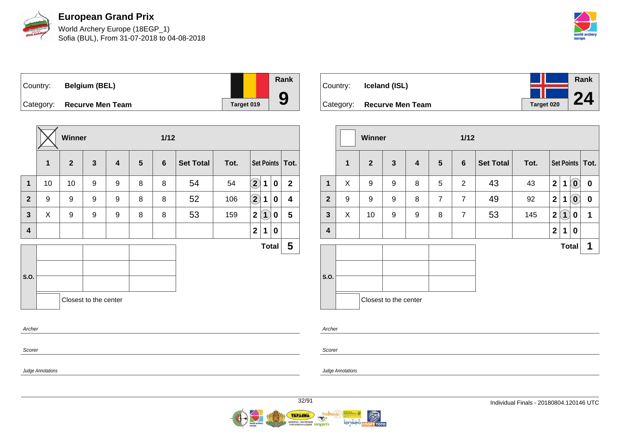

World Archery Europe (18EGP\_1) Sofia (BUL), From 31-07-2018 to 04-08-2018



Country: **Belgium (BEL)** Category: **Recurve Men Team Target 019** 

|                         | Winner<br>$1/12$ |                |                       |                         |                |                |                  |      |                    |                   |              |                   |
|-------------------------|------------------|----------------|-----------------------|-------------------------|----------------|----------------|------------------|------|--------------------|-------------------|--------------|-------------------|
|                         | $\mathbf{1}$     | $\overline{2}$ | $\mathbf{3}$          | $\overline{\mathbf{4}}$ | $5\phantom{1}$ | $6\phantom{1}$ | <b>Set Total</b> | Tot. |                    |                   |              | Set Points   Tot. |
| $\mathbf{1}$            | 10               | 10             | 9                     | 9                       | 8              | 8              | 54               | 54   | $\left( 2\right)$  | $\mathbf 1$       | 0            | $\mathbf{2}$      |
| $\mathbf{2}$            | 9                | 9              | 9                     | 9                       | 8              | 8              | 52               | 106  | $\bf \overline{2}$ | 1                 | 0            | 4                 |
| $\overline{\mathbf{3}}$ | X                | 9              | 9                     | 9                       | 8              | 8              | 53               | 159  | 2 <sup>1</sup>     | $\left( 1\right)$ | 0            | 5                 |
| $\overline{\mathbf{4}}$ |                  |                |                       |                         |                |                |                  |      | 2 <sup>1</sup>     | 1                 | $\mathbf 0$  |                   |
|                         |                  |                |                       |                         |                |                |                  |      |                    |                   | <b>Total</b> | $5\phantom{.0}$   |
|                         |                  |                |                       |                         |                |                |                  |      |                    |                   |              |                   |
| S.O.                    |                  |                |                       |                         |                |                |                  |      |                    |                   |              |                   |
|                         |                  |                | Closest to the center |                         |                |                |                  |      |                    |                   |              |                   |
| Archer                  |                  |                |                       |                         |                |                |                  |      |                    |                   |              |                   |

| Country: |                            |            | Rank |
|----------|----------------------------|------------|------|
|          | Iceland (ISL)              |            | 24   |
|          | Category: Recurve Men Team | Target 020 |      |

|                         |              | Winner         |                       |                         |                 | $1/12$         |                  |      |                |              |                            |                   |
|-------------------------|--------------|----------------|-----------------------|-------------------------|-----------------|----------------|------------------|------|----------------|--------------|----------------------------|-------------------|
|                         | $\mathbf{1}$ | 2 <sup>2</sup> | $\mathbf{3}$          | $\overline{\mathbf{4}}$ | $5\phantom{.0}$ | $6\phantom{a}$ | <b>Set Total</b> | Tot. |                |              |                            | Set Points   Tot. |
| $\mathbf{1}$            | X            | 9              | 9                     | 8                       | 5               | $\overline{2}$ | 43               | 43   | $\overline{2}$ | $\mathbf 1$  | $\left( \mathbf{0}\right)$ | $\bf{0}$          |
| $\overline{2}$          | 9            | 9              | 9                     | 8                       | $\overline{7}$  | $\overline{7}$ | 49               | 92   | $\mathbf{2}$   | $\mathbf 1$  | $\left( \mathbf{0}\right)$ | $\boldsymbol{0}$  |
| $\mathbf{3}$            | X            | 10             | 9                     | 9                       | 8               | $\overline{7}$ | 53               | 145  | $\mathbf 2$    | (1)          | 0                          | 1                 |
| $\overline{\mathbf{4}}$ |              |                |                       |                         |                 |                |                  |      | $\mathbf{2}$   | 1            | 0                          |                   |
|                         |              |                |                       |                         |                 |                |                  |      |                | <b>Total</b> |                            | 1                 |
| S.O.                    |              |                |                       |                         |                 |                |                  |      |                |              |                            |                   |
|                         |              |                | Closest to the center |                         |                 |                |                  |      |                |              |                            |                   |

Scorer

Scorer

Archer

Judge Annotations

Judge Annotations

**Rank**

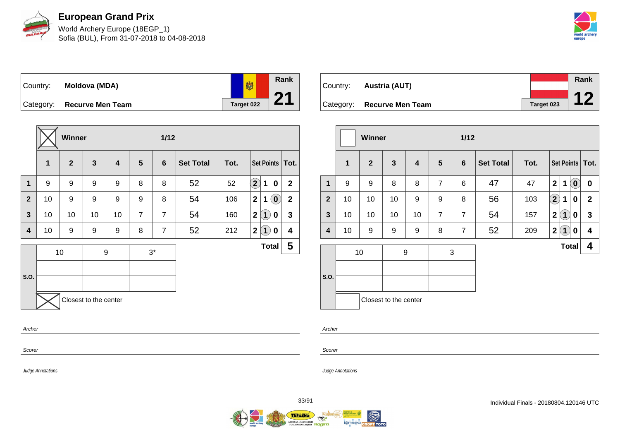

World Archery Europe (18EGP\_1) Sofia (BUL), From 31-07-2018 to 04-08-2018



**Rank** 劇 Country: **Moldova (MDA) 21** Category: **Recurve Men Team Target 022** 

|                |              | Winner         |                       |                         |                | $1/12$         |                  |      |                            |                   |                            |                         |
|----------------|--------------|----------------|-----------------------|-------------------------|----------------|----------------|------------------|------|----------------------------|-------------------|----------------------------|-------------------------|
|                | $\mathbf{1}$ | $\overline{2}$ | $\mathbf{3}$          | $\overline{\mathbf{4}}$ | 5              | $6\phantom{1}$ | <b>Set Total</b> | Tot. |                            |                   |                            | Set Points   Tot.       |
| 1              | 9            | 9              | 9                     | 9                       | 8              | 8              | 52               | 52   | $\left( \mathbf{2}\right)$ | 1                 | $\mathbf 0$                | $\mathbf{2}$            |
| $\overline{2}$ | 10           | 9              | 9                     | 9                       | 9              | 8              | 54               | 106  | $\mathbf{2}$               | 1                 | $\left( \mathbf{0}\right)$ | $\overline{\mathbf{2}}$ |
| $\mathbf{3}$   | 10           | 10             | 10                    | 10                      | $\overline{7}$ | $\overline{7}$ | 54               | 160  | $\mathbf 2$                | $\left( 1\right)$ | 0                          | $\mathbf{3}$            |
| 4              | 10           | 9              | 9                     | 9                       | 8              | $\overline{7}$ | 52               | 212  | $\mathbf 2$                | $\bf(1)$          | 0                          | 4                       |
|                |              | 10             |                       | $\boldsymbol{9}$        |                | $3^*$          |                  |      |                            | <b>Total</b>      |                            | 5                       |
|                |              |                |                       |                         |                |                |                  |      |                            |                   |                            |                         |
| S.O.           |              |                |                       |                         |                |                |                  |      |                            |                   |                            |                         |
|                |              |                | Closest to the center |                         |                |                |                  |      |                            |                   |                            |                         |
| Archer         |              |                |                       |                         |                |                |                  |      |                            |                   |                            |                         |
| Scorer         |              |                |                       |                         |                |                |                  |      |                            |                   |                            |                         |

| Country: | Austria (AUT)              |            | Rank |
|----------|----------------------------|------------|------|
|          |                            |            | 1 C  |
|          | Category: Recurve Men Team | Target 023 |      |

|                         |              | <b>Winner</b>  |                       |    |                | $1/12$         |                  |      |                            |              |                                                |                   |
|-------------------------|--------------|----------------|-----------------------|----|----------------|----------------|------------------|------|----------------------------|--------------|------------------------------------------------|-------------------|
|                         | $\mathbf{1}$ | $\overline{2}$ | $\mathbf{3}$          | 4  | 5              | $6\phantom{1}$ | <b>Set Total</b> | Tot. |                            |              |                                                | Set Points   Tot. |
| $\mathbf 1$             | 9            | 9              | 8                     | 8  | $\overline{7}$ | 6              | 47               | 47   | $\overline{\mathbf{2}}$    | 1            | $\left( \begin{matrix} 0 \end{matrix} \right)$ | $\pmb{0}$         |
| $\overline{2}$          | 10           | 10             | 10                    | 9  | 9              | 8              | 56               | 103  | $\left( \mathbf{2}\right)$ | 1            | 0                                              | $\mathbf{2}$      |
| $\mathbf{3}$            | 10           | 10             | 10                    | 10 | $\overline{7}$ | $\overline{7}$ | 54               | 157  | $\overline{\mathbf{2}}$    | $\boxed{1}$  | 0                                              | 3                 |
| $\overline{\mathbf{4}}$ | 10           | 9              | 9                     | 9  | 8              | $\overline{7}$ | 52               | 209  | $\mathbf{2}$               | $\boxed{1}$  | 0                                              | 4                 |
| S.O.                    |              | 10             | 9                     |    |                | 3              |                  |      |                            | <b>Total</b> |                                                | 4                 |
|                         |              |                | Closest to the center |    |                |                |                  |      |                            |              |                                                |                   |

Archer

Scorer

Judge Annotations

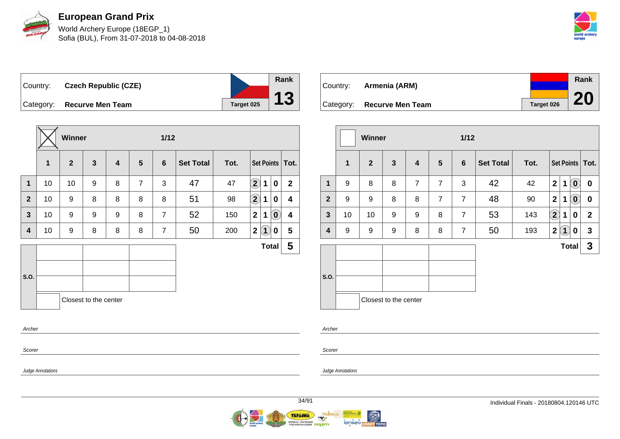

World Archery Europe (18EGP\_1) Sofia (BUL), From 31-07-2018 to 04-08-2018



Country: **Czech Republic (CZE)** Category: **Recurve Men Team Target 025** 

|                |    | Winner       |                       |   |                | $1/12$         |                  |      |                            |                         |                   |
|----------------|----|--------------|-----------------------|---|----------------|----------------|------------------|------|----------------------------|-------------------------|-------------------|
|                | 1  | $\mathbf{2}$ | $\mathbf{3}$          | 4 | $5\phantom{1}$ | 6              | <b>Set Total</b> | Tot. |                            |                         | Set Points   Tot. |
| $\mathbf 1$    | 10 | 10           | 9                     | 8 | $\overline{7}$ | 3              | 47               | 47   | $\left( \mathbf{2}\right)$ | 1<br>0                  | $\mathbf{2}$      |
| $\overline{2}$ | 10 | 9            | 8                     | 8 | 8              | 8              | 51               | 98   | $\bigcirc \!\! 2$          | 0<br>1                  | 4                 |
| $\mathbf{3}$   | 10 | 9            | 9                     | 9 | 8              | $\overline{7}$ | 52               | 150  | $\mathbf{2}$               | $\left( 0\right)$<br>1  | 4                 |
| 4              | 10 | 9            | 8                     | 8 | 8              | $\overline{7}$ | 50               | 200  | $\mathbf 2$                | $\left( 1 \right)$<br>0 | 5                 |
|                |    |              |                       |   |                |                |                  |      |                            | <b>Total</b>            | 5                 |
| S.O.           |    |              |                       |   |                |                |                  |      |                            |                         |                   |
|                |    |              | Closest to the center |   |                |                |                  |      |                            |                         |                   |
| Archer         |    |              |                       |   |                |                |                  |      |                            |                         |                   |
| Scorer         |    |              |                       |   |                |                |                  |      |                            |                         |                   |

| Country: | Armenia (ARM)              |            | Rank      |
|----------|----------------------------|------------|-----------|
|          |                            |            |           |
|          | Category: Recurve Men Team | Target 026 | <b>20</b> |

|                |             | Winner         |                       |                         |                |                |                  |      |              |                   |                                                |                   |
|----------------|-------------|----------------|-----------------------|-------------------------|----------------|----------------|------------------|------|--------------|-------------------|------------------------------------------------|-------------------|
|                | $\mathbf 1$ | $\overline{2}$ | $\mathbf{3}$          | $\overline{\mathbf{4}}$ | $5\phantom{1}$ | $6\phantom{1}$ | <b>Set Total</b> | Tot. |              |                   |                                                | Set Points   Tot. |
| 1              | 9           | 8              | 8                     | $\overline{7}$          | $\overline{7}$ | 3              | 42               | 42   | $\mathbf{2}$ | 1                 | $\left( \mathbf{0}\right)$                     | $\bf{0}$          |
| $\overline{2}$ | 9           | 9              | 8                     | 8                       | $\overline{7}$ | $\overline{7}$ | 48               | 90   | $\mathbf{2}$ | 1                 | $\left[ \begin{matrix} 0 \end{matrix} \right]$ | 0                 |
| $\mathbf{3}$   | 10          | 10             | 9                     | 9                       | 8              | $\overline{7}$ | 53               | 143  | $\Large 2$   | 1                 | 0                                              | $\mathbf 2$       |
| 4              | 9           | 9              | 9                     | 8                       | 8              | $\overline{7}$ | 50               | 193  | $\mathbf{2}$ | $\left( 1\right)$ | 0                                              | $\mathbf{3}$      |
|                |             |                |                       |                         |                |                |                  |      |              | <b>Total</b>      |                                                | 3                 |
| S.O.           |             |                | Closest to the center |                         |                |                |                  |      |              |                   |                                                |                   |

Archer

Judge Annotations

Scorer

Judge Annotations

**Rank**

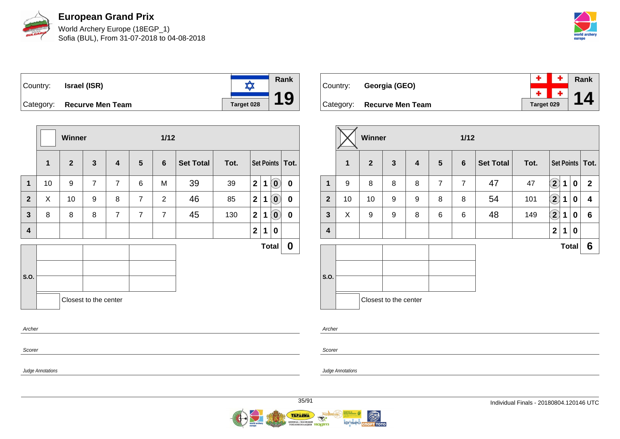

World Archery Europe (18EGP\_1) Sofia (BUL), From 31-07-2018 to 04-08-2018



**Rank**  $\frac{1}{\sqrt{2}}$ Country: **Israel (ISR) 19** Category: **Recurve Men Team Tanget 028** 

|              |              | Winner       |                       |                |                | $1/12$         |                  |      |                |   |                            |                   |
|--------------|--------------|--------------|-----------------------|----------------|----------------|----------------|------------------|------|----------------|---|----------------------------|-------------------|
|              | $\mathbf{1}$ | $\mathbf{2}$ | $\mathbf{3}$          | 4              | 5              | 6              | <b>Set Total</b> | Tot. |                |   |                            | Set Points   Tot. |
| 1            | 10           | 9            | $\overline{7}$        | $\overline{7}$ | 6              | M              | 39               | 39   | $\overline{2}$ | 1 | $\overline{10}$            | $\bf{0}$          |
| $\mathbf{2}$ | X            | 10           | 9                     | 8              | $\overline{7}$ | 2              | 46               | 85   | $\mathbf{2}$   | 1 | $\left( \mathbf{0}\right)$ | $\bf{0}$          |
| $\mathbf{3}$ | 8            | 8            | 8                     | $\overline{7}$ | $\overline{7}$ | $\overline{7}$ | 45               | 130  | $\mathbf{2}$   | 1 | $\left( \mathbf{0}\right)$ | $\bf{0}$          |
| 4            |              |              |                       |                |                |                |                  |      | $\mathbf 2$    | 1 | 0                          |                   |
|              |              |              |                       |                |                |                |                  |      |                |   | <b>Total</b>               | 0                 |
|              |              |              |                       |                |                |                |                  |      |                |   |                            |                   |
| S.O.         |              |              |                       |                |                |                |                  |      |                |   |                            |                   |
|              |              |              | Closest to the center |                |                |                |                  |      |                |   |                            |                   |
| Archer       |              |              |                       |                |                |                |                  |      |                |   |                            |                   |

| Country: . | Georgia (GEO)              |            | $\vert + \vert$ + Rank |
|------------|----------------------------|------------|------------------------|
|            |                            |            | $\frac{+}{2}$ + 14     |
|            | Category: Recurve Men Team | Target 029 |                        |

|                |              | Winner         |                       |   |                | $1/12$         |                  |      |                            |              |          |                   |
|----------------|--------------|----------------|-----------------------|---|----------------|----------------|------------------|------|----------------------------|--------------|----------|-------------------|
|                | $\mathbf{1}$ | $\overline{2}$ | $\mathbf{3}$          | 4 | $5\phantom{1}$ | $6\phantom{1}$ | <b>Set Total</b> | Tot. |                            |              |          | Set Points   Tot. |
| 1              | 9            | 8              | 8                     | 8 | $\overline{7}$ | $\overline{7}$ | 47               | 47   | $\left( \mathbf{2}\right)$ | 1            | $\bf{0}$ | $\mathbf{2}$      |
| $\overline{2}$ | 10           | 10             | 9                     | 9 | 8              | 8              | 54               | 101  | $\bf \left( 2\right)$      | 1            | $\bf{0}$ | 4                 |
| $\mathbf{3}$   | X            | 9              | 9                     | 8 | 6              | 6              | 48               | 149  | $\bf (2)$                  | 1            | 0        | 6                 |
| 4              |              |                |                       |   |                |                |                  |      | $\mathbf{2}$               | 1            | $\bf{0}$ |                   |
|                |              |                |                       |   |                |                |                  |      |                            | <b>Total</b> |          | 6                 |
| S.O.           |              |                | Closest to the center |   |                |                |                  |      |                            |              |          |                   |

Archer

Judge Annotations

Scorer

Judge Annotations

Scorer

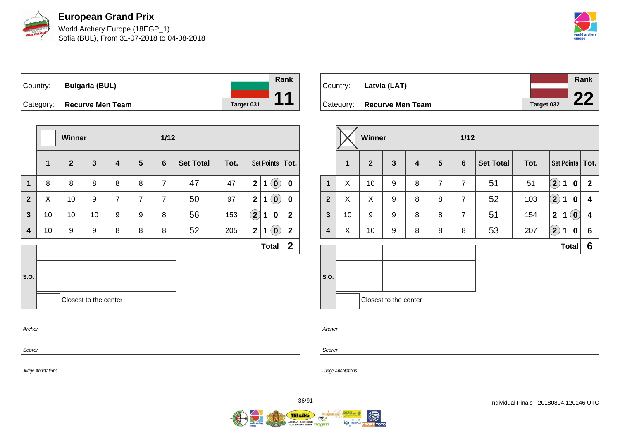

World Archery Europe (18EGP\_1) Sofia (BUL), From 31-07-2018 to 04-08-2018



Country: **Bulgaria (BUL)** Category: **Recurve Men Team Tanget 031** 

|                |    | Winner       |                         |                |                | 1/12           |                  |      |                      |   |                            |                   |
|----------------|----|--------------|-------------------------|----------------|----------------|----------------|------------------|------|----------------------|---|----------------------------|-------------------|
|                | 1  | $\mathbf{2}$ | $\overline{\mathbf{3}}$ | 4              | 5              | $6\phantom{1}$ | <b>Set Total</b> | Tot. |                      |   |                            | Set Points   Tot. |
| $\mathbf 1$    | 8  | 8            | 8                       | 8              | 8              | $\overline{7}$ | 47               | 47   | $\mathbf{2}$         | 1 | $\left( \mathbf{0}\right)$ | $\mathbf 0$       |
| $\overline{2}$ | X  | 10           | 9                       | $\overline{7}$ | $\overline{7}$ | $\overline{7}$ | 50               | 97   | $\mathbf{2}$         | 1 | $\left( \mathbf{0}\right)$ | $\bf{0}$          |
| 3              | 10 | 10           | 10                      | 9              | 9              | 8              | 56               | 153  | $\Large{\textbf{2}}$ | 1 | 0                          | $\mathbf{2}$      |
| 4              | 10 | 9            | 9                       | 8              | 8              | 8              | 52               | 205  | $\mathbf 2$          | 1 | $\left( \mathbf{0}\right)$ | $\mathbf{2}$      |
|                |    |              |                         |                |                |                |                  |      |                      |   | <b>Total</b>               | $\mathbf 2$       |
| S.O.           |    |              |                         |                |                |                |                  |      |                      |   |                            |                   |
|                |    |              | Closest to the center   |                |                |                |                  |      |                      |   |                            |                   |
| Archer         |    |              |                         |                |                |                |                  |      |                      |   |                            |                   |
| Scorer         |    |              |                         |                |                |                |                  |      |                      |   |                            |                   |

| Country: Latvia (LAT)      |            | Rank |
|----------------------------|------------|------|
|                            |            | つつ   |
| Category: Recurve Men Team | Target 032 |      |

|                |    | <b>Winner</b>  |                       |   |                | $1/12$          |                  |      |                        |              |                            |                   |
|----------------|----|----------------|-----------------------|---|----------------|-----------------|------------------|------|------------------------|--------------|----------------------------|-------------------|
|                | 1  | $\overline{2}$ | $\mathbf{3}$          | 4 | 5              | $6\phantom{1}6$ | <b>Set Total</b> | Tot. |                        |              |                            | Set Points   Tot. |
| $\mathbf{1}$   | X  | 10             | 9                     | 8 | $\overline{7}$ | $\overline{7}$  | 51               | 51   | $\mathbf{2}$           | 1            | $\bf{0}$                   | $\mathbf{2}$      |
| $\overline{2}$ | X  | X              | 9                     | 8 | 8              | $\overline{7}$  | 52               | 103  | $\mathbf{\widehat{2}}$ | 1            | $\bf{0}$                   | 4                 |
| $\mathbf{3}$   | 10 | 9              | 9                     | 8 | 8              | $\overline{7}$  | 51               | 154  | $\mathbf{2}$           | 1            | $\left( \mathbf{0}\right)$ | 4                 |
| 4              | X  | 10             | 9                     | 8 | 8              | 8               | 53               | 207  | $\bf(2)$               | 1            | 0                          | 6                 |
|                |    |                |                       |   |                |                 |                  |      |                        | <b>Total</b> |                            | 6                 |
| S.O.           |    |                | Closest to the center |   |                |                 |                  |      |                        |              |                            |                   |

Archer

Scorer

Judge Annotations

Judge Annotations



**Rank**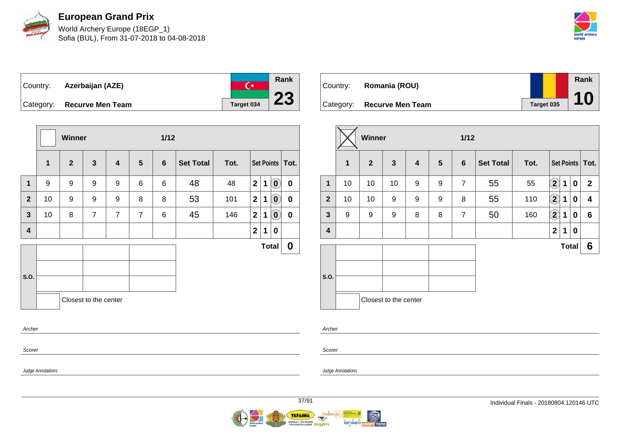

World Archery Europe (18EGP\_1) Sofia (BUL), From 31-07-2018 to 04-08-2018



 $\overline{C^*}$ Country: **Azerbaijan (AZE)** Category: **Recurve Men Team Tanget 034** 



| Country: | Romania (ROU)              |            | Rank |  |
|----------|----------------------------|------------|------|--|
|          | Category: Recurve Men Team | Target 035 | 10   |  |

|                |             | Winner         |                       |   |                | $1/12$         |                  |      |                       |              |          |                   |  |
|----------------|-------------|----------------|-----------------------|---|----------------|----------------|------------------|------|-----------------------|--------------|----------|-------------------|--|
|                | $\mathbf 1$ | $\overline{2}$ | $\mathbf{3}$          | 4 | $5\phantom{1}$ | $6\phantom{1}$ | <b>Set Total</b> | Tot. |                       |              |          | Set Points   Tot. |  |
| 1              | 10          | 10             | 10                    | 9 | 9              | $\overline{7}$ | 55               | 55   | $\mathbf{\hat{2}}$    | 1            | $\bf{0}$ | $\mathbf{2}$      |  |
| $\overline{2}$ | 10          | 10             | 9                     | 9 | 9              | 8              | 55               | 110  | $\bf \left( 2\right)$ | 1            | 0        | 4                 |  |
| $\mathbf{3}$   | 9           | 9              | 9                     | 8 | 8              | $\overline{7}$ | 50               | 160  | $\bf (2)$             | 1            | 0        | 6                 |  |
| 4              |             |                |                       |   |                |                |                  |      | $\mathbf{2}$          | 1            | 0        |                   |  |
|                |             |                |                       |   |                |                |                  |      |                       | <b>Total</b> |          | 6                 |  |
| S.O.           |             |                | Closest to the center |   |                |                |                  |      |                       |              |          |                   |  |

Archer

Scorer

Judge Annotations

Judge Annotations

**Rank**

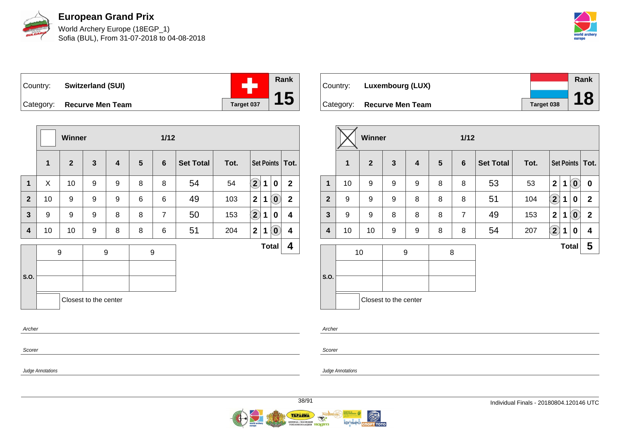

World Archery Europe (18EGP\_1) Sofia (BUL), From 31-07-2018 to 04-08-2018



÷ Country: **Switzerland (SUI)** Category: **Recurve Men Team Tanget 037** 

|                         |              | Winner           |                       |                  |                | $1/12$           |                  |      |                    |              |                            |                   |
|-------------------------|--------------|------------------|-----------------------|------------------|----------------|------------------|------------------|------|--------------------|--------------|----------------------------|-------------------|
|                         | $\mathbf{1}$ | $\overline{2}$   | $\mathbf{3}$          | 4                | $5\phantom{1}$ | 6                | <b>Set Total</b> | Tot. |                    |              |                            | Set Points   Tot. |
| 1                       | X            | 10               | 9                     | 9                | 8              | 8                | 54               | 54   | $\mathbf{\hat{2}}$ | 1            | $\mathbf 0$                | $\overline{2}$    |
| $\overline{2}$          | 10           | 9                | 9                     | 9                | 6              | 6                | 49               | 103  | $\mathbf{2}$       | 1            | $\left( \mathbf{0}\right)$ | $\mathbf 2$       |
| $\overline{\mathbf{3}}$ | 9            | 9                | 9                     | 8                | 8              | $\overline{7}$   | 50               | 153  | $\bf \Omega$       | 1            | 0                          | 4                 |
| 4                       | 10           | 10               | 9                     | 8                | 8              | 6                | 51               | 204  | $\boldsymbol{2}$   | 1            | $\overline{\mathbf{0}}$    | 4                 |
|                         |              | $\boldsymbol{9}$ |                       | $\boldsymbol{9}$ |                | $\boldsymbol{9}$ |                  |      |                    | <b>Total</b> |                            | 4                 |
|                         |              |                  |                       |                  |                |                  |                  |      |                    |              |                            |                   |
| S.O.                    |              |                  |                       |                  |                |                  |                  |      |                    |              |                            |                   |
|                         |              |                  | Closest to the center |                  |                |                  |                  |      |                    |              |                            |                   |
| Archer                  |              |                  |                       |                  |                |                  |                  |      |                    |              |                            |                   |
|                         |              |                  |                       |                  |                |                  |                  |      |                    |              |                            |                   |

|          |                            |            | Rank |
|----------|----------------------------|------------|------|
| Country: | Luxembourg (LUX)           |            |      |
|          | Category: Recurve Men Team | Target 038 |      |

|                |                  | <b>Winner</b> |                       |   |                | $1/12$         |                  |      |                         |   |                            |                         |  |  |
|----------------|------------------|---------------|-----------------------|---|----------------|----------------|------------------|------|-------------------------|---|----------------------------|-------------------------|--|--|
|                | 1                | $\mathbf{2}$  | $\mathbf{3}$          | 4 | $5\phantom{1}$ | 6              | <b>Set Total</b> | Tot. |                         |   |                            | Set Points   Tot.       |  |  |
| $\mathbf{1}$   | 10               | 9             | 9                     | 9 | 8              | 8              | 53               | 53   | $\boldsymbol{2}$        | 1 | $\left( \mathbf{0}\right)$ | 0                       |  |  |
| $\overline{2}$ | 9                | 9             | 9                     | 8 | 8              | 8              | 51               | 104  | $\mathbf{2}$            | 1 | 0                          | $\mathbf{2}$            |  |  |
| $\mathbf{3}$   | $\boldsymbol{9}$ | 9             | 8                     | 8 | 8              | $\overline{7}$ | 49               | 153  | $\overline{\mathbf{2}}$ | 1 | $\left( \mathbf{0}\right)$ | $\overline{2}$          |  |  |
| 4              | 10               | 10            | 9                     | 9 | 8              | 8              | 54               | 207  | $\mathbf{2}$            | 1 | 0                          | $\overline{\mathbf{4}}$ |  |  |
|                |                  | 10            |                       | 9 |                | 8              |                  |      |                         |   | <b>Total</b>               | 5                       |  |  |
| S.O.           |                  |               |                       |   |                |                |                  |      |                         |   |                            |                         |  |  |
|                |                  |               | Closest to the center |   |                |                |                  |      |                         |   |                            |                         |  |  |

Archer

Scorer

Judge Annotations

Scorer

Judge Annotations

**Rank**

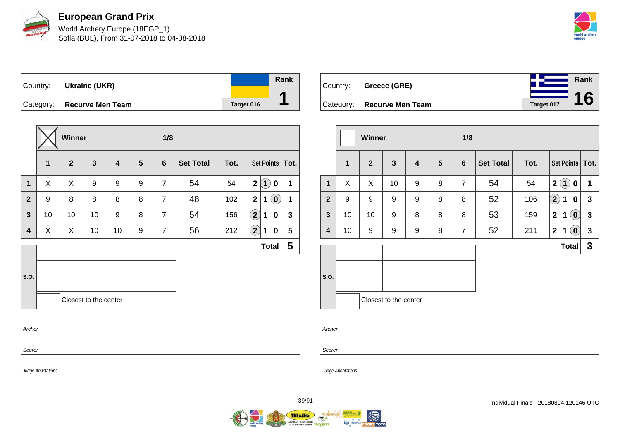

World Archery Europe (18EGP\_1) Sofia (BUL), From 31-07-2018 to 04-08-2018



**Rank**

**16**

Country: **Ukraine (UKR)** Category: **Recurve Men Team Tanget 016 Rank 1**

|                |    | Winner         |                       |                         |                | 1/8            |                  |      |                            |     |              |                   |
|----------------|----|----------------|-----------------------|-------------------------|----------------|----------------|------------------|------|----------------------------|-----|--------------|-------------------|
|                | 1  | $\overline{2}$ | $\mathbf{3}$          | $\overline{\mathbf{4}}$ | $5\phantom{1}$ | $6\phantom{1}$ | <b>Set Total</b> | Tot. |                            |     |              | Set Points   Tot. |
| $\mathbf{1}$   | X  | X              | 9                     | 9                       | 9              | $\overline{7}$ | 54               | 54   | $\mathbf{2}$               | (1) | 0            | 1                 |
| $\overline{2}$ | 9  | 8              | 8                     | 8                       | 8              | $\overline{7}$ | 48               | 102  | $\mathbf{2}$               | 1   | $\odot$      | 1                 |
| 3              | 10 | 10             | 10                    | 9                       | 8              | $\overline{7}$ | 54               | 156  | $\left( \mathbf{2}\right)$ | 1   | 0            | $\mathbf{3}$      |
| 4              | X  | X              | 10                    | 10                      | 9              | $\overline{7}$ | 56               | 212  | $\bf (2)$                  | 1   | 0            | 5                 |
|                |    |                |                       |                         |                |                |                  |      |                            |     | <b>Total</b> | 5                 |
|                |    |                |                       |                         |                |                |                  |      |                            |     |              |                   |
| S.O.           |    |                |                       |                         |                |                |                  |      |                            |     |              |                   |
|                |    |                | Closest to the center |                         |                |                |                  |      |                            |     |              |                   |
| Archer         |    |                |                       |                         |                |                |                  |      |                            |     |              |                   |
| Scorer         |    |                |                       |                         |                |                |                  |      |                            |     |              |                   |

| Country: Greece (GRE)      |            |  |
|----------------------------|------------|--|
| Category: Recurve Men Team | Target 017 |  |

|                |              | <b>Winner</b>  |                       |   |                 | 1/8             |                  |      |                            |              |                                                |                   |
|----------------|--------------|----------------|-----------------------|---|-----------------|-----------------|------------------|------|----------------------------|--------------|------------------------------------------------|-------------------|
|                | $\mathbf{1}$ | $\overline{2}$ | $\mathbf{3}$          | 4 | $5\phantom{.0}$ | $6\phantom{1}6$ | <b>Set Total</b> | Tot. |                            |              |                                                | Set Points   Tot. |
| $\mathbf{1}$   | X            | X              | 10                    | 9 | 8               | $\overline{7}$  | 54               | 54   | $\overline{2}$             | $\mathbf 1$  | 0                                              | 1                 |
| $\overline{2}$ | 9            | 9              | 9                     | 9 | 8               | 8               | 52               | 106  | $\left( \mathbf{2}\right)$ | 1            | 0                                              | $\mathbf{3}$      |
| $\mathbf{3}$   | 10           | 10             | 9                     | 8 | 8               | 8               | 53               | 159  | $\overline{\mathbf{2}}$    | 1            | $\left( \mathbf{0}\right)$                     | $\mathbf{3}$      |
| 4              | 10           | 9              | 9                     | 9 | 8               | $\overline{7}$  | 52               | 211  | $\mathbf{2}$               | 1            | $\left[ \begin{matrix} 0 \end{matrix} \right]$ | $\mathbf{3}$      |
|                |              |                |                       |   |                 |                 |                  |      |                            | <b>Total</b> |                                                | 3                 |
| S.O.           |              |                | Closest to the center |   |                 |                 |                  |      |                            |              |                                                |                   |

Archer

Judge Annotations

Scorer

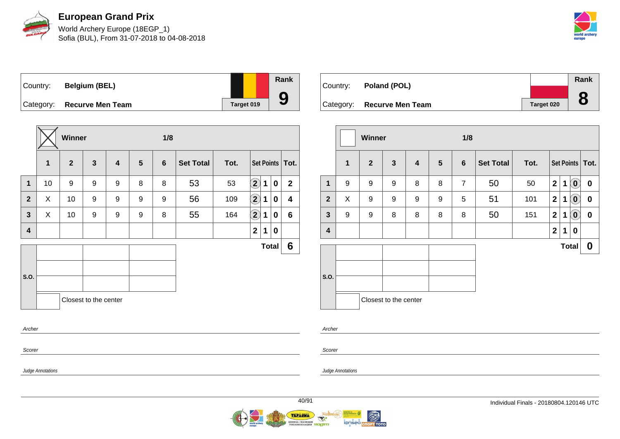

World Archery Europe (18EGP\_1) Sofia (BUL), From 31-07-2018 to 04-08-2018



Country: **Belgium (BEL)** Category: **Recurve Men Team Target 019** 

|                |    | Winner       |                       |   |                 |                |                  |      |                            |   |              |                   |
|----------------|----|--------------|-----------------------|---|-----------------|----------------|------------------|------|----------------------------|---|--------------|-------------------|
|                | 1  | $\mathbf{2}$ | $\mathbf{3}$          | 4 | $5\phantom{.0}$ | $6\phantom{1}$ | <b>Set Total</b> | Tot. |                            |   |              | Set Points   Tot. |
| $\mathbf{1}$   | 10 | 9            | 9                     | 9 | 8               | 8              | 53               | 53   | $\left( \mathbf{2}\right)$ | 1 | 0            | $\mathbf{2}$      |
| $\overline{2}$ | X  | 10           | 9                     | 9 | 9               | 9              | 56               | 109  | $\hat{\mathbf{2}}$         | 1 | 0            | 4                 |
| 3              | X  | 10           | 9                     | 9 | 9               | 8              | 55               | 164  | $\bf \overline{2}$         | 1 | 0            | 6                 |
| 4              |    |              |                       |   |                 |                |                  |      | $\mathbf{2}$               | 1 | 0            |                   |
|                |    |              |                       |   |                 |                |                  |      |                            |   | <b>Total</b> | 6                 |
|                |    |              |                       |   |                 |                |                  |      |                            |   |              |                   |
| S.O.           |    |              |                       |   |                 |                |                  |      |                            |   |              |                   |
|                |    |              | Closest to the center |   |                 |                |                  |      |                            |   |              |                   |
| Archer         |    |              |                       |   |                 |                |                  |      |                            |   |              |                   |

| Country: | Poland (POL)               |            | Rank      |
|----------|----------------------------|------------|-----------|
|          |                            |            | $\bullet$ |
|          | Category: Recurve Men Team | Target 020 |           |

|                         |              | Winner         |                       |                         |                 | 1/8            |                  |      |              |   |                            |                   |  |  |
|-------------------------|--------------|----------------|-----------------------|-------------------------|-----------------|----------------|------------------|------|--------------|---|----------------------------|-------------------|--|--|
|                         | $\mathbf{1}$ | $\overline{2}$ | $\mathbf{3}$          | $\overline{\mathbf{4}}$ | $5\phantom{.0}$ | $6\phantom{1}$ | <b>Set Total</b> | Tot. |              |   |                            | Set Points   Tot. |  |  |
| $\mathbf{1}$            | 9            | 9              | 9                     | 8                       | 8               | $\overline{7}$ | 50               | 50   | $\mathbf 2$  | 1 | $\left( \mathbf{0}\right)$ | $\bf{0}$          |  |  |
| $\overline{2}$          | X            | 9              | 9                     | 9                       | 9               | 5              | 51               | 101  | $\mathbf{2}$ | 1 | $\left( \mathbf{0}\right)$ | $\boldsymbol{0}$  |  |  |
| $\mathbf{3}$            | 9            | 9              | 8                     | 8                       | 8               | 8              | 50               | 151  | $\mathbf{2}$ | 1 | $\left( \mathbf{0}\right)$ | 0                 |  |  |
| $\overline{\mathbf{4}}$ |              |                |                       |                         |                 |                |                  |      | $\mathbf 2$  | 1 | 0                          |                   |  |  |
|                         |              |                |                       |                         |                 |                |                  |      |              |   | <b>Total</b>               | $\boldsymbol{0}$  |  |  |
| S.O.                    |              |                | Closest to the center |                         |                 |                |                  |      |              |   |                            |                   |  |  |

Archer

Judge Annotations

Scorer

Judge Annotations

**Rank**

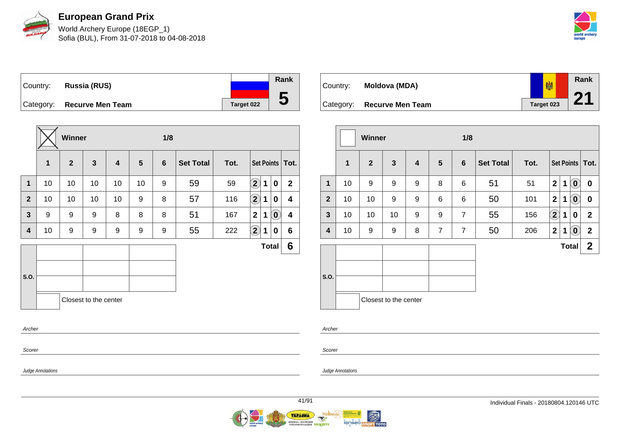

World Archery Europe (18EGP\_1) Sofia (BUL), From 31-07-2018 to 04-08-2018



Country: **Russia (RUS)** Category: **Recurve Men Team Target 022 Rank**

|                |    | Winner         |                       |    |                | 1/8 |                  |      |                            |              |                            |                   |
|----------------|----|----------------|-----------------------|----|----------------|-----|------------------|------|----------------------------|--------------|----------------------------|-------------------|
|                | 1  | $\overline{2}$ | $\mathbf{3}$          | 4  | $5\phantom{1}$ | 6   | <b>Set Total</b> | Tot. |                            |              |                            | Set Points   Tot. |
| $\mathbf{1}$   | 10 | 10             | 10                    | 10 | 10             | 9   | 59               | 59   | $\Omega$                   | 1            | $\bf{0}$                   | $\mathbf{2}$      |
| $\overline{2}$ | 10 | 10             | 10                    | 10 | 9              | 8   | 57               | 116  | $\bf \overline{2}$         | 1            | 0                          | 4                 |
| $\mathbf{3}$   | 9  | 9              | 9                     | 8  | 8              | 8   | 51               | 167  | $\mathbf{2}$               | 1            | $\left( \mathbf{0}\right)$ | 4                 |
| 4              | 10 | 9              | 9                     | 9  | 9              | 9   | 55               | 222  | $\left( \mathbf{2}\right)$ | 1            | 0                          | 6                 |
|                |    |                |                       |    |                |     |                  |      |                            | <b>Total</b> |                            | 6                 |
| S.O.           |    |                |                       |    |                |     |                  |      |                            |              |                            |                   |
|                |    |                | Closest to the center |    |                |     |                  |      |                            |              |                            |                   |
| Archer         |    |                |                       |    |                |     |                  |      |                            |              |                            |                   |
| Scorer         |    |                |                       |    |                |     |                  |      |                            |              |                            |                   |

| Country: | Moldova (MDA)              | 喇          | Rank |
|----------|----------------------------|------------|------|
|          |                            |            | 04   |
|          | Category: Recurve Men Team | Target 023 |      |

|                         |              | <b>Winner</b>  |                       |   |                | 1/8             |                  |      |                         |   |                            |                   |
|-------------------------|--------------|----------------|-----------------------|---|----------------|-----------------|------------------|------|-------------------------|---|----------------------------|-------------------|
|                         | $\mathbf{1}$ | $\overline{2}$ | $\mathbf{3}$          | 4 | $5\phantom{1}$ | $6\phantom{1}6$ | <b>Set Total</b> | Tot. |                         |   |                            | Set Points   Tot. |
| $\mathbf{1}$            | 10           | 9              | 9                     | 9 | 8              | 6               | 51               | 51   | $\overline{2}$          | 1 | $\mathbf{O}$               | $\pmb{0}$         |
| $\overline{2}$          | 10           | 10             | 9                     | 9 | 6              | 6               | 50               | 101  | $\overline{2}$          | 1 | $\left( \mathbf{0}\right)$ | $\pmb{0}$         |
| $\mathbf{3}$            | 10           | 10             | 10                    | 9 | 9              | $\overline{7}$  | 55               | 156  | $\left( 2\right)$       | 1 | 0                          | $\mathbf{2}$      |
| $\overline{\mathbf{4}}$ | 10           | 9              | 9                     | 8 | $\overline{7}$ | $\overline{7}$  | 50               | 206  | $\overline{\mathbf{2}}$ | 1 | $\left( 0 \right)$         | $\mathbf{2}$      |
|                         |              |                |                       |   |                |                 |                  |      |                         |   | <b>Total</b>               | $\mathbf 2$       |
| S.O.                    |              |                | Closest to the center |   |                |                 |                  |      |                         |   |                            |                   |

Scorer

Scorer

Archer

Judge Annotations

Judge Annotations

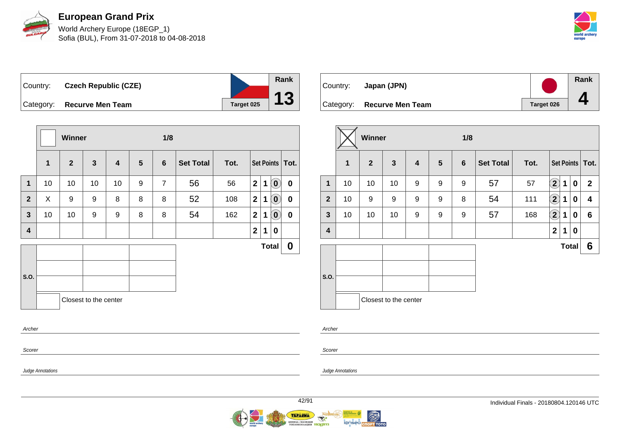

World Archery Europe (18EGP\_1) Sofia (BUL), From 31-07-2018 to 04-08-2018



Country: **Czech Republic (CZE)** Category: **Recurve Men Team Target 025** 

|                |              | <b>Winner</b>  |                       |    |   | 1/8            |                  |      |                  |              |                            |                   |
|----------------|--------------|----------------|-----------------------|----|---|----------------|------------------|------|------------------|--------------|----------------------------|-------------------|
|                | $\mathbf{1}$ | $\overline{2}$ | $\mathbf{3}$          | 4  | 5 | 6              | <b>Set Total</b> | Tot. |                  |              |                            | Set Points   Tot. |
| $\mathbf{1}$   | 10           | 10             | 10                    | 10 | 9 | $\overline{7}$ | 56               | 56   | $\overline{2}$   | 1            | $\left( \mathbf{0}\right)$ | $\mathbf 0$       |
| $\overline{2}$ | X            | 9              | 9                     | 8  | 8 | 8              | 52               | 108  | $\boldsymbol{2}$ | 1            | $\left( \mathbf{0}\right)$ | $\pmb{0}$         |
| $\mathbf{3}$   | 10           | 10             | 9                     | 9  | 8 | 8              | 54               | 162  | $\boldsymbol{2}$ | 1            | $\left( \mathbf{0}\right)$ | $\pmb{0}$         |
| 4              |              |                |                       |    |   |                |                  |      | $\boldsymbol{2}$ | 1            | 0                          |                   |
|                |              |                |                       |    |   |                |                  |      |                  | <b>Total</b> |                            | 0                 |
| S.O.           |              |                |                       |    |   |                |                  |      |                  |              |                            |                   |
|                |              |                | Closest to the center |    |   |                |                  |      |                  |              |                            |                   |
| Archer         |              |                |                       |    |   |                |                  |      |                  |              |                            |                   |
| Scorer         |              |                |                       |    |   |                |                  |      |                  |              |                            |                   |

| Country: | Japan (JPN)                |            | Rank |
|----------|----------------------------|------------|------|
|          | Category: Recurve Men Team | Target 026 |      |

|                         |              | Winner       |                       |   |                | 1/8            |                  |      |                    |              |                  |                   |
|-------------------------|--------------|--------------|-----------------------|---|----------------|----------------|------------------|------|--------------------|--------------|------------------|-------------------|
|                         | $\mathbf{1}$ | $\mathbf{2}$ | $\mathbf{3}$          | 4 | $5\phantom{1}$ | $6\phantom{1}$ | <b>Set Total</b> | Tot. |                    |              |                  | Set Points   Tot. |
| 1                       | 10           | 10           | 10                    | 9 | 9              | 9              | 57               | 57   | $\bf \overline{2}$ | 1            | $\boldsymbol{0}$ | $\mathbf{2}$      |
| $\overline{2}$          | 10           | 9            | 9                     | 9 | 9              | 8              | 54               | 111  | $\boxed{2}$        | 1            | 0                | 4                 |
| $\mathbf{3}$            | 10           | 10           | 10                    | 9 | 9              | 9              | 57               | 168  | $\bf \overline{2}$ | 1            | 0                | 6                 |
| $\overline{\mathbf{4}}$ |              |              |                       |   |                |                |                  |      | $\mathbf 2$        | 1            | $\bf{0}$         |                   |
|                         |              |              |                       |   |                |                |                  |      |                    | <b>Total</b> |                  | 6                 |
| S.O.                    |              |              | Closest to the center |   |                |                |                  |      |                    |              |                  |                   |

Archer

Judge Annotations

Scorer

Judge Annotations



**Rank**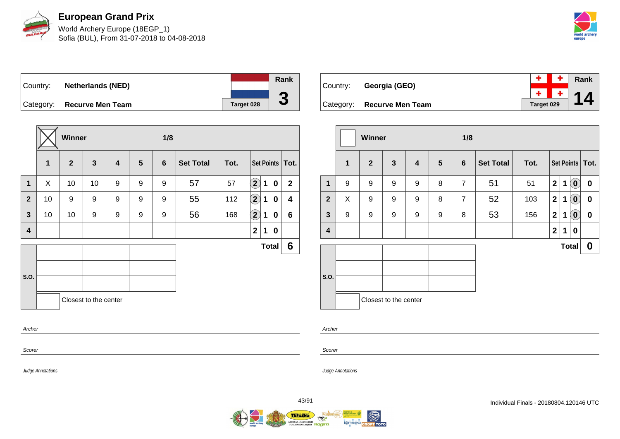

World Archery Europe (18EGP\_1) Sofia (BUL), From 31-07-2018 to 04-08-2018



Country: **Netherlands (NED)** Category: **Recurve Men Team Tanget 028 Rank**

|                |    | Winner       |                       |   |                | 1/8 |                  |      |                      |   |              |                 |
|----------------|----|--------------|-----------------------|---|----------------|-----|------------------|------|----------------------|---|--------------|-----------------|
|                | 1  | $\mathbf{2}$ | $\mathbf{3}$          | 4 | $5\phantom{1}$ | 6   | <b>Set Total</b> | Tot. |                      |   |              | Set Points Tot. |
| 1              | X  | 10           | 10                    | 9 | 9              | 9   | 57               | 57   | $\bf \left(2\right)$ | 1 | 0            | $\mathbf 2$     |
| $\overline{2}$ | 10 | 9            | 9                     | 9 | 9              | 9   | 55               | 112  | $\bf(2)$             | 1 | 0            | 4               |
| $\mathbf{3}$   | 10 | 10           | 9                     | 9 | 9              | 9   | 56               | 168  | $\bf \Omega$         | 1 | $\pmb{0}$    | 6               |
| 4              |    |              |                       |   |                |     |                  |      | $\boldsymbol{2}$     | 1 | 0            |                 |
|                |    |              |                       |   |                |     |                  |      |                      |   | <b>Total</b> | 6               |
|                |    |              |                       |   |                |     |                  |      |                      |   |              |                 |
| S.O.           |    |              |                       |   |                |     |                  |      |                      |   |              |                 |
|                |    |              | Closest to the center |   |                |     |                  |      |                      |   |              |                 |
| Archer         |    |              |                       |   |                |     |                  |      |                      |   |              |                 |

| Country: Georgia (GEO)     |            | $+$ $+$ $\overline{}$ $+$ $\overline{}$ Rank |
|----------------------------|------------|----------------------------------------------|
|                            |            | $\frac{+}{-}$ 14                             |
| Category: Recurve Men Team | Target 029 |                                              |

|                         |   | Winner         |                       |                         |                 | 1/8            |                  |      |              |   |                            |                   |
|-------------------------|---|----------------|-----------------------|-------------------------|-----------------|----------------|------------------|------|--------------|---|----------------------------|-------------------|
|                         | 1 | $\overline{2}$ | 3                     | $\overline{\mathbf{4}}$ | $5\phantom{.0}$ | $6\phantom{1}$ | <b>Set Total</b> | Tot. |              |   |                            | Set Points   Tot. |
| $\mathbf{1}$            | 9 | 9              | 9                     | 9                       | 8               | $\overline{7}$ | 51               | 51   | $\mathbf 2$  | 1 | $\overline{\mathbf{0}}$    | $\pmb{0}$         |
| $\overline{2}$          | X | 9              | 9                     | 9                       | 8               | $\overline{7}$ | 52               | 103  | $\mathbf{2}$ | 1 | $\left( \mathbf{0}\right)$ | $\pmb{0}$         |
| $\mathbf{3}$            | 9 | 9              | 9                     | 9                       | 9               | 8              | 53               | 156  | $\mathbf{2}$ | 1 | $\left( \mathbf{0}\right)$ | $\pmb{0}$         |
| $\overline{\mathbf{4}}$ |   |                |                       |                         |                 |                |                  |      | $\mathbf{2}$ | 1 | 0                          |                   |
|                         |   |                |                       |                         |                 |                |                  |      |              |   | <b>Total</b>               | $\boldsymbol{0}$  |
|                         |   |                |                       |                         |                 |                |                  |      |              |   |                            |                   |
| S.O.                    |   |                |                       |                         |                 |                |                  |      |              |   |                            |                   |
|                         |   |                | Closest to the center |                         |                 |                |                  |      |              |   |                            |                   |

Scorer

Scorer

Archer

Judge Annotations

Judge Annotations

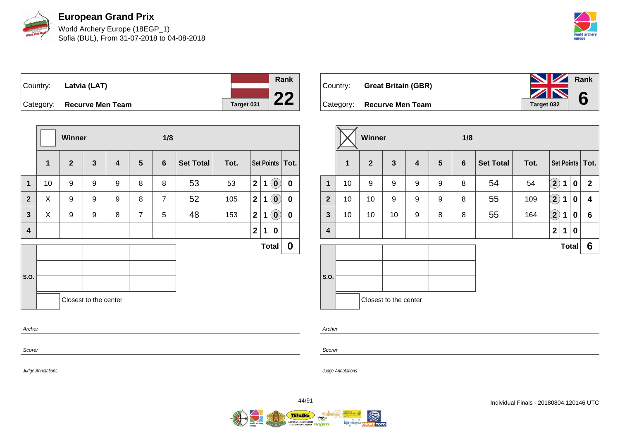

World Archery Europe (18EGP\_1) Sofia (BUL), From 31-07-2018 to 04-08-2018



**Rank**

**6**

Country: **Latvia (LAT)**



Category: **Recurve Men Team Tanget 031** 

|                         |              | Winner       |                       |                         |                | 1/8            |                  |      |              |             |                             |                   |
|-------------------------|--------------|--------------|-----------------------|-------------------------|----------------|----------------|------------------|------|--------------|-------------|-----------------------------|-------------------|
|                         | $\mathbf{1}$ | $\mathbf{2}$ | $\mathbf{3}$          | $\overline{\mathbf{4}}$ | 5              | 6              | <b>Set Total</b> | Tot. |              |             |                             | Set Points   Tot. |
| $\mathbf{1}$            | 10           | 9            | 9                     | 9                       | 8              | 8              | 53               | 53   | $\mathbf{2}$ | $\mathbf 1$ | $\left( \textbf{0} \right)$ | $\pmb{0}$         |
| $\overline{2}$          | X            | 9            | 9                     | 9                       | 8              | $\overline{7}$ | 52               | 105  | $\mathbf{2}$ | 1           | $\left( 0\right)$           | $\boldsymbol{0}$  |
| $\overline{\mathbf{3}}$ | X            | 9            | 9                     | 8                       | $\overline{7}$ | 5              | 48               | 153  | $\mathbf{2}$ | 1           | $\left( \mathbf{0}\right)$  | $\pmb{0}$         |
| $\overline{\mathbf{4}}$ |              |              |                       |                         |                |                |                  |      | $\mathbf{2}$ | 1           | 0                           |                   |
|                         |              |              |                       |                         |                |                |                  |      |              |             | <b>Total</b>                | 0                 |
|                         |              |              |                       |                         |                |                |                  |      |              |             |                             |                   |
| S.O.                    |              |              |                       |                         |                |                |                  |      |              |             |                             |                   |
|                         |              |              | Closest to the center |                         |                |                |                  |      |              |             |                             |                   |
| Archer                  |              |              |                       |                         |                |                |                  |      |              |             |                             |                   |

Country: **Great Britain (GBR)** Category: **Recurve Men Team Tanget 032** 

|                         |              | Winner         |                         |                         |   | 1/8            |                  |      |                         |              |             |                   |
|-------------------------|--------------|----------------|-------------------------|-------------------------|---|----------------|------------------|------|-------------------------|--------------|-------------|-------------------|
|                         | $\mathbf{1}$ | $\overline{2}$ | $\overline{\mathbf{3}}$ | $\overline{\mathbf{4}}$ | 5 | $6\phantom{1}$ | <b>Set Total</b> | Tot. |                         |              |             | Set Points   Tot. |
| $\mathbf{1}$            | 10           | 9              | 9                       | 9                       | 9 | 8              | 54               | 54   | $\left( 2\right)$       | 1            | $\mathbf 0$ | $\mathbf{2}$      |
| $\overline{2}$          | 10           | 10             | 9                       | 9                       | 9 | 8              | 55               | 109  | $\left( 2\right)$       | 1            | 0           | 4                 |
| $\mathbf{3}$            | 10           | 10             | 10                      | 9                       | 8 | 8              | 55               | 164  | $\bf \Omega$            | 1            | 0           | $6\phantom{1}$    |
| $\overline{\mathbf{4}}$ |              |                |                         |                         |   |                |                  |      | $\overline{\mathbf{2}}$ | 1            | 0           |                   |
|                         |              |                |                         |                         |   |                |                  |      |                         | <b>Total</b> |             | 6                 |
| S.O.                    |              |                |                         |                         |   |                |                  |      |                         |              |             |                   |
|                         |              |                | Closest to the center   |                         |   |                |                  |      |                         |              |             |                   |

Archer

Scorer

Judge Annotations

Scorer

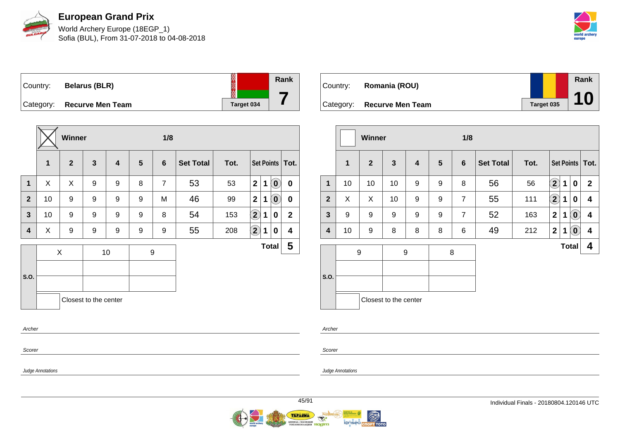

World Archery Europe (18EGP\_1) Sofia (BUL), From 31-07-2018 to 04-08-2018



Country: **Belarus (BLR)** Category: **Recurve Men Team Tanget 034** 



|                |    | Winner       |                       |    |                | 1/8            |                  |      |                         |             |                            |                   |
|----------------|----|--------------|-----------------------|----|----------------|----------------|------------------|------|-------------------------|-------------|----------------------------|-------------------|
|                | 1  | $\mathbf{2}$ | $\mathbf{3}$          | 4  | $5\phantom{1}$ | $6\phantom{1}$ | <b>Set Total</b> | Tot. |                         |             |                            | Set Points   Tot. |
| $\mathbf 1$    | X  | X            | 9                     | 9  | 8              | $\overline{7}$ | 53               | 53   | $\overline{\mathbf{2}}$ | 1           | $\left( \mathbf{0}\right)$ | $\mathbf 0$       |
| 2 <sup>1</sup> | 10 | 9            | 9                     | 9  | 9              | M              | 46               | 99   | $\mathbf{2}$            | $\mathbf 1$ | $\left( \mathbf{0}\right)$ | $\mathbf 0$       |
| $\mathbf{3}$   | 10 | 9            | 9                     | 9  | 9              | 8              | 54               | 153  | $\mathbf{2}$            | 1           | 0                          | $\mathbf{2}$      |
| 4              | X  | 9            | 9                     | 9  | 9              | 9              | 55               | 208  | $\mathbf{2}$            | 1           | 0                          | 4                 |
|                |    | X            |                       | 10 |                | 9              |                  |      |                         |             | <b>Total</b>               | 5                 |
|                |    |              |                       |    |                |                |                  |      |                         |             |                            |                   |
| S.O.           |    |              |                       |    |                |                |                  |      |                         |             |                            |                   |
|                |    |              | Closest to the center |    |                |                |                  |      |                         |             |                            |                   |
| Archer         |    |              |                       |    |                |                |                  |      |                         |             |                            |                   |

Country: **Romania (ROU)** Category: **Recurve Men Team Tanget 035 Rank 10**

|                         |              | <b>Winner</b> |                            |                         |                 | 1/8            |                  |      |              |              |                            |                         |
|-------------------------|--------------|---------------|----------------------------|-------------------------|-----------------|----------------|------------------|------|--------------|--------------|----------------------------|-------------------------|
|                         | $\mathbf{1}$ | $\mathbf{2}$  | $\mathbf{3}$               | $\overline{\mathbf{4}}$ | $5\phantom{.0}$ | $6\phantom{1}$ | <b>Set Total</b> | Tot. |              |              |                            | Set Points   Tot.       |
| $\mathbf{1}$            | 10           | 10            | 10                         | 9                       | 9               | 8              | 56               | 56   | $\mathbf{2}$ | 1            | 0                          | $\mathbf{2}$            |
| $\overline{2}$          | X            | X             | 10                         | 9                       | 9               | $\overline{7}$ | 55               | 111  | $\mathbf{2}$ | 1            | 0                          | $\overline{\mathbf{4}}$ |
| $\overline{\mathbf{3}}$ | 9            | 9             | 9                          | 9                       | 9               | $\overline{7}$ | 52               | 163  | $\mathbf 2$  | 1            | $\left( \mathbf{0}\right)$ | $\overline{\mathbf{4}}$ |
| $\overline{\mathbf{4}}$ | 10           | 9             | 8                          | 8                       | 8               | 6              | 49               | 212  | $\mathbf{2}$ | 1            | $\left[ \mathbf{0}\right]$ | 4                       |
| S.O.                    | 9            |               | 9<br>Closest to the center |                         | 8               |                |                  |      |              | <b>Total</b> |                            | 4                       |

Archer

Scorer

Judge Annotations

Scorer

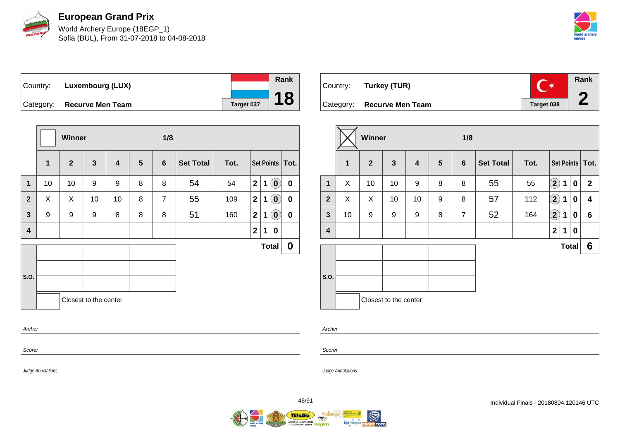

World Archery Europe (18EGP\_1) Sofia (BUL), From 31-07-2018 to 04-08-2018



Country: **Luxembourg (LUX)** Category: **Recurve Men Team Tanget 037** 

|                |              | Winner       |                       |    |   | 1/8            |                  |      |                         |              |                            |                   |
|----------------|--------------|--------------|-----------------------|----|---|----------------|------------------|------|-------------------------|--------------|----------------------------|-------------------|
|                | $\mathbf{1}$ | $\mathbf{2}$ | $\mathbf{3}$          | 4  | 5 | $6\phantom{1}$ | <b>Set Total</b> | Tot. |                         |              |                            | Set Points   Tot. |
| $\mathbf{1}$   | 10           | 10           | 9                     | 9  | 8 | 8              | 54               | 54   | $\overline{\mathbf{2}}$ | $\mathbf{1}$ | $(\mathbf{0})$             | $\mathbf 0$       |
| $\overline{2}$ | X            | X            | 10                    | 10 | 8 | $\overline{7}$ | 55               | 109  | $\mathbf 2$             | 1            | $\left( \mathbf{0}\right)$ | $\boldsymbol{0}$  |
| $\mathbf{3}$   | 9            | 9            | 9                     | 8  | 8 | 8              | 51               | 160  | $\mathbf{2}$            | 1            | $\left( \mathbf{0}\right)$ | 0                 |
| 4              |              |              |                       |    |   |                |                  |      | $\mathbf{2}$            | 1            | 0                          |                   |
|                |              |              |                       |    |   |                |                  |      |                         | <b>Total</b> |                            | $\boldsymbol{0}$  |
| S.O.           |              |              |                       |    |   |                |                  |      |                         |              |                            |                   |
| Archer         |              |              | Closest to the center |    |   |                |                  |      |                         |              |                            |                   |
| Scorer         |              |              |                       |    |   |                |                  |      |                         |              |                            |                   |

| Country: Turkey (TUR)      |            | Rank |
|----------------------------|------------|------|
| Category: Recurve Men Team | Target 038 |      |

|                         |              | Winner         |                       |    |                 | 1/8             |                  |      |                    |              |          |                   |  |
|-------------------------|--------------|----------------|-----------------------|----|-----------------|-----------------|------------------|------|--------------------|--------------|----------|-------------------|--|
|                         | $\mathbf{1}$ | $\overline{2}$ | $\mathbf{3}$          | 4  | $5\phantom{.0}$ | $6\phantom{1}6$ | <b>Set Total</b> | Tot. |                    |              |          | Set Points   Tot. |  |
| 1                       | X            | 10             | 10                    | 9  | 8               | 8               | 55               | 55   | $\mathbf{\hat{2}}$ | 1            | $\bf{0}$ | $\mathbf{2}$      |  |
| $\overline{2}$          | X            | X              | 10                    | 10 | 9               | 8               | 57               | 112  | $\bf (2)$          | 1            | $\bf{0}$ | 4                 |  |
| $\mathbf{3}$            | 10           | 9              | 9                     | 9  | 8               | $\overline{7}$  | 52               | 164  | $\bf (2)$          | 1            | 0        | $6\phantom{1}$    |  |
| $\overline{\mathbf{4}}$ |              |                |                       |    |                 |                 |                  |      | $\mathbf{2}$       | 1            | 0        |                   |  |
|                         |              |                |                       |    |                 |                 |                  |      |                    | <b>Total</b> |          | 6                 |  |
| S.O.                    |              |                | Closest to the center |    |                 |                 |                  |      |                    |              |          |                   |  |

Archer

Scorer

Judge Annotations

Judge Annotations



**Rank**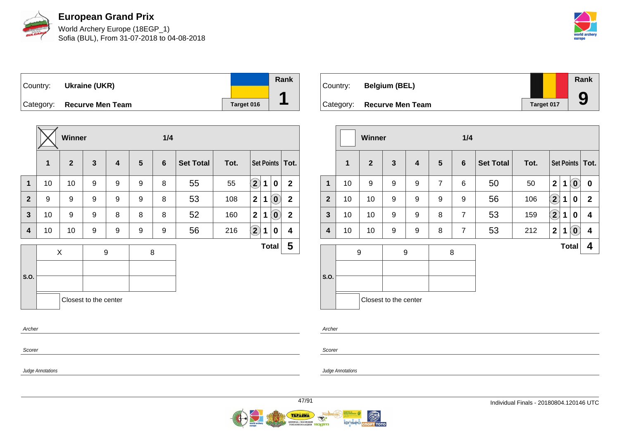

World Archery Europe (18EGP\_1) Sofia (BUL), From 31-07-2018 to 04-08-2018



Country: **Ukraine (UKR)** Category: **Recurve Men Team Tanget 016 Rank 1**

|                |    | Winner         |                       |                         |                | 1/4            |                  |      |                         |   |                            |                |
|----------------|----|----------------|-----------------------|-------------------------|----------------|----------------|------------------|------|-------------------------|---|----------------------------|----------------|
|                | 1  | $\overline{2}$ | $\mathbf{3}$          | $\overline{\mathbf{4}}$ | $5\phantom{1}$ | $6\phantom{1}$ | <b>Set Total</b> | Tot. |                         |   | Set Points                 | Tot.           |
| $\mathbf{1}$   | 10 | 10             | 9                     | 9                       | 9              | 8              | 55               | 55   | $\mathbf{\hat{2}}$      | 1 | $\mathbf 0$                | $\mathbf{2}$   |
| $\overline{2}$ | 9  | 9              | 9                     | 9                       | 9              | 8              | 53               | 108  | $\overline{\mathbf{2}}$ | 1 | $\left( \mathbf{0}\right)$ | $\overline{2}$ |
| $\mathbf{3}$   | 10 | 9              | 9                     | 8                       | 8              | 8              | 52               | 160  | $\mathbf{2}$            | 1 | $\left( \mathbf{0}\right)$ | $\mathbf{2}$   |
| 4              | 10 | 10             | 9                     | 9                       | 9              | 9              | 56               | 216  | $\bf (2)$               | 1 | 0                          | 4              |
|                |    | X              |                       | $\boldsymbol{9}$        |                | 8              |                  |      |                         |   | <b>Total</b>               | 5              |
|                |    |                |                       |                         |                |                |                  |      |                         |   |                            |                |
| S.O.           |    |                |                       |                         |                |                |                  |      |                         |   |                            |                |
|                |    |                | Closest to the center |                         |                |                |                  |      |                         |   |                            |                |
| Archer         |    |                |                       |                         |                |                |                  |      |                         |   |                            |                |
|                |    |                |                       |                         |                |                |                  |      |                         |   |                            |                |

Country: **Belgium (BEL)** Category: **Recurve Men Team Target 017 Rank 9**

|                  |              | <b>Winner</b> |                       |                         |                | 1/4 |                  |      |                         |             |                            |                   |
|------------------|--------------|---------------|-----------------------|-------------------------|----------------|-----|------------------|------|-------------------------|-------------|----------------------------|-------------------|
|                  | $\mathbf{1}$ | $\mathbf{2}$  | $\mathbf{3}$          | $\overline{\mathbf{4}}$ | $5\phantom{1}$ | 6   | <b>Set Total</b> | Tot. |                         |             |                            | Set Points   Tot. |
| $\mathbf{1}$     | 10           | 9             | 9                     | 9                       | $\overline{7}$ | 6   | 50               | 50   | $\overline{\mathbf{2}}$ | $\mathbf 1$ | $\left( \mathbf{0}\right)$ | 0                 |
| $\overline{2}$   | 10           | 10            | 9                     | 9                       | 9              | 9   | 56               | 106  | $\Large{\textbf{2}}$    | 1           | 0                          | $\mathbf{2}$      |
| $\mathbf{3}$     | 10           | 10            | 9                     | 9                       | 8              | 7   | 53               | 159  | $\Large{\textbf{2}}$    | 1           | 0                          | 4                 |
| $\boldsymbol{4}$ | 10           | 10            | 9                     | 9                       | 8              | 7   | 53               | 212  | $\mathbf{2}$            | 1           | $\left( \mathbf{0}\right)$ | 4                 |
| S.O.             |              | 9             |                       | 9                       | 8              |     |                  |      |                         |             | <b>Total</b>               | 4                 |
|                  |              |               | Closest to the center |                         |                |     |                  |      |                         |             |                            |                   |

Scorer

Scorer

Archer

Judge Annotations

Judge Annotations

**A** 

**I@DEED CROPT TOTO**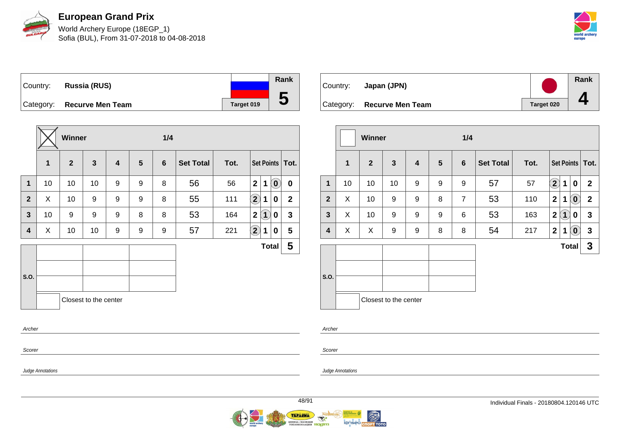

World Archery Europe (18EGP\_1) Sofia (BUL), From 31-07-2018 to 04-08-2018



Country: **Russia (RUS)** Category: **Recurve Men Team Target 019 Rank**

|                |    | Winner         |                       |   |                | 1/4            |                  |      |                            |                   |                            |                   |
|----------------|----|----------------|-----------------------|---|----------------|----------------|------------------|------|----------------------------|-------------------|----------------------------|-------------------|
|                | 1  | $\overline{2}$ | $\mathbf{3}$          | 4 | $5\phantom{1}$ | $6\phantom{1}$ | <b>Set Total</b> | Tot. |                            |                   |                            | Set Points   Tot. |
| $\mathbf 1$    | 10 | 10             | 10                    | 9 | 9              | 8              | 56               | 56   | $\overline{2}$             | 1                 | $\left( \mathbf{0}\right)$ | $\bf{0}$          |
| $\overline{2}$ | X  | 10             | 9                     | 9 | 9              | 8              | 55               | 111  | $\Large 2$                 | 1                 | $\mathbf 0$                | $\mathbf{2}$      |
| $\mathbf{3}$   | 10 | 9              | 9                     | 9 | 8              | 8              | 53               | 164  | $\mathbf{2}$               | $\left( 1\right)$ | $\mathbf 0$                | 3                 |
| 4              | X  | 10             | 10                    | 9 | 9              | 9              | 57               | 221  | $\left( \mathbf{2}\right)$ | 1                 | 0                          | 5                 |
|                |    |                |                       |   |                |                |                  |      |                            |                   | <b>Total</b>               | 5                 |
|                |    |                |                       |   |                |                |                  |      |                            |                   |                            |                   |
| S.O.           |    |                |                       |   |                |                |                  |      |                            |                   |                            |                   |
|                |    |                | Closest to the center |   |                |                |                  |      |                            |                   |                            |                   |
| Archer         |    |                |                       |   |                |                |                  |      |                            |                   |                            |                   |
| Scorer         |    |                |                       |   |                |                |                  |      |                            |                   |                            |                   |

| Country:  | Japan (JPN)             |            | Rank |
|-----------|-------------------------|------------|------|
| Category: | <b>Recurve Men Team</b> | Target 020 |      |

|                |              | Winner       |                       |                         |                | 1/4            |                  |      |                         |                   |                                                                           |  |
|----------------|--------------|--------------|-----------------------|-------------------------|----------------|----------------|------------------|------|-------------------------|-------------------|---------------------------------------------------------------------------|--|
|                | $\mathbf{1}$ | $\mathbf{2}$ | $\mathbf{3}$          | $\overline{\mathbf{4}}$ | $5\phantom{1}$ | $6\phantom{1}$ | <b>Set Total</b> | Tot. |                         |                   | Set Points   Tot.                                                         |  |
| 1              | 10           | 10           | 10                    | 9                       | 9              | 9              | 57               | 57   | $\bf(2)$                | 1                 | $\pmb{0}$<br>$\mathbf{2}$                                                 |  |
| $\overline{2}$ | X            | 10           | 9                     | 9                       | 8              | $\overline{7}$ | 53               | 110  | $\overline{\mathbf{2}}$ | 1                 | $\left  \begin{matrix} 0 \end{matrix} \right $<br>$\overline{\mathbf{2}}$ |  |
| $\mathbf{3}$   | X            | 10           | 9                     | 9                       | 9              | 6              | 53               | 163  | $\mathbf{2}$            | $\left( 1\right)$ | $\mathbf{3}$<br>0                                                         |  |
| 4              | X            | X            | 9                     | 9                       | 8              | 8              | 54               | 217  | $\mathbf{2}$            | 1                 | $\left( \begin{matrix} 0 \end{matrix} \right)$<br>3                       |  |
|                |              |              |                       |                         |                |                |                  |      |                         | <b>Total</b>      | 3                                                                         |  |
| S.O.           |              |              | Closest to the center |                         |                |                |                  |      |                         |                   |                                                                           |  |

Archer

Scorer

Judge Annotations

Judge Annotations

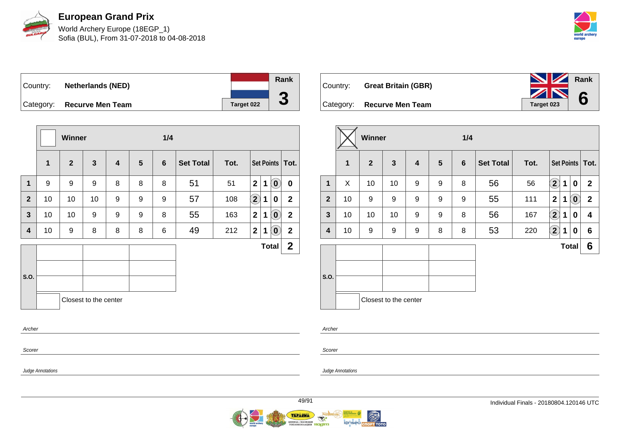

World Archery Europe (18EGP\_1) Sofia (BUL), From 31-07-2018 to 04-08-2018



**Rank**

**6**

Country: **Netherlands (NED)** Category: **Recurve Men Team Target 022 Rank 3**

|                |              | <b>Winner</b> |                       |   |                | 1/4 |                  |      |                        |              |                                                |                   |
|----------------|--------------|---------------|-----------------------|---|----------------|-----|------------------|------|------------------------|--------------|------------------------------------------------|-------------------|
|                | $\mathbf{1}$ | $\mathbf{2}$  | $\mathbf{3}$          | 4 | $5\phantom{1}$ | 6   | <b>Set Total</b> | Tot. |                        |              |                                                | Set Points   Tot. |
| $\mathbf 1$    | 9            | 9             | 9                     | 8 | 8              | 8   | 51               | 51   | $\mathbf{2}$           | 1            | $\left[ \begin{matrix} 0 \end{matrix} \right]$ | $\bf{0}$          |
| $\overline{2}$ | 10           | 10            | 10                    | 9 | 9              | 9   | 57               | 108  | $\left( \bf{2}\right)$ | 1            | 0                                              | $\boldsymbol{2}$  |
| $\mathbf{3}$   | 10           | 10            | 9                     | 9 | 9              | 8   | 55               | 163  | $\mathbf{2}$           | 1            | $\left( \begin{matrix} 0 \end{matrix} \right)$ | $\mathbf 2$       |
| 4              | 10           | 9             | 8                     | 8 | 8              | 6   | 49               | 212  | $\mathbf{2}$           | 1            | $\left( \mathbf{0}\right)$                     | $\mathbf 2$       |
|                |              |               |                       |   |                |     |                  |      |                        | <b>Total</b> |                                                | $\mathbf 2$       |
| S.O.           |              |               |                       |   |                |     |                  |      |                        |              |                                                |                   |
| Archer         |              |               | Closest to the center |   |                |     |                  |      |                        |              |                                                |                   |
| Scorer         |              |               |                       |   |                |     |                  |      |                        |              |                                                |                   |

| Country: Great Britain (GBR) | <b>NZ</b><br>ZN |
|------------------------------|-----------------|
| Category: Recurve Men Team   | Target 023      |

|                |    | Winner         |                       |   |                | 1/4            |                  |      |                    |              |                                                |                   |  |
|----------------|----|----------------|-----------------------|---|----------------|----------------|------------------|------|--------------------|--------------|------------------------------------------------|-------------------|--|
|                | 1  | $\overline{2}$ | $\mathbf{3}$          | 4 | $5\phantom{1}$ | $6\phantom{1}$ | <b>Set Total</b> | Tot. |                    |              |                                                | Set Points   Tot. |  |
| 1              | X  | 10             | 10                    | 9 | 9              | 8              | 56               | 56   | $\mathbf{2}$       | 1            | $\boldsymbol{0}$                               | $\mathbf{2}$      |  |
| $\overline{2}$ | 10 | 9              | 9                     | 9 | 9              | 9              | 55               | 111  | $\mathbf{2}$       | 1            | $\left( \begin{matrix} 0 \end{matrix} \right)$ | $\mathbf{2}$      |  |
| $\mathbf{3}$   | 10 | 10             | 10                    | 9 | 9              | 8              | 56               | 167  | $\bf \overline{2}$ | 1            | 0                                              | 4                 |  |
| 4              | 10 | 9              | 9                     | 9 | 8              | 8              | 53               | 220  | $\mathbf{2}$       | 1            | 0                                              | 6                 |  |
|                |    |                |                       |   |                |                |                  |      |                    | <b>Total</b> |                                                | 6                 |  |
| S.O.           |    |                | Closest to the center |   |                |                |                  |      |                    |              |                                                |                   |  |

Archer

Judge Annotations

Scorer

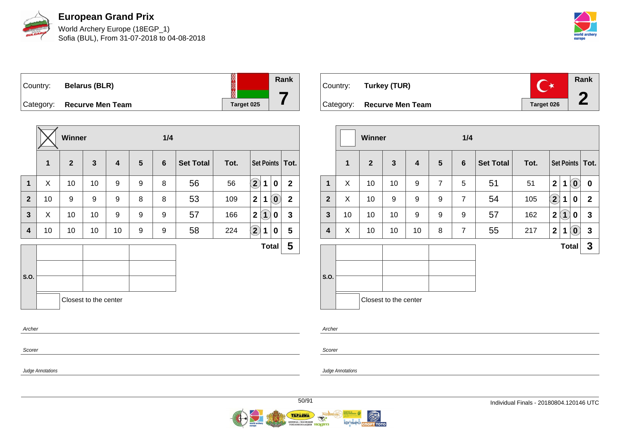

World Archery Europe (18EGP\_1) Sofia (BUL), From 31-07-2018 to 04-08-2018



Country: **Belarus (BLR)** Category: **Recurve Men Team Target 025** 

|              |    | Winner       |                       |    |   | 1/4 |                  |      |                                                          |              |
|--------------|----|--------------|-----------------------|----|---|-----|------------------|------|----------------------------------------------------------|--------------|
|              | 1  | $\mathbf{2}$ | $\mathbf{3}$          | 4  | 5 | 6   | <b>Set Total</b> | Tot. | Set Points   Tot.                                        |              |
| 1            | X  | 10           | 10                    | 9  | 9 | 8   | 56               | 56   | $\left( \mathbf{2}\right)$<br>$\mathbf 1$<br>$\mathbf 0$ | $\mathbf{2}$ |
| $\mathbf{2}$ | 10 | 9            | 9                     | 9  | 8 | 8   | 53               | 109  | $\left( \mathbf{0}\right)$<br>$\mathbf 2$<br>1           | $\mathbf{2}$ |
| $\mathbf{3}$ | X  | 10           | 10                    | 9  | 9 | 9   | 57               | 166  | $\bf(1)$<br>$\mathbf{2}$<br>0                            | $\mathbf{3}$ |
| 4            | 10 | 10           | 10                    | 10 | 9 | 9   | 58               | 224  | $\left( 2\right)$<br>1<br>$\bf{0}$                       | 5            |
|              |    |              |                       |    |   |     |                  |      | <b>Total</b>                                             | 5            |
|              |    |              |                       |    |   |     |                  |      |                                                          |              |
| S.O.         |    |              |                       |    |   |     |                  |      |                                                          |              |
|              |    |              | Closest to the center |    |   |     |                  |      |                                                          |              |
|              |    |              |                       |    |   |     |                  |      |                                                          |              |
| Archer       |    |              |                       |    |   |     |                  |      |                                                          |              |
| Scorer       |    |              |                       |    |   |     |                  |      |                                                          |              |

| Country: Turkey (TUR)      |            | Rank |
|----------------------------|------------|------|
| Category: Recurve Men Team | Target 026 |      |

|                |              | Winner         |                       |    |                | 1/4            |                  |      |                         |     |                            |                         |
|----------------|--------------|----------------|-----------------------|----|----------------|----------------|------------------|------|-------------------------|-----|----------------------------|-------------------------|
|                | $\mathbf{1}$ | $\overline{2}$ | $\mathbf{3}$          | 4  | $5\phantom{1}$ | 6              | <b>Set Total</b> | Tot. |                         |     |                            | Set Points   Tot.       |
| $\mathbf{1}$   | X            | 10             | 10                    | 9  | $\overline{7}$ | 5              | 51               | 51   | $\overline{\mathbf{2}}$ | 1   | $\left( \mathbf{0}\right)$ | $\bf{0}$                |
| $\overline{2}$ | X            | 10             | 9                     | 9  | 9              | $\overline{7}$ | 54               | 105  | $\bf \overline{2}$      | 1   | 0                          | $\overline{\mathbf{2}}$ |
| $\mathbf{3}$   | 10           | 10             | 10                    | 9  | 9              | 9              | 57               | 162  | $\mathbf{2}$            | (1) | 0                          | $\mathbf{3}$            |
| 4              | X            | 10             | 10                    | 10 | 8              | $\overline{7}$ | 55               | 217  | $\overline{2}$          | 1   | $\left( \mathbf{0}\right)$ | $\mathbf{3}$            |
|                |              |                |                       |    |                |                |                  |      |                         |     | <b>Total</b>               | $\mathbf{3}$            |
| S.O.           |              |                | Closest to the center |    |                |                |                  |      |                         |     |                            |                         |

Archer

Judge Annotations

Scorer

Judge Annotations



**Rank**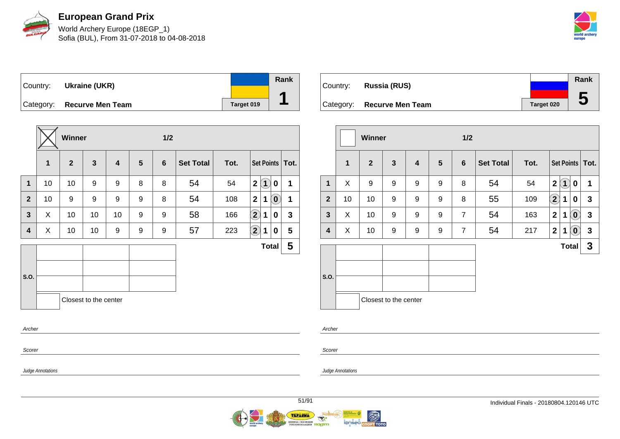

World Archery Europe (18EGP\_1) Sofia (BUL), From 31-07-2018 to 04-08-2018



Country: **Ukraine (UKR)** Category: **Recurve Men Team Target 019 Rank 1**

|                |    | Winner         |                       |                         |                | 1/2 |                  |      |                                         |                            |              |
|----------------|----|----------------|-----------------------|-------------------------|----------------|-----|------------------|------|-----------------------------------------|----------------------------|--------------|
|                | 1  | $\overline{2}$ | $\mathbf{3}$          | $\overline{\mathbf{4}}$ | $5\phantom{1}$ | 6   | <b>Set Total</b> | Tot. | Set Points   Tot.                       |                            |              |
| $\mathbf 1$    | 10 | 10             | 9                     | 9                       | 8              | 8   | 54               | 54   | $\mathbf{2}$<br>$\overline{\mathbf{1}}$ | $\mathbf 0$                | 1            |
| $\overline{2}$ | 10 | 9              | 9                     | 9                       | 9              | 8   | 54               | 108  | $\mathbf{2}$<br>1                       | $\left( \mathbf{0}\right)$ | 1            |
| $\mathbf{3}$   | X  | 10             | 10                    | 10                      | 9              | 9   | 58               | 166  | $\bf \overline{2}$<br>1                 | 0                          | $\mathbf{3}$ |
| 4              | X  | 10             | 10                    | 9                       | 9              | 9   | 57               | 223  | $\left( \mathbf{2}\right)$<br>1         | 0                          | 5            |
|                |    |                |                       |                         |                |     |                  |      | <b>Total</b>                            |                            | 5            |
| S.O.           |    |                |                       |                         |                |     |                  |      |                                         |                            |              |
| Archer         |    |                | Closest to the center |                         |                |     |                  |      |                                         |                            |              |
| Scorer         |    |                |                       |                         |                |     |                  |      |                                         |                            |              |

|           |                         |                   | <b>Rank</b> |
|-----------|-------------------------|-------------------|-------------|
| Country:  | Russia (RUS)            |                   |             |
|           |                         |                   | IJ          |
| Category: | <b>Recurve Men Team</b> | <b>Target 020</b> |             |

|                  |              | Winner         |                       |                         |                | 1/2             |                  |      |              |                |                            |                   |
|------------------|--------------|----------------|-----------------------|-------------------------|----------------|-----------------|------------------|------|--------------|----------------|----------------------------|-------------------|
|                  | $\mathbf{1}$ | $\overline{2}$ | $\mathbf{3}$          | $\overline{\mathbf{4}}$ | $5\phantom{1}$ | $6\phantom{1}6$ | <b>Set Total</b> | Tot. |              |                |                            | Set Points   Tot. |
| $\mathbf{1}$     | X            | 9              | 9                     | 9                       | 9              | 8               | 54               | 54   | $\mathbf{2}$ | $\overline{1}$ | 0                          | 1                 |
| $\overline{2}$   | 10           | 10             | 9                     | 9                       | 9              | 8               | 55               | 109  | $\mathbf{2}$ | 1              | 0                          | $\mathbf{3}$      |
| $\mathbf{3}$     | X            | 10             | 9                     | 9                       | 9              | $\overline{7}$  | 54               | 163  | $\mathbf{2}$ | 1              | $\left( \mathbf{0}\right)$ | $\mathbf{3}$      |
| $\boldsymbol{4}$ | X            | 10             | 9                     | 9                       | 9              | $\overline{7}$  | 54               | 217  | $\mathbf{2}$ | 1              | $\left( \mathbf{0}\right)$ | $\mathbf{3}$      |
|                  |              |                |                       |                         |                |                 |                  |      |              | <b>Total</b>   |                            | 3                 |
| S.O.             |              |                | Closest to the center |                         |                |                 |                  |      |              |                |                            |                   |
|                  |              |                |                       |                         |                |                 |                  |      |              |                |                            |                   |

| ப<br>۰.<br>٠<br>×<br>۰. |  |
|-------------------------|--|
|                         |  |

Judge Annotations

Scorer

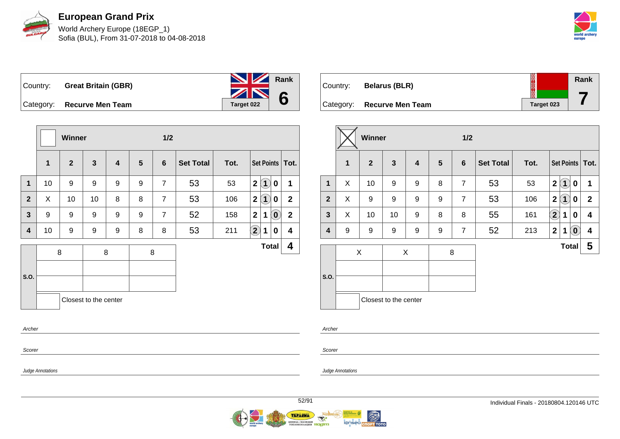

**European Grand Prix** World Archery Europe (18EGP\_1)

Sofia (BUL), From 31-07-2018 to 04-08-2018



Country: **Great Britain (GBR)** Category: **Recurve Men Team Tanget 022 Rank 6**

|                         |              | <b>Winner</b>  |                       |                         |                | 1/2            |                  |      |                                                   |                |
|-------------------------|--------------|----------------|-----------------------|-------------------------|----------------|----------------|------------------|------|---------------------------------------------------|----------------|
|                         | $\mathbf{1}$ | $\overline{2}$ | $\mathbf{3}$          | $\overline{\mathbf{4}}$ | $5\phantom{1}$ | 6              | <b>Set Total</b> | Tot. | Set Points   Tot.                                 |                |
| $\mathbf{1}$            | 10           | 9              | 9                     | 9                       | 9              | $\overline{7}$ | 53               | 53   | $\left( 1\right)$<br>$\mathbf{2}$<br>$\mathbf 0$  | 1              |
| $\overline{2}$          | X            | 10             | 10                    | 8                       | 8              | $\overline{7}$ | 53               | 106  | $\mathbf{1}$<br>$\mathbf{2}$<br>0                 | $\overline{2}$ |
| $\overline{\mathbf{3}}$ | 9            | 9              | 9                     | 9                       | 9              | $\overline{7}$ | 52               | 158  | $\overline{2}$<br>$\left( \mathbf{0}\right)$<br>1 | $\overline{2}$ |
| 4                       | 10           | 9              | 9                     | 9                       | 8              | 8              | 53               | 211  | $\mathbf{2}$<br>1<br>0                            | 4              |
|                         |              | 8              |                       | 8                       |                | 8              |                  |      | <b>Total</b>                                      | 4              |
|                         |              |                |                       |                         |                |                |                  |      |                                                   |                |
| S.O.                    |              |                |                       |                         |                |                |                  |      |                                                   |                |
|                         |              |                | Closest to the center |                         |                |                |                  |      |                                                   |                |
| Archer                  |              |                |                       |                         |                |                |                  |      |                                                   |                |

| Country: | <b>Belarus (BLR)</b>       | 美美         | Rank |
|----------|----------------------------|------------|------|
|          | Category: Recurve Men Team | Target 023 |      |

|              |   | <b>Winner</b>  |                       |   |   | 1/2            |                  |      |                |                                 |                         |
|--------------|---|----------------|-----------------------|---|---|----------------|------------------|------|----------------|---------------------------------|-------------------------|
|              | 1 | $\overline{2}$ | $\mathbf{3}$          | 4 | 5 | 6              | <b>Set Total</b> | Tot. |                |                                 | Set Points   Tot.       |
| $\mathbf{1}$ | X | 10             | 9                     | 9 | 8 | $\overline{7}$ | 53               | 53   | $\mathbf{2}$   | $\bf(1)$<br>0                   | 1                       |
| $\mathbf{2}$ | X | 9              | 9                     | 9 | 9 | $\overline{7}$ | 53               | 106  | $\overline{2}$ | (1)<br>0                        | $\mathbf{2}$            |
| 3            | X | 10             | 10                    | 9 | 8 | 8              | 55               | 161  | $\bf(2)$       | $\bf{0}$<br>1                   | $\overline{\mathbf{4}}$ |
| 4            | 9 | 9              | 9                     | 9 | 9 | $\overline{7}$ | 52               | 213  | $\mathbf{2}$   | $\left( \mathbf{0}\right)$<br>1 | 4                       |
|              |   | X              |                       | X | 8 |                |                  |      |                | <b>Total</b>                    | 5                       |
| S.O.         |   |                | Closest to the center |   |   |                |                  |      |                |                                 |                         |

Scorer

Scorer

Archer

Judge Annotations

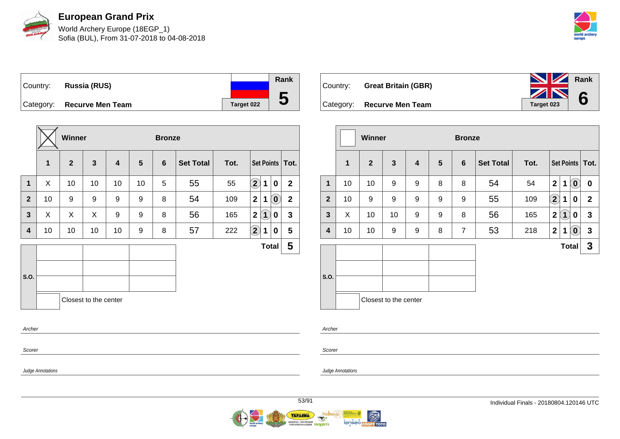

World Archery Europe (18EGP\_1) Sofia (BUL), From 31-07-2018 to 04-08-2018



| Country: | Russia (RUS)               |            | Rank |
|----------|----------------------------|------------|------|
|          |                            |            |      |
|          | Category: Recurve Men Team | Target 022 | IJ   |

|              |             | <b>Winner</b> |                       |                         |                | <b>Bronze</b>  |                  |      |                                                |                |
|--------------|-------------|---------------|-----------------------|-------------------------|----------------|----------------|------------------|------|------------------------------------------------|----------------|
|              | $\mathbf 1$ | $\mathbf{2}$  | $\mathbf{3}$          | $\overline{\mathbf{4}}$ | $5\phantom{1}$ | $6\phantom{1}$ | <b>Set Total</b> | Tot. | Set Points   Tot.                              |                |
| $\mathbf{1}$ | X           | 10            | 10                    | 10                      | 10             | 5              | 55               | 55   | $\left( \mathbf{2}\right)$<br>$\mathbf 1$<br>0 | $\overline{2}$ |
| $\mathbf{2}$ | 10          | 9             | 9                     | 9                       | 9              | 8              | 54               | 109  | $\mathbf 2$<br>$\mathbf{0}^{\prime}$<br>1      | $\mathbf{2}$   |
| $\mathbf{3}$ | X           | X             | X                     | 9                       | 9              | 8              | 56               | 165  | $\boxed{1}$<br>2 <sup>1</sup><br>0             | $\mathbf{3}$   |
| 4            | 10          | 10            | 10                    | 10                      | 9              | 8              | 57               | 222  | $\left( \mathbf{2}\right)$<br>1<br>0           | 5              |
|              |             |               |                       |                         |                |                |                  |      | <b>Total</b>                                   | 5              |
|              |             |               |                       |                         |                |                |                  |      |                                                |                |
| S.O.         |             |               |                       |                         |                |                |                  |      |                                                |                |
|              |             |               | Closest to the center |                         |                |                |                  |      |                                                |                |
| Archer       |             |               |                       |                         |                |                |                  |      |                                                |                |



|              |              | <b>Winner</b>  |                       |   |                | <b>Bronze</b>  |                  |      |                   |              |                            |                   |
|--------------|--------------|----------------|-----------------------|---|----------------|----------------|------------------|------|-------------------|--------------|----------------------------|-------------------|
|              | $\mathbf{1}$ | $\overline{2}$ | $\mathbf{3}$          | 4 | $5\phantom{1}$ | 6              | <b>Set Total</b> | Tot. |                   |              |                            | Set Points   Tot. |
| $\mathbf{1}$ | 10           | 10             | 9                     | 9 | 8              | 8              | 54               | 54   | 2 <sup>1</sup>    | 1            | $(\mathbf{0})$             | $\mathbf 0$       |
| $\mathbf{2}$ | 10           | 9              | 9                     | 9 | 9              | 9              | 55               | 109  | $\left( 2\right)$ | 1            | 0                          | $\mathbf{2}$      |
| $\mathbf{3}$ | X            | 10             | 10                    | 9 | 9              | 8              | 56               | 165  | $\mathbf 2$       | $\boxed{1}$  | 0                          | $\mathbf{3}$      |
| 4            | 10           | 10             | 9                     | 9 | 8              | $\overline{7}$ | 53               | 218  | 2                 | $\mathbf 1$  | $\left( \mathbf{0}\right)$ | $\mathbf{3}$      |
|              |              |                |                       |   |                |                |                  |      |                   | <b>Total</b> |                            | $\mathbf{3}$      |
|              |              |                |                       |   |                |                |                  |      |                   |              |                            |                   |
| S.O.         |              |                |                       |   |                |                |                  |      |                   |              |                            |                   |
|              |              |                | Closest to the center |   |                |                |                  |      |                   |              |                            |                   |

Archer

Judge Annotations

Scorer

Judge Annotations

Scorer

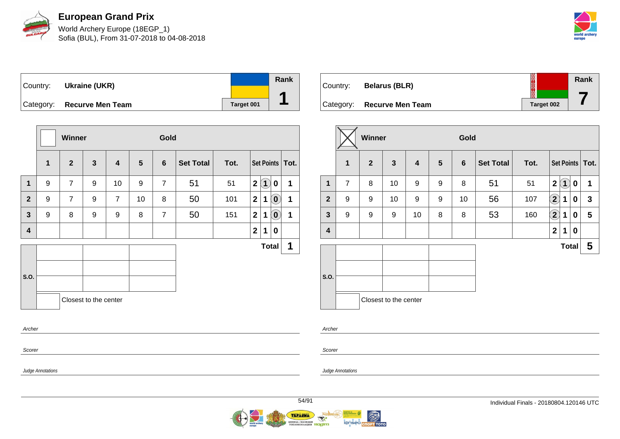

World Archery Europe (18EGP\_1) Sofia (BUL), From 31-07-2018 to 04-08-2018



| Country:  | Ukraine (UKR)           |            | Rank |
|-----------|-------------------------|------------|------|
| Category: | <b>Recurve Men Team</b> | Target 001 |      |

|                  |                  | Winner         |                       |                         |                | Gold           |                  |      |              |              |                            |                   |
|------------------|------------------|----------------|-----------------------|-------------------------|----------------|----------------|------------------|------|--------------|--------------|----------------------------|-------------------|
|                  | 1                | $\overline{2}$ | $\mathbf{3}$          | $\overline{\mathbf{4}}$ | $5\phantom{1}$ | 6              | <b>Set Total</b> | Tot. |              |              |                            | Set Points   Tot. |
| $\mathbf{1}$     | 9                | $\overline{7}$ | 9                     | 10                      | 9              | $\overline{7}$ | 51               | 51   | $\mathbf{2}$ | $\mathbf{1}$ | $\mathbf 0$                | 1                 |
| $\overline{2}$   | 9                | 7              | 9                     | 7                       | 10             | 8              | 50               | 101  | $\mathbf{2}$ | 1            | $\boxed{\mathbf{0}}$       | 1                 |
| $\mathbf{3}$     | $\boldsymbol{9}$ | 8              | 9                     | 9                       | 8              | $\overline{7}$ | 50               | 151  | $\mathbf{2}$ | 1            | $\left( \mathbf{0}\right)$ | 1                 |
| $\boldsymbol{4}$ |                  |                |                       |                         |                |                |                  |      | $\mathbf{2}$ | 1            | $\bf{0}$                   |                   |
|                  |                  |                |                       |                         |                |                |                  |      |              | <b>Total</b> |                            | 1                 |
|                  |                  |                |                       |                         |                |                |                  |      |              |              |                            |                   |
| S.O.             |                  |                |                       |                         |                |                |                  |      |              |              |                            |                   |
|                  |                  |                | Closest to the center |                         |                |                |                  |      |              |              |                            |                   |
| Archer           |                  |                |                       |                         |                |                |                  |      |              |              |                            |                   |

| Country: | <b>Belarus (BLR)</b>       | ▓          | Rank |
|----------|----------------------------|------------|------|
|          | Category: Recurve Men Team | Target 002 |      |

|                         |                | Winner         |                       |                         |                 | Gold           |                  |      |                      |              |   |                         |
|-------------------------|----------------|----------------|-----------------------|-------------------------|-----------------|----------------|------------------|------|----------------------|--------------|---|-------------------------|
|                         | 1              | $\overline{2}$ | 3                     | $\overline{\mathbf{4}}$ | $5\phantom{.0}$ | $6\phantom{1}$ | <b>Set Total</b> | Tot. |                      |              |   | Set Points   Tot.       |
| 1                       | $\overline{7}$ | 8              | 10                    | 9                       | 9               | 8              | 51               | 51   | $\mathbf{2}$         | $\mathbf 1$  | 0 | 1                       |
| $\overline{2}$          | 9              | 9              | 10                    | 9                       | 9               | 10             | 56               | 107  | $\Large{\textbf{2}}$ | 1            | 0 | $\mathbf{3}$            |
| $\mathbf{3}$            | 9              | 9              | 9                     | 10                      | 8               | 8              | 53               | 160  | $\Large{\textbf{2}}$ | 1            | 0 | $\overline{\mathbf{5}}$ |
| $\overline{\mathbf{4}}$ |                |                |                       |                         |                 |                |                  |      | $\mathbf 2$          | 1            | 0 |                         |
|                         |                |                |                       |                         |                 |                |                  |      |                      | <b>Total</b> |   | 5                       |
| S.O.                    |                |                |                       |                         |                 |                |                  |      |                      |              |   |                         |
|                         |                |                | Closest to the center |                         |                 |                |                  |      |                      |              |   |                         |

Archer

Scorer

Judge Annotations

Judge Annotations

Scorer

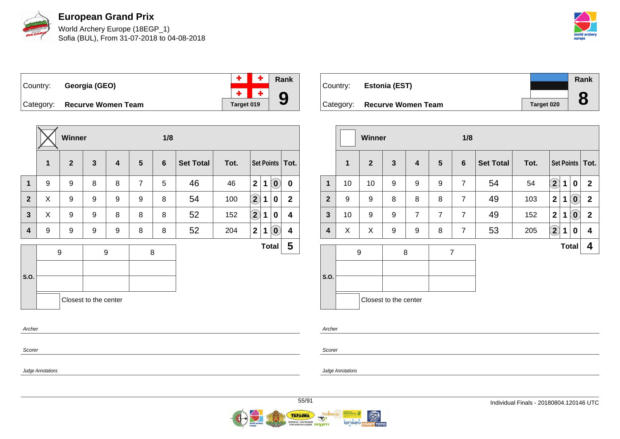

World Archery Europe (18EGP\_1) Sofia (BUL), From 31-07-2018 to 04-08-2018



Country: **Georgia (GEO)**

|            | Rank |
|------------|------|
|            |      |
| Target 019 |      |

**Category: Recurve Women Team** 

|                |                  | Winner       |                       |   |                | 1/8             |                  |      |                |   |                            |                         |
|----------------|------------------|--------------|-----------------------|---|----------------|-----------------|------------------|------|----------------|---|----------------------------|-------------------------|
|                | 1                | $\mathbf{2}$ | $\mathbf{3}$          | 4 | $5\phantom{1}$ | $6\phantom{1}6$ | <b>Set Total</b> | Tot. |                |   |                            | Set Points   Tot.       |
| $\mathbf 1$    | 9                | 9            | 8                     | 8 | $\overline{7}$ | 5               | 46               | 46   | $\overline{2}$ | 1 | $\left( \text{\o}\right)$  | $\mathbf 0$             |
| $\overline{2}$ | X                | 9            | 9                     | 9 | 9              | 8               | 54               | 100  | $\Large 2$     | 1 | 0                          | $\boldsymbol{2}$        |
| 3              | X                | 9            | 9                     | 8 | 8              | 8               | 52               | 152  | $\bf \Omega$   | 1 | 0                          | 4                       |
| 4              | 9                | 9            | 9                     | 9 | 8              | 8               | 52               | 204  | $\mathbf{2}$   | 1 | $\left( \mathbf{0}\right)$ | 4                       |
|                | $\boldsymbol{9}$ |              | 9                     |   |                | 8               |                  |      |                |   | <b>Total</b>               | $\overline{\mathbf{5}}$ |
|                |                  |              |                       |   |                |                 |                  |      |                |   |                            |                         |
| S.O.           |                  |              |                       |   |                |                 |                  |      |                |   |                            |                         |
|                |                  |              | Closest to the center |   |                |                 |                  |      |                |   |                            |                         |
| Archer         |                  |              |                       |   |                |                 |                  |      |                |   |                            |                         |

| Country: | <b>Estonia (EST)</b>         |            | Rank<br>О |
|----------|------------------------------|------------|-----------|
|          | Category: Recurve Women Team | Target 020 | O         |

|    |              |              |                |                            | 1/8             |                  |      |               |             |                            |                                   |
|----|--------------|--------------|----------------|----------------------------|-----------------|------------------|------|---------------|-------------|----------------------------|-----------------------------------|
| 1  | $\mathbf{2}$ | $\mathbf{3}$ | 4              | $5\phantom{.0}$            | $6\phantom{1}6$ | <b>Set Total</b> | Tot. |               |             |                            |                                   |
| 10 | 10           | 9            | 9              | 9                          | $\overline{7}$  | 54               | 54   | $\bf(2)$      | $\mathbf 1$ | $\mathbf 0$                | $\mathbf{2}$                      |
| 9  | 9            | 8            | 8              | 8                          | $\overline{7}$  | 49               | 103  | $\mathbf{2}$  | 1           | $\left( \mathbf{0}\right)$ | $\mathbf 2$                       |
| 10 | 9            | 9            | $\overline{7}$ | $\overline{7}$             | $\overline{7}$  | 49               | 152  | $\mathbf{2}$  | 1           | $\left( \mathbf{0}\right)$ | $\mathbf{2}$                      |
| X  | X            | 9            | 9              | 8                          | $\overline{7}$  | 53               | 205  | $\mathbf{2)}$ | $\mathbf 1$ | 0                          | 4                                 |
|    |              |              |                |                            |                 |                  |      |               |             |                            | 4                                 |
|    |              |              |                |                            |                 |                  |      |               |             |                            |                                   |
|    |              |              |                |                            |                 |                  |      |               |             |                            |                                   |
|    |              |              |                |                            |                 |                  |      |               |             |                            |                                   |
|    |              | 9            | <b>Winner</b>  | 8<br>Closest to the center |                 | $\overline{7}$   |      |               |             |                            | Set Points   Tot.<br><b>Total</b> |

Archer

Scorer

Judge Annotations

Scorer

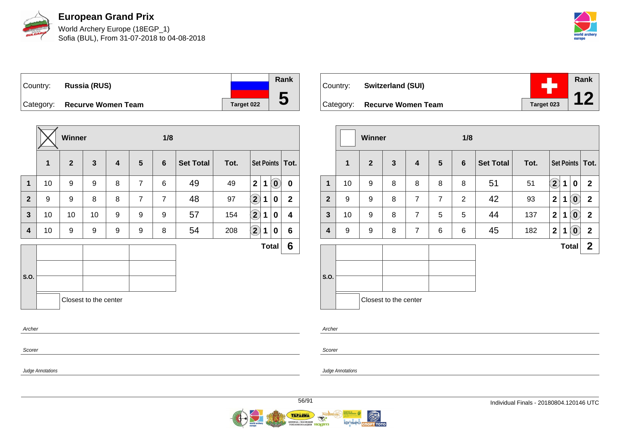

World Archery Europe (18EGP\_1) Sofia (BUL), From 31-07-2018 to 04-08-2018



Country: **Russia (RUS)** Category: **Recurve Women Team Target 022 Rank**

|                |    | <b>Winner</b>  |                       |   |                | 1/8            |                  |      |                    |              |                             |                   |
|----------------|----|----------------|-----------------------|---|----------------|----------------|------------------|------|--------------------|--------------|-----------------------------|-------------------|
|                | 1  | $\overline{2}$ | 3                     | 4 | $5\phantom{1}$ | 6              | <b>Set Total</b> | Tot. |                    |              |                             | Set Points   Tot. |
| $\mathbf{1}$   | 10 | 9              | 9                     | 8 | $\overline{7}$ | 6              | 49               | 49   | $\mathbf{2}$       | 1            | $\left  \mathbf{0} \right $ | 0                 |
| $\overline{2}$ | 9  | 9              | 8                     | 8 | $\overline{7}$ | $\overline{7}$ | 48               | 97   | $\bf \overline{2}$ | 1            | 0                           | $\mathbf 2$       |
| $\mathbf{3}$   | 10 | 10             | 10                    | 9 | 9              | 9              | 57               | 154  | $\mathbf{2}$       | 1            | 0                           | 4                 |
| 4              | 10 | 9              | 9                     | 9 | 9              | 8              | 54               | 208  | $\mathbf{\hat{2}}$ | 1            | 0                           | 6                 |
|                |    |                |                       |   |                |                |                  |      |                    | <b>Total</b> |                             | 6                 |
| S.O.           |    |                |                       |   |                |                |                  |      |                    |              |                             |                   |
|                |    |                | Closest to the center |   |                |                |                  |      |                    |              |                             |                   |
| Archer         |    |                |                       |   |                |                |                  |      |                    |              |                             |                   |
| Scorer         |    |                |                       |   |                |                |                  |      |                    |              |                             |                   |

**Rank** ٠ Country: **Switzerland (SUI) 12** Category: **Recurve Women Team Tanget 023** 

|              |              | Winner         |                       |                |                | 1/8            |                  |      |                       |   |                            |                         |
|--------------|--------------|----------------|-----------------------|----------------|----------------|----------------|------------------|------|-----------------------|---|----------------------------|-------------------------|
|              | $\mathbf{1}$ | $\overline{2}$ | $\mathbf{3}$          | 4              | $5\phantom{1}$ | $6\phantom{1}$ | <b>Set Total</b> | Tot. |                       |   |                            | Set Points   Tot.       |
| $\mathbf{1}$ | 10           | 9              | 8                     | 8              | 8              | 8              | 51               | 51   | $\bf \left( 2\right)$ | 1 | $\mathbf 0$                | $\mathbf{2}$            |
| $\mathbf{2}$ | 9            | 9              | 8                     | $\overline{7}$ | $\overline{7}$ | $\overline{2}$ | 42               | 93   | $\mathbf{2}$          | 1 | $\left( \mathbf{0}\right)$ | $\mathbf{2}$            |
| $\mathbf{3}$ | 10           | 9              | 8                     | $\overline{7}$ | 5              | 5              | 44               | 137  | $\mathbf{2}$          | 1 | $\left( \mathbf{0}\right)$ | $\overline{\mathbf{2}}$ |
| 4            | 9            | 9              | 8                     | $\overline{7}$ | 6              | 6              | 45               | 182  | $\mathbf{2}$          | 1 | $\left( \mathbf{0}\right)$ | $\mathbf{2}$            |
|              |              |                |                       |                |                |                |                  |      |                       |   | <b>Total</b>               | $\mathbf{2}$            |
| S.O.         |              |                | Closest to the center |                |                |                |                  |      |                       |   |                            |                         |

Scorer

Archer

Judge Annotations

Judge Annotations

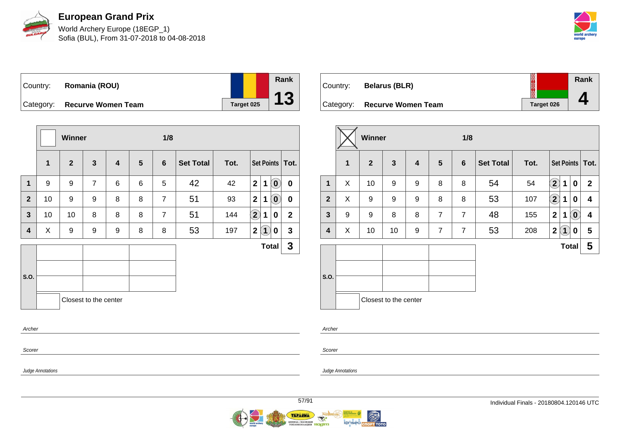

World Archery Europe (18EGP\_1) Sofia (BUL), From 31-07-2018 to 04-08-2018



Country: **Romania (ROU)** Category: **Recurve Women Team Target 025** 

|                |              | Winner         |                       |   |                 | 1/8            |                  |      |                      |                   |                            |                   |
|----------------|--------------|----------------|-----------------------|---|-----------------|----------------|------------------|------|----------------------|-------------------|----------------------------|-------------------|
|                | $\mathbf{1}$ | 2 <sup>2</sup> | $\mathbf{3}$          | 4 | $5\phantom{.0}$ | 6              | <b>Set Total</b> | Tot. |                      |                   |                            | Set Points   Tot. |
| $\mathbf 1$    | 9            | 9              | $\overline{7}$        | 6 | 6               | 5              | 42               | 42   | 2 <sup>1</sup>       | $\mathbf 1$       | $\left( \mathbf{0}\right)$ | $\mathbf 0$       |
| $\overline{2}$ | 10           | 9              | 9                     | 8 | 8               | $\overline{7}$ | 51               | 93   | $\mathbf{2}$         | 1                 | $\left( \mathbf{0}\right)$ | $\boldsymbol{0}$  |
| $\mathbf{3}$   | 10           | 10             | 8                     | 8 | 8               | $\overline{7}$ | 51               | 144  | $\Large{\textbf{2}}$ | $\mathbf 1$       | 0                          | $\mathbf{2}$      |
| 4              | X            | 9              | 9                     | 9 | 8               | 8              | 53               | 197  | $\mathbf 2$          | $\left( 1\right)$ | 0                          | $\mathbf{3}$      |
|                |              |                |                       |   |                 |                |                  |      |                      | <b>Total</b>      |                            | $\mathbf{3}$      |
|                |              |                |                       |   |                 |                |                  |      |                      |                   |                            |                   |
| S.O.           |              |                |                       |   |                 |                |                  |      |                      |                   |                            |                   |
|                |              |                | Closest to the center |   |                 |                |                  |      |                      |                   |                            |                   |
| Archer         |              |                |                       |   |                 |                |                  |      |                      |                   |                            |                   |
|                |              |                |                       |   |                 |                |                  |      |                      |                   |                            |                   |

| Country:  | <b>Belarus (BLR)</b>      | 20023             | Rank |
|-----------|---------------------------|-------------------|------|
| Category: | <b>Recurve Women Team</b> | <b>Target 026</b> |      |

|                |   | <b>Winner</b>  |                       |   |                | 1/8            |                  |      |                         |              |                                                     |                   |
|----------------|---|----------------|-----------------------|---|----------------|----------------|------------------|------|-------------------------|--------------|-----------------------------------------------------|-------------------|
|                | 1 | $\overline{2}$ | $\mathbf{3}$          | 4 | 5              | 6              | <b>Set Total</b> | Tot. |                         |              |                                                     | Set Points   Tot. |
| $\mathbf{1}$   | X | 10             | 9                     | 9 | 8              | 8              | 54               | 54   | $\bf(2)$                | 1            | $\mathbf 0$                                         | $\mathbf{2}$      |
| $\overline{2}$ | X | 9              | 9                     | 9 | 8              | 8              | 53               | 107  | $\bf(2)$                | 1            | 0                                                   | 4                 |
| $\mathbf{3}$   | 9 | 9              | 8                     | 8 | $\overline{7}$ | $\overline{7}$ | 48               | 155  | $\overline{\mathbf{2}}$ | 1            | $\left( \begin{matrix} 0 \\ 0 \end{matrix} \right)$ | 4                 |
| 4              | X | 10             | 10                    | 9 | $\overline{7}$ | $\overline{7}$ | 53               | 208  | $\mathbf 2$             | (1)          | 0                                                   | 5                 |
|                |   |                |                       |   |                |                |                  |      |                         | <b>Total</b> |                                                     | 5                 |
| S.O.           |   |                | Closest to the center |   |                |                |                  |      |                         |              |                                                     |                   |

Archer

Scorer

Judge Annotations

Scorer

Judge Annotations

**Rank**

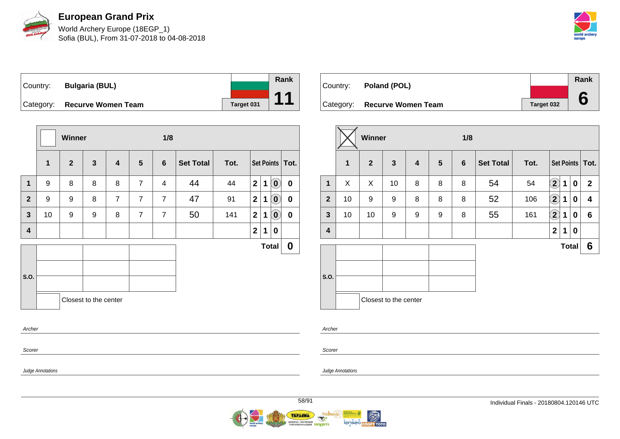

World Archery Europe (18EGP\_1) Sofia (BUL), From 31-07-2018 to 04-08-2018



Country: **Bulgaria (BUL)** Category: **Recurve Women Team Target 031** 

|                         |              | Winner         |                       |                |                | 1/8            |                  |      |                         |   |                            |                   |
|-------------------------|--------------|----------------|-----------------------|----------------|----------------|----------------|------------------|------|-------------------------|---|----------------------------|-------------------|
|                         | $\mathbf{1}$ | $\overline{2}$ | $\mathbf{3}$          | 4              | 5              | 6              | <b>Set Total</b> | Tot. |                         |   |                            | Set Points   Tot. |
| $\mathbf 1$             | 9            | 8              | 8                     | 8              | $\overline{7}$ | 4              | 44               | 44   | $\overline{\mathbf{2}}$ | 1 | $\left( \mathbf{0}\right)$ | $\mathbf 0$       |
| $\mathbf{2}$            | 9            | 9              | 8                     | $\overline{7}$ | $\overline{7}$ | $\overline{7}$ | 47               | 91   | $\mathbf{2}$            | 1 | $\ddot{\mathbf{0}}$        | $\boldsymbol{0}$  |
| $\overline{\mathbf{3}}$ | 10           | 9              | 9                     | 8              | $\overline{7}$ | $\overline{7}$ | 50               | 141  | $\overline{2}$          | 1 | $\left( \mathbf{0}\right)$ | $\bf{0}$          |
| 4                       |              |                |                       |                |                |                |                  |      | $\mathbf{2}$            | 1 | 0                          |                   |
|                         |              |                |                       |                |                |                |                  |      |                         |   | <b>Total</b>               | $\boldsymbol{0}$  |
| S.O.                    |              |                |                       |                |                |                |                  |      |                         |   |                            |                   |
|                         |              |                | Closest to the center |                |                |                |                  |      |                         |   |                            |                   |
| Archer                  |              |                |                       |                |                |                |                  |      |                         |   |                            |                   |
| Scorer                  |              |                |                       |                |                |                |                  |      |                         |   |                            |                   |

Country: **Poland (POL)** Category: **Recurve Women Team Target 032 Rank 6**

|                |                         | <b>Winner</b>  |                       |                         |                 | 1/8            |                  |      |                  |   |              |                   |
|----------------|-------------------------|----------------|-----------------------|-------------------------|-----------------|----------------|------------------|------|------------------|---|--------------|-------------------|
|                | $\overline{\mathbf{1}}$ | $\overline{2}$ | $\mathbf{3}$          | $\overline{\mathbf{4}}$ | $5\phantom{.0}$ | $6\phantom{1}$ | <b>Set Total</b> | Tot. |                  |   |              | Set Points   Tot. |
| 1              | X                       | X              | 10                    | 8                       | 8               | 8              | 54               | 54   | $\mathbf{2}$     | 1 | $\mathbf 0$  | $\mathbf{2}$      |
| 2 <sup>2</sup> | 10                      | 9              | 9                     | 8                       | 8               | 8              | 52               | 106  | $\mathbf{2}$     | 1 | 0            | 4                 |
| $\mathbf{3}$   | 10                      | 10             | 9                     | 9                       | 9               | 8              | 55               | 161  | $\mathbf{2}$     | 1 | $\mathbf 0$  | $6\phantom{1}$    |
| 4              |                         |                |                       |                         |                 |                |                  |      | $\boldsymbol{2}$ | 1 | 0            |                   |
|                |                         |                |                       |                         |                 |                |                  |      |                  |   | <b>Total</b> | 6                 |
| S.O.           |                         |                | Closest to the center |                         |                 |                |                  |      |                  |   |              |                   |

Archer

Scorer

Judge Annotations

Judge Annotations

**Rank**

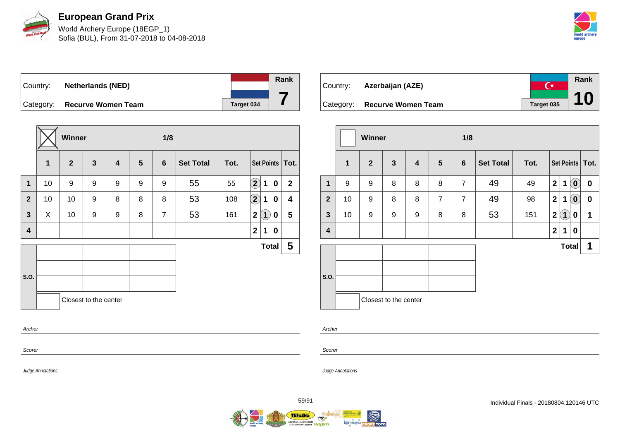

World Archery Europe (18EGP\_1) Sofia (BUL), From 31-07-2018 to 04-08-2018



Country: **Netherlands (NED)** Category: **Recurve Women Team Target 034** 

|                |             | <b>Winner</b>  |                       |   |                | 1/8            |                  |      |                    |                   |          |                   |
|----------------|-------------|----------------|-----------------------|---|----------------|----------------|------------------|------|--------------------|-------------------|----------|-------------------|
|                | $\mathbf 1$ | $\overline{2}$ | $\mathbf{3}$          | 4 | $5\phantom{1}$ | 6              | <b>Set Total</b> | Tot. |                    |                   |          | Set Points   Tot. |
| $\mathbf{1}$   | 10          | 9              | 9                     | 9 | 9              | 9              | 55               | 55   | $\mathbf{2}$       | 1                 | $\bf{0}$ | $\mathbf 2$       |
| $\overline{2}$ | 10          | 10             | 9                     | 8 | 8              | 8              | 53               | 108  | $\bf \overline{2}$ | 1                 | 0        | 4                 |
| $\mathbf{3}$   | X           | 10             | 9                     | 9 | 8              | $\overline{7}$ | 53               | 161  | $\mathbf{2}$       | $\left( 1\right)$ | 0        | 5                 |
| 4              |             |                |                       |   |                |                |                  |      | $\mathbf 2$        | 1                 | 0        |                   |
|                |             |                |                       |   |                |                |                  |      |                    | <b>Total</b>      |          | 5                 |
|                |             |                |                       |   |                |                |                  |      |                    |                   |          |                   |
| S.O.           |             |                |                       |   |                |                |                  |      |                    |                   |          |                   |
|                |             |                | Closest to the center |   |                |                |                  |      |                    |                   |          |                   |
| Archer         |             |                |                       |   |                |                |                  |      |                    |                   |          |                   |
| Scorer         |             |                |                       |   |                |                |                  |      |                    |                   |          |                   |

**Rank**  $\overline{C^*}$ Country: **Azerbaijan (AZE) 10** Category: **Recurve Women Team Taget 035** 

|                |              | Winner         |                       |                         |                 | 1/8            |                  |      |                |                   |                            |                   |  |  |  |
|----------------|--------------|----------------|-----------------------|-------------------------|-----------------|----------------|------------------|------|----------------|-------------------|----------------------------|-------------------|--|--|--|
|                | $\mathbf{1}$ | $\overline{2}$ | $\mathbf{3}$          | $\overline{\mathbf{4}}$ | $5\phantom{.0}$ | $6\phantom{1}$ | <b>Set Total</b> | Tot. |                |                   |                            | Set Points   Tot. |  |  |  |
| 1              | 9            | 9              | 8                     | 8                       | 8               | $\overline{7}$ | 49               | 49   | $\mathbf{2}$   | 1                 | $\left( \mathbf{0}\right)$ | $\mathbf 0$       |  |  |  |
| $\overline{2}$ | 10           | 9              | 8                     | 8                       | $\overline{7}$  | $\overline{7}$ | 49               | 98   | $\mathbf{2}$   | 1                 | $\tilde{0}$                | $\boldsymbol{0}$  |  |  |  |
| $\mathbf{3}$   | 10           | 9              | 9                     | 9                       | 8               | 8              | 53               | 151  | $\overline{2}$ | $\left( 1\right)$ | 0                          | 1                 |  |  |  |
| 4              |              |                |                       |                         |                 |                |                  |      | $\mathbf{2}$   | 1                 | 0                          |                   |  |  |  |
|                |              |                |                       |                         |                 |                |                  |      |                | <b>Total</b>      |                            | 1                 |  |  |  |
| S.O.           |              |                | Closest to the center |                         |                 |                |                  |      |                |                   |                            |                   |  |  |  |

Archer

Judge Annotations

Scorer

Judge Annotations

**Rank**

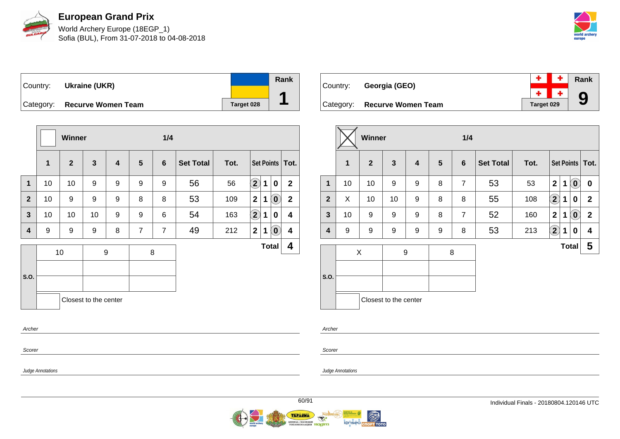

World Archery Europe (18EGP\_1) Sofia (BUL), From 31-07-2018 to 04-08-2018



Country: **Ukraine (UKR)** Category: **Recurve Women Team Tanget 028 Rank 1**

|                         |              | Winner         |                       |   |                | 1/4            |                  |      |                    |              |                            |                   |
|-------------------------|--------------|----------------|-----------------------|---|----------------|----------------|------------------|------|--------------------|--------------|----------------------------|-------------------|
|                         | $\mathbf{1}$ | $\overline{2}$ | $\mathbf{3}$          | 4 | 5              | 6              | <b>Set Total</b> | Tot. |                    |              |                            | Set Points   Tot. |
| 1                       | 10           | 10             | 9                     | 9 | 9              | 9              | 56               | 56   | $\mathbf{2}$       | 1            | $\mathbf 0$                | $\overline{2}$    |
| $\mathbf{2}$            | 10           | 9              | 9                     | 9 | 8              | 8              | 53               | 109  | $\overline{2}$     | 1            | $\left( 0\right)$          | $\mathbf{2}$      |
| $\overline{\mathbf{3}}$ | 10           | 10             | 10                    | 9 | 9              | 6              | 54               | 163  | $\bf \overline{2}$ | 1            | 0                          | 4                 |
| 4                       | 9            | 9              | 9                     | 8 | $\overline{7}$ | $\overline{7}$ | 49               | 212  | $\mathbf{2}$       | 1            | $\left( \mathbf{0}\right)$ | 4                 |
|                         |              | 10             |                       | 9 |                | 8              |                  |      |                    | <b>Total</b> |                            | 4                 |
|                         |              |                |                       |   |                |                |                  |      |                    |              |                            |                   |
| S.O.                    |              |                |                       |   |                |                |                  |      |                    |              |                            |                   |
|                         |              |                | Closest to the center |   |                |                |                  |      |                    |              |                            |                   |
| Archer                  |              |                |                       |   |                |                |                  |      |                    |              |                            |                   |
|                         |              |                |                       |   |                |                |                  |      |                    |              |                            |                   |

| Country: | Georgia (GEO)                |                   | $\parallel$ + $\parallel$ + $\parallel$ Rank |
|----------|------------------------------|-------------------|----------------------------------------------|
|          |                              |                   | $\frac{+}{1}$ + 9                            |
|          | Category: Recurve Women Team | <b>Target 029</b> |                                              |

|              |    | Winner         |                       |   |   | 1/4            |                  |      |              |              |                                                |                   |
|--------------|----|----------------|-----------------------|---|---|----------------|------------------|------|--------------|--------------|------------------------------------------------|-------------------|
|              | 1  | $\overline{2}$ | $\mathbf{3}$          | 4 | 5 | $6\phantom{1}$ | <b>Set Total</b> | Tot. |              |              |                                                | Set Points   Tot. |
| 1            | 10 | 10             | 9                     | 9 | 8 | $\overline{7}$ | 53               | 53   | $\mathbf{2}$ | $\mathbf 1$  | $\left( \begin{matrix} 0 \end{matrix} \right)$ | 0                 |
| $\mathbf{2}$ | X  | 10             | 10                    | 9 | 8 | 8              | 55               | 108  | $\bf(2)$     | $\mathbf 1$  | 0                                              | $\mathbf{2}$      |
| 3            | 10 | 9              | 9                     | 9 | 8 | $\overline{7}$ | 52               | 160  | $\mathbf{2}$ | $\mathbf 1$  | $\left( \mathbf{0}\right)$                     | $\overline{2}$    |
| 4            | 9  | 9              | 9                     | 9 | 9 | 8              | 53               | 213  | $\bf(2)$     | $\mathbf{1}$ | 0                                              | 4                 |
|              |    | X              |                       | 9 |   | 8              |                  |      |              |              | <b>Total</b>                                   | 5                 |
| S.O.         |    |                |                       |   |   |                |                  |      |              |              |                                                |                   |
|              |    |                | Closest to the center |   |   |                |                  |      |              |              |                                                |                   |

Archer

Judge Annotations

Scorer

Judge Annotations

Scorer

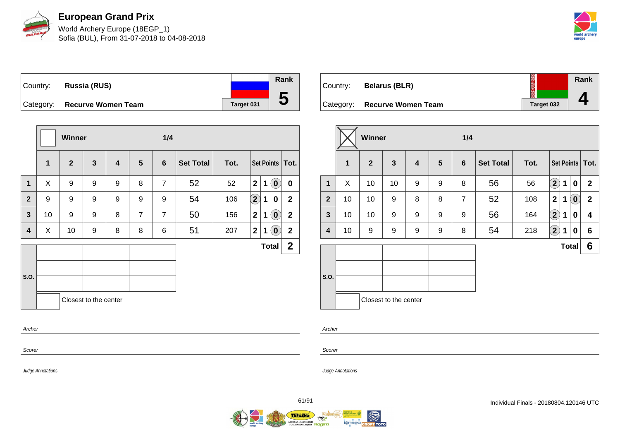

World Archery Europe (18EGP\_1) Sofia (BUL), From 31-07-2018 to 04-08-2018



Country: **Russia (RUS)** Category: **Recurve Women Team Target 031 Rank 5**

|                |                  | <b>Winner</b> |                       |   |                | 1/4            |                  |      |                         |              |                            |                   |
|----------------|------------------|---------------|-----------------------|---|----------------|----------------|------------------|------|-------------------------|--------------|----------------------------|-------------------|
|                | $\mathbf{1}$     | $\mathbf{2}$  | $\mathbf{3}$          | 4 | 5              | $6\phantom{1}$ | <b>Set Total</b> | Tot. |                         |              |                            | Set Points   Tot. |
| $\mathbf{1}$   | X                | 9             | 9                     | 9 | 8              | $\overline{7}$ | 52               | 52   | $\overline{2}$          | $\mathbf{1}$ | $\left( \mathbf{0}\right)$ | $\mathbf 0$       |
| $\overline{2}$ | $\boldsymbol{9}$ | 9             | 9                     | 9 | 9              | 9              | 54               | 106  | $\left( 2\right)$       | 1            | 0                          | $\mathbf{2}$      |
| 3              | 10               | 9             | 9                     | 8 | $\overline{7}$ | $\overline{7}$ | 50               | 156  | $\overline{\mathbf{2}}$ | 1            | $\left( \mathbf{0}\right)$ | $\mathbf{2}$      |
| 4              | X                | 10            | 9                     | 8 | 8              | 6              | 51               | 207  | $\overline{\mathbf{2}}$ | 1            | $\left( \mathbf{0}\right)$ | $\mathbf{2}$      |
|                |                  |               |                       |   |                |                |                  |      |                         |              | <b>Total</b>               | $\mathbf 2$       |
| S.O.           |                  |               |                       |   |                |                |                  |      |                         |              |                            |                   |
|                |                  |               | Closest to the center |   |                |                |                  |      |                         |              |                            |                   |
| Archer         |                  |               |                       |   |                |                |                  |      |                         |              |                            |                   |
| Scorer         |                  |               |                       |   |                |                |                  |      |                         |              |                            |                   |

| Country:  | <b>Belarus (BLR)</b>      |            | Rank |
|-----------|---------------------------|------------|------|
| Category: | <b>Recurve Women Team</b> | Target 032 |      |

|              |    | Winner         |                       |   |   | 1/4             |                  |      |                            |   |                            |                   |
|--------------|----|----------------|-----------------------|---|---|-----------------|------------------|------|----------------------------|---|----------------------------|-------------------|
|              | 1  | $\overline{2}$ | $\mathbf{3}$          | 4 | 5 | $6\phantom{1}6$ | <b>Set Total</b> | Tot. |                            |   |                            | Set Points   Tot. |
| $\mathbf{1}$ | X  | 10             | 10                    | 9 | 9 | 8               | 56               | 56   | $\mathbf{2}$               | 1 | $\bf{0}$                   | $\mathbf{2}$      |
| $\mathbf{2}$ | 10 | 10             | 9                     | 8 | 8 | $\overline{7}$  | 52               | 108  | $\mathbf{2}$               | 1 | $\left( \mathbf{0}\right)$ | $\mathbf 2$       |
| $\mathbf{3}$ | 10 | 10             | 9                     | 9 | 9 | 9               | 56               | 164  | $\bf{(2)}$                 | 1 | $\bf{0}$                   | 4                 |
| 4            | 10 | 9              | 9                     | 9 | 9 | 8               | 54               | 218  | $\left( \mathbf{2}\right)$ | 1 | $\bf{0}$                   | 6                 |
|              |    |                |                       |   |   |                 |                  |      |                            |   | <b>Total</b>               | 6                 |
| S.O.         |    |                | Closest to the center |   |   |                 |                  |      |                            |   |                            |                   |

Archer

Scorer

Judge Annotations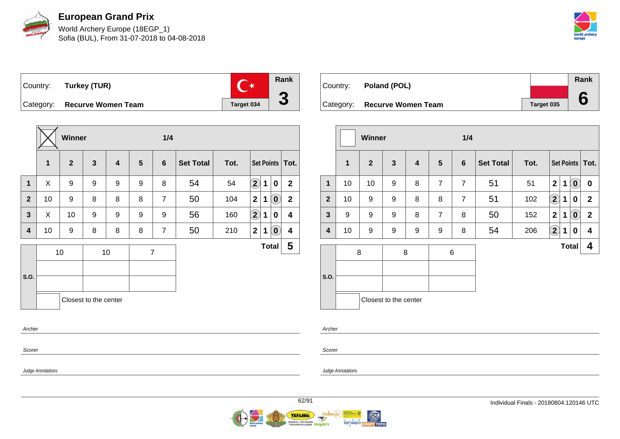

World Archery Europe (18EGP\_1) Sofia (BUL), From 31-07-2018 to 04-08-2018



Country: **Turkey (TUR)**



Category: **Recurve Women Team Target 034** 

|              |    | <b>Winner</b> |                       |    |   |                |                  |      |                            |              |                             |                         |
|--------------|----|---------------|-----------------------|----|---|----------------|------------------|------|----------------------------|--------------|-----------------------------|-------------------------|
|              | 1  | $\mathbf{2}$  | $\mathbf{3}$          | 4  | 5 | $6\phantom{1}$ | <b>Set Total</b> | Tot. |                            |              |                             | Set Points   Tot.       |
| 1            | X  | 9             | 9                     | 9  | 9 | 8              | 54               | 54   | $\left( \mathbf{2}\right)$ | 1            | $\mathbf 0$                 | $\mathbf{2}$            |
| $\mathbf{2}$ | 10 | 9             | 8                     | 8  | 8 | $\overline{7}$ | 50               | 104  | $\mathbf{2}$               | 1            | $\left( \textbf{0} \right)$ | $\mathbf{2}$            |
| $\mathbf{3}$ | X  | 10            | 9                     | 9  | 9 | 9              | 56               | 160  | $\boxed{2}$                | 1            | 0                           | 4                       |
| 4            | 10 | 9             | 8                     | 8  | 8 | $\overline{7}$ | 50               | 210  | $\mathbf{2}$               | 1            | $\left[ \mathbf{0}\right]$  | $\overline{\mathbf{4}}$ |
| S.O.         |    | 10            |                       | 10 |   | $\overline{7}$ |                  |      |                            | <b>Total</b> |                             | $\overline{\mathbf{5}}$ |
| Archer       |    |               | Closest to the center |    |   |                |                  |      |                            |              |                             |                         |

| Country: | Poland (POL)                 |            | Rank |
|----------|------------------------------|------------|------|
|          |                              |            |      |
|          | Category: Recurve Women Team | Target 035 |      |

|                |             | <b>Winner</b>  |                            |                         |                 | 1/4            |                  |      |                |   |                                                |                   |
|----------------|-------------|----------------|----------------------------|-------------------------|-----------------|----------------|------------------|------|----------------|---|------------------------------------------------|-------------------|
|                | $\mathbf 1$ | $\overline{2}$ | $\mathbf{3}$               | $\overline{\mathbf{4}}$ | $5\phantom{.0}$ | 6              | <b>Set Total</b> | Tot. |                |   |                                                | Set Points   Tot. |
| 1              | 10          | 10             | 9                          | 8                       | 7               | $\overline{7}$ | 51               | 51   | $\overline{2}$ | 1 | $\left( \mathbf{0}\right)$                     | 0                 |
| $\overline{2}$ | 10          | 9              | 9                          | 8                       | 8               | $\overline{7}$ | 51               | 102  | $\Large 2$     | 1 | 0                                              | $\mathbf{2}$      |
| $\mathbf{3}$   | 9           | 9              | 9                          | 8                       | $\overline{7}$  | 8              | 50               | 152  | $\overline{2}$ | 1 | $\left( \begin{matrix} 0 \end{matrix} \right)$ | $\mathbf 2$       |
| 4              | 10          | 9              | 9                          | 9                       | 9               | 8              | 54               | 206  | $\mathbf{2}$   | 1 | 0                                              | 4                 |
| S.O.           | 8           |                | 8<br>Closest to the center |                         | 6               |                |                  |      |                |   | <b>Total</b>                                   | 4                 |

Scorer

Scorer

Archer

Judge Annotations

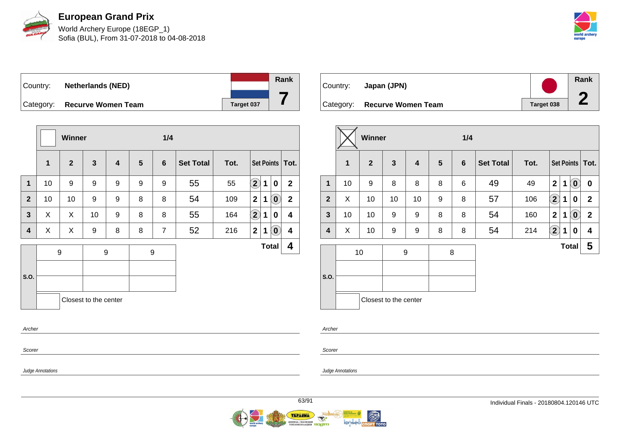

World Archery Europe (18EGP\_1) Sofia (BUL), From 31-07-2018 to 04-08-2018



Country: **Netherlands (NED)** Category: **Recurve Women Team Target 037 Rank**

|                   |                            |   |                    |      |                  | 1/4            |   |                         |                       | <b>Winner</b>    |    |                |  |  |
|-------------------|----------------------------|---|--------------------|------|------------------|----------------|---|-------------------------|-----------------------|------------------|----|----------------|--|--|
| Set Points   Tot. |                            |   |                    | Tot. | <b>Set Total</b> | 6              | 5 | $\overline{\mathbf{4}}$ | $\mathbf{3}$          | $\mathbf{2}$     | 1  |                |  |  |
| $\overline{2}$    | $\bf{0}$                   | 1 | $\bf (2)$          | 55   | 55               | 9              | 9 | 9                       | 9                     | 9                | 10 | $\mathbf{1}$   |  |  |
| $\mathbf{2}$      | $\left( \mathbf{0}\right)$ | 1 | $\overline{2}$     | 109  | 54               | 8              | 8 | 9                       | 9                     | 10               | 10 | $\overline{2}$ |  |  |
| 4                 | 0                          | 1 | $\hat{\mathbf{2}}$ | 164  | 55               | 8              | 8 | 9                       | 10                    | X                | X  | $\mathbf{3}$   |  |  |
| 4                 | $(\mathbf{0})$             | 1 | $\mathbf 2$        | 216  | 52               | $\overline{7}$ | 8 | 8                       | 9                     | X                | X  | 4              |  |  |
| 4                 | <b>Total</b>               |   |                    |      |                  |                |   |                         |                       |                  |    |                |  |  |
|                   |                            |   |                    |      |                  |                |   |                         |                       |                  |    |                |  |  |
|                   |                            |   |                    |      |                  |                |   |                         |                       |                  |    | S.O.           |  |  |
|                   |                            |   |                    |      |                  |                |   |                         | Closest to the center |                  |    |                |  |  |
|                   |                            |   |                    |      |                  |                |   |                         |                       |                  |    | Archer         |  |  |
|                   |                            |   |                    |      |                  | 9              |   | 9                       |                       | $\boldsymbol{9}$ |    |                |  |  |

Country: **Japan (JPN)** Category: **Recurve Women Team Tanget 038 Rank 2**

|              |              | Winner         |                       |    |                 | 1/4 |                  |      |                         |              |                                                     |                   |  |
|--------------|--------------|----------------|-----------------------|----|-----------------|-----|------------------|------|-------------------------|--------------|-----------------------------------------------------|-------------------|--|
|              | $\mathbf{1}$ | $\overline{2}$ | $\mathbf{3}$          | 4  | $5\phantom{.0}$ | 6   | <b>Set Total</b> | Tot. |                         |              |                                                     | Set Points   Tot. |  |
| $\mathbf 1$  | 10           | 9              | 8                     | 8  | 8               | 6   | 49               | 49   | $\overline{2}$          | 1            | $\left( \begin{matrix} 0 \\ 0 \end{matrix} \right)$ | $\boldsymbol{0}$  |  |
| $\mathbf{2}$ | X            | 10             | 10                    | 10 | 9               | 8   | 57               | 106  | $\Large{\textbf{2}}$    | 1            | 0                                                   | $\mathbf{2}$      |  |
| $\mathbf{3}$ | 10           | 10             | 9                     | 9  | 8               | 8   | 54               | 160  | $\overline{\mathbf{2}}$ | 1            | $\left( \begin{matrix} 0 \end{matrix} \right)$      | $\mathbf{2}$      |  |
| 4            | X            | 10             | 9                     | 9  | 8               | 8   | 54               | 214  | $\mathbf{\widehat{2}}$  | 1            | 0                                                   | 4                 |  |
| S.O.         |              | 10             | 9                     |    | 8               |     |                  |      |                         | <b>Total</b> |                                                     | 5                 |  |
|              |              |                | Closest to the center |    |                 |     |                  |      |                         |              |                                                     |                   |  |

Archer

Scorer

Judge Annotations

Scorer

Judge Annotations

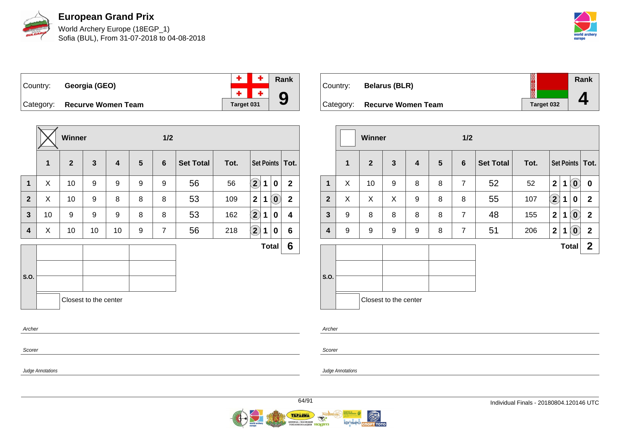

World Archery Europe (18EGP\_1) Sofia (BUL), From 31-07-2018 to 04-08-2018



 $\ddot{\phantom{1}}$ Country: **Georgia (GEO)**  $\overline{\mathbf{r}}$ 



Category: **Recurve Women Team Target 031** 

|              |             | <b>Winner</b> |                       |                         |                 | 1/2            |                  |      |                            |   |                            |                   |  |
|--------------|-------------|---------------|-----------------------|-------------------------|-----------------|----------------|------------------|------|----------------------------|---|----------------------------|-------------------|--|
|              | $\mathbf 1$ | $\mathbf{2}$  | $\overline{3}$        | $\overline{\mathbf{4}}$ | $5\phantom{.0}$ | $6\phantom{1}$ | <b>Set Total</b> | Tot. |                            |   |                            | Set Points   Tot. |  |
| 1            | X           | 10            | 9                     | 9                       | 9               | 9              | 56               | 56   | $\left( \mathbf{2}\right)$ | 1 | 0                          | $\mathbf{2}$      |  |
| $\mathbf{2}$ | X           | 10            | 9                     | 8                       | 8               | 8              | 53               | 109  | $\mathbf{2}$               | 1 | $\left( \mathbf{0}\right)$ | $\overline{2}$    |  |
| 3            | 10          | 9             | 9                     | 9                       | 8               | 8              | 53               | 162  | $\odot$                    | 1 | 0                          | 4                 |  |
| 4            | X           | 10            | 10                    | 10                      | 9               | $\overline{7}$ | 56               | 218  | $\left( \bf{2}\right)$     | 1 | 0                          | 6                 |  |
|              |             |               |                       |                         |                 |                |                  |      |                            |   | <b>Total</b>               | 6                 |  |
|              |             |               |                       |                         |                 |                |                  |      |                            |   |                            |                   |  |
| S.O.         |             |               |                       |                         |                 |                |                  |      |                            |   |                            |                   |  |
|              |             |               | Closest to the center |                         |                 |                |                  |      |                            |   |                            |                   |  |
| Archer       |             |               |                       |                         |                 |                |                  |      |                            |   |                            |                   |  |
| Scorer       |             |               |                       |                         |                 |                |                  |      |                            |   |                            |                   |  |

| Country:  | <b>Belarus (BLR)</b>      |            | Rank |
|-----------|---------------------------|------------|------|
| Category: | <b>Recurve Women Team</b> | Target 032 |      |

|                |   | Winner         |                       |   | $1/2$          |                |                  |      |                            |              |                            |                   |
|----------------|---|----------------|-----------------------|---|----------------|----------------|------------------|------|----------------------------|--------------|----------------------------|-------------------|
|                | 1 | $\overline{2}$ | $\mathbf{3}$          | 4 | $5\phantom{1}$ | 6              | <b>Set Total</b> | Tot. |                            |              |                            | Set Points   Tot. |
| $\mathbf{1}$   | X | 10             | 9                     | 8 | 8              | $\overline{7}$ | 52               | 52   | $\mathbf{2}$               | $\mathbf 1$  | $\left( \mathbf{0}\right)$ | 0                 |
| $\overline{2}$ | X | X              | X                     | 9 | 8              | 8              | 55               | 107  | $\left( \mathbf{2}\right)$ | 1            | 0                          | $\mathbf{2}$      |
| $\mathbf{3}$   | 9 | 8              | 8                     | 8 | 8              | $\overline{7}$ | 48               | 155  | $\mathbf{2}$               | 1            | $\left( \mathbf{0}\right)$ | $\overline{2}$    |
| 4              | 9 | 9              | 9                     | 9 | 8              | $\overline{7}$ | 51               | 206  | $\mathbf 2$                | $\mathbf 1$  | $(\mathbf{0})$             | $\mathbf{2}$      |
|                |   |                |                       |   |                |                |                  |      |                            | <b>Total</b> |                            | $\mathbf{2}$      |
| S.O.           |   |                | Closest to the center |   |                |                |                  |      |                            |              |                            |                   |

Archer

Scorer

Judge Annotations

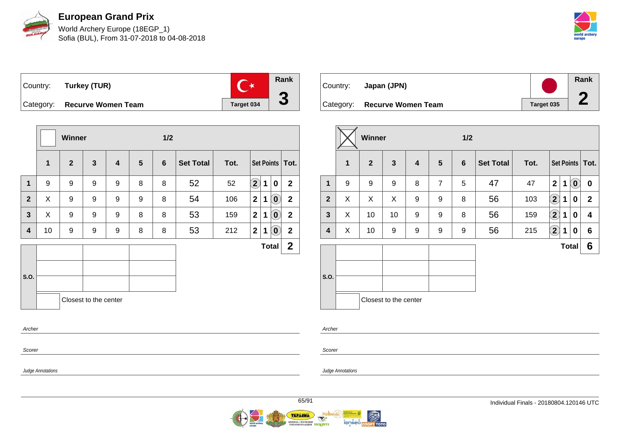

World Archery Europe (18EGP\_1) Sofia (BUL), From 31-07-2018 to 04-08-2018



Country: **Turkey (TUR)** Category: **Recurve Women Team Target 034** 



|                |    | <b>Winner</b> |                       |   |                 | 1/2             |                  |      |                            |             |                            |                   |
|----------------|----|---------------|-----------------------|---|-----------------|-----------------|------------------|------|----------------------------|-------------|----------------------------|-------------------|
|                | 1  | $\mathbf{2}$  | $\mathbf{3}$          | 4 | $5\phantom{.0}$ | $6\phantom{1}6$ | <b>Set Total</b> | Tot. |                            |             |                            | Set Points   Tot. |
| $\mathbf 1$    | 9  | 9             | 9                     | 9 | 8               | 8               | 52               | 52   | $\left( \mathbf{2}\right)$ | $\mathbf 1$ | 0                          | $\overline{2}$    |
| $\overline{2}$ | X  | 9             | 9                     | 9 | 9               | 8               | 54               | 106  | $\mathbf{2}$               | 1           | $\left( \mathbf{0}\right)$ | $\mathbf 2$       |
| $\mathbf{3}$   | X  | 9             | 9                     | 9 | 8               | 8               | 53               | 159  | $\mathbf{2}$               | 1           | $\mathbf{0}$               | $\mathbf{2}$      |
| 4              | 10 | 9             | 9                     | 9 | 8               | 8               | 53               | 212  | 2 <sup>1</sup>             | 1           | $\left( \mathbf{0}\right)$ | $\mathbf{2}$      |
|                |    |               |                       |   |                 |                 |                  |      |                            |             | <b>Total</b>               | $\mathbf{2}$      |
|                |    |               |                       |   |                 |                 |                  |      |                            |             |                            |                   |
| S.O.           |    |               |                       |   |                 |                 |                  |      |                            |             |                            |                   |
|                |    |               | Closest to the center |   |                 |                 |                  |      |                            |             |                            |                   |
| Archer         |    |               |                       |   |                 |                 |                  |      |                            |             |                            |                   |

| Country: | Japan (JPN)                  |            | Rank |
|----------|------------------------------|------------|------|
|          | Category: Recurve Women Team | Target 035 |      |

|                |   | <b>Winner</b>  | 1/2                   |   |                |   |                  |      |                         |             |                                                     |                   |
|----------------|---|----------------|-----------------------|---|----------------|---|------------------|------|-------------------------|-------------|-----------------------------------------------------|-------------------|
|                | 1 | $\overline{2}$ | $\mathbf{3}$          | 4 | $5\phantom{1}$ | 6 | <b>Set Total</b> | Tot. |                         |             |                                                     | Set Points   Tot. |
| $\mathbf{1}$   | 9 | 9              | 9                     | 8 | $\overline{7}$ | 5 | 47               | 47   | $\overline{\mathbf{2}}$ | $\mathbf 1$ | $\left( \begin{matrix} 0 \\ 0 \end{matrix} \right)$ | $\mathbf 0$       |
| $\overline{2}$ | X | X              | X                     | 9 | 9              | 8 | 56               | 103  | $\mathbf{\widehat{2}})$ | 1           | 0                                                   | $\mathbf{2}$      |
| $\mathbf{3}$   | X | 10             | 10                    | 9 | 9              | 8 | 56               | 159  | $\boxed{2}$             | 1           | 0                                                   | 4                 |
| 4              | X | 10             | 9                     | 9 | 9              | 9 | 56               | 215  | $\left( 2\right)$       | 1           | 0                                                   | $6\phantom{1}$    |
|                |   |                |                       |   |                |   |                  |      |                         |             | <b>Total</b>                                        | 6                 |
| S.O.           |   |                |                       |   |                |   |                  |      |                         |             |                                                     |                   |
|                |   |                | Closest to the center |   |                |   |                  |      |                         |             |                                                     |                   |

Archer

Judge Annotations

Scorer

Judge Annotations

Scorer

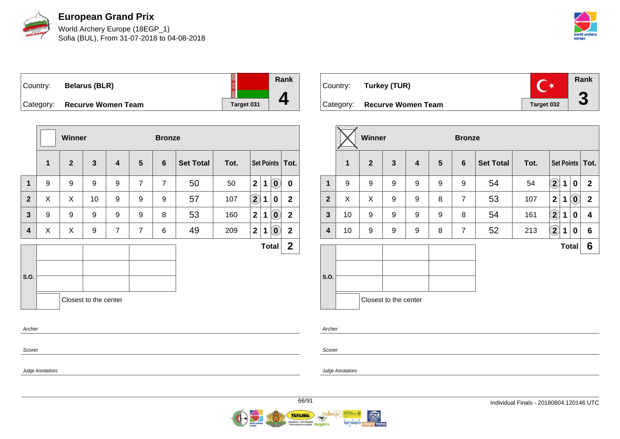

World Archery Europe (18EGP\_1) Sofia (BUL), From 31-07-2018 to 04-08-2018



Country: **Belarus (BLR)** Category: **Recurve Women Team Target 131** Target

|         | Rank |
|---------|------|
| get 031 | ◢    |

|                |             | Winner       |                       |                         |                 | <b>Bronze</b>  |                  |      |                |              |                            |                   |
|----------------|-------------|--------------|-----------------------|-------------------------|-----------------|----------------|------------------|------|----------------|--------------|----------------------------|-------------------|
|                | $\mathbf 1$ | $\mathbf{2}$ | $\mathbf{3}$          | $\overline{\mathbf{4}}$ | $5\phantom{.0}$ | 6              | <b>Set Total</b> | Tot. |                |              |                            | Set Points   Tot. |
| $\mathbf 1$    | 9           | 9            | 9                     | 9                       | $\overline{7}$  | $\overline{7}$ | 50               | 50   | $\overline{2}$ | $\mathbf{1}$ | $\left( \mathbf{0}\right)$ | $\mathbf 0$       |
| $\overline{2}$ | X           | X            | 10                    | 9                       | 9               | 9              | 57               | 107  | $\mathbf{2}$   | 1            | 0                          | $\mathbf{2}$      |
| $\mathbf{3}$   | 9           | 9            | 9                     | 9                       | 9               | 8              | 53               | 160  | $\overline{2}$ | $\mathbf 1$  | $\left( \mathbf{0}\right)$ | $\mathbf{2}$      |
| 4              | X           | X            | 9                     | $\overline{7}$          | $\overline{7}$  | 6              | 49               | 209  | $\mathbf 2$    | 1            | $\left( \mathbf{0}\right)$ | $\mathbf 2$       |
|                |             |              |                       |                         |                 |                |                  |      |                | <b>Total</b> |                            | $\overline{2}$    |
|                |             |              |                       |                         |                 |                |                  |      |                |              |                            |                   |
| S.O.           |             |              |                       |                         |                 |                |                  |      |                |              |                            |                   |
|                |             |              | Closest to the center |                         |                 |                |                  |      |                |              |                            |                   |
| Archer         |             |              |                       |                         |                 |                |                  |      |                |              |                            |                   |

| Country: Turkey (TUR)        |            | Rank |
|------------------------------|------------|------|
| Category: Recurve Women Team | Target 032 |      |

|              |    | Winner         |                       |   |   |                | <b>Bronze</b>    |      |                            |              |                            |                   |  |
|--------------|----|----------------|-----------------------|---|---|----------------|------------------|------|----------------------------|--------------|----------------------------|-------------------|--|
|              | 1  | $\overline{2}$ | $\mathbf{3}$          | 4 | 5 | 6              | <b>Set Total</b> | Tot. |                            |              |                            | Set Points   Tot. |  |
| 1            | 9  | 9              | 9                     | 9 | 9 | 9              | 54               | 54   | $\bf \Omega$               | 1            | 0                          | $\mathbf{2}$      |  |
| $\mathbf{2}$ | X  | X              | 9                     | 9 | 8 | $\overline{7}$ | 53               | 107  | $\mathbf{2}$               | 1            | $\left( \mathbf{0}\right)$ | $\overline{2}$    |  |
| $\mathbf{3}$ | 10 | 9              | 9                     | 9 | 9 | 8              | 54               | 161  | $\mathbf{2}$               | 1            | $\mathbf 0$                | 4                 |  |
| 4            | 10 | 9              | 9                     | 9 | 8 | 7              | 52               | 213  | $\left( \mathbf{2}\right)$ | 1            | 0                          | $6\phantom{1}$    |  |
|              |    |                |                       |   |   |                |                  |      |                            | <b>Total</b> |                            | 6                 |  |
| S.O.         |    |                | Closest to the center |   |   |                |                  |      |                            |              |                            |                   |  |

Archer

Scorer

Judge Annotations

Scorer

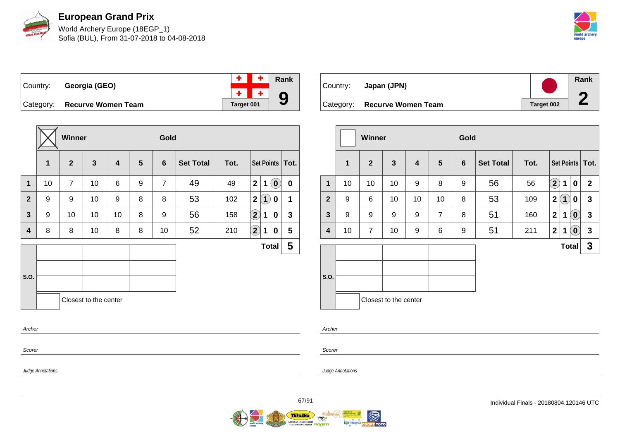

World Archery Europe (18EGP\_1) Sofia (BUL), From 31-07-2018 to 04-08-2018



 $\ddot{\phantom{1}}$ Country: **Georgia (GEO)**  $\ddot{\Phi}$ 



Category: **Recurve Women Team Target 001** 

|                  |                  | <b>Winner</b>  |                       |                         |   |                | Gold             |      |                                 |                            |             |  |
|------------------|------------------|----------------|-----------------------|-------------------------|---|----------------|------------------|------|---------------------------------|----------------------------|-------------|--|
|                  | 1                | $\mathbf{2}$   | $\mathbf{3}$          | $\overline{\mathbf{4}}$ | 5 | $6\phantom{1}$ | <b>Set Total</b> | Tot. |                                 | Set Points   Tot.          |             |  |
| $\mathbf{1}$     | 10               | $\overline{7}$ | 10                    | 6                       | 9 | $\overline{7}$ | 49               | 49   | $\mathbf{2}$<br>1               | $\left( \mathbf{0}\right)$ | $\pmb{0}$   |  |
| $\mathbf{2}$     | $\boldsymbol{9}$ | 9              | 10                    | 9                       | 8 | 8              | 53               | 102  | $\mathbf{2}$<br>$\boxed{1}$     | 0                          | $\mathbf 1$ |  |
| $\mathbf{3}$     | 9                | 10             | 10                    | 10                      | 8 | 9              | 56               | 158  | $\Large 2$<br>1                 | 0                          | 3           |  |
| 4                | 8                | 8              | 10                    | 8                       | 8 | 10             | 52               | 210  | $\left( \mathbf{2}\right)$<br>1 | 0                          | 5           |  |
|                  |                  |                |                       |                         |   |                |                  |      |                                 | <b>Total</b>               | 5           |  |
| S.O.             |                  |                | Closest to the center |                         |   |                |                  |      |                                 |                            |             |  |
| Archer<br>Scorer |                  |                |                       |                         |   |                |                  |      |                                 |                            |             |  |



|                |             | <b>Winner</b>  |                       |    |                | Gold |                  |      |                                                   |              |
|----------------|-------------|----------------|-----------------------|----|----------------|------|------------------|------|---------------------------------------------------|--------------|
|                | $\mathbf 1$ | $\overline{2}$ | $\mathbf{3}$          | 4  | 5              | 6    | <b>Set Total</b> | Tot. | Set Points   Tot.                                 |              |
| $\mathbf 1$    | 10          | 10             | 10                    | 9  | 8              | 9    | 56               | 56   | $\mathbf{2}$<br>1<br>0                            | $\mathbf{2}$ |
| $\overline{2}$ | 9           | 6              | 10                    | 10 | 10             | 8    | 53               | 109  | $\mathbf{O}$<br>$\mathbf{2}$<br>0                 | $\mathbf{3}$ |
| $\mathbf{3}$   | 9           | 9              | 9                     | 9  | $\overline{7}$ | 8    | 51               | 160  | 2 <sup>1</sup><br>1<br>$\left( \mathbf{0}\right)$ | $\mathbf{3}$ |
| 4              | 10          | $\overline{7}$ | 10                    | 9  | 6              | 9    | 51               | 211  | 2 <sup>1</sup><br>1<br>$\left( \mathbf{0}\right)$ | $\mathbf{3}$ |
|                |             |                |                       |    |                |      |                  |      | <b>Total</b>                                      | 3            |
| S.O.           |             |                | Closest to the center |    |                |      |                  |      |                                                   |              |
|                |             |                |                       |    |                |      |                  |      |                                                   |              |

Archer

Scorer

Judge Annotations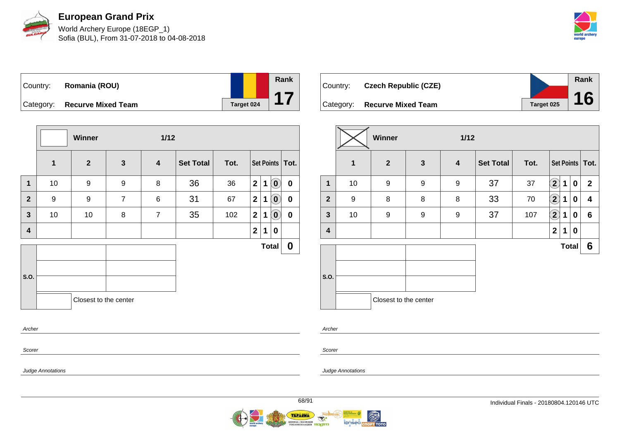

World Archery Europe (18EGP\_1) Sofia (BUL), From 31-07-2018 to 04-08-2018



| Country: Romania (ROU)       |            |
|------------------------------|------------|
| Category: Recurve Mixed Team | Target 024 |

|                         |                  | $1/12$<br>Winner      |                  |                         |                  |      |                |             |                            |                   |
|-------------------------|------------------|-----------------------|------------------|-------------------------|------------------|------|----------------|-------------|----------------------------|-------------------|
|                         | $\mathbf{1}$     | $\overline{2}$        | $\mathbf{3}$     | $\overline{\mathbf{4}}$ | <b>Set Total</b> | Tot. |                |             |                            | Set Points   Tot. |
| $\mathbf 1$             | 10               | 9                     | $\boldsymbol{9}$ | 8                       | 36               | 36   | 2 <sup>1</sup> | $\mathbf 1$ | $\left( \mathbf{0}\right)$ | $\mathbf 0$       |
| $\overline{2}$          | $\boldsymbol{9}$ | $\boldsymbol{9}$      | $\overline{7}$   | 6                       | 31               | 67   | 2              | $\mathbf 1$ | $\left( \mathbf{0}\right)$ | $\pmb{0}$         |
| $\mathbf{3}$            | 10               | 10                    | 8                | $\overline{7}$          | 35               | 102  | $\overline{2}$ | 1           | $\left( \mathbf{0}\right)$ | $\mathbf 0$       |
| $\overline{\mathbf{4}}$ |                  |                       |                  |                         |                  |      | $\mathbf 2$    | 1           | 0                          |                   |
|                         |                  |                       |                  |                         |                  |      |                |             | <b>Total</b>               | $\boldsymbol{0}$  |
| S.O.                    |                  | Closest to the center |                  |                         |                  |      |                |             |                            |                   |
| Archer                  |                  |                       |                  |                         |                  |      |                |             |                            |                   |

| Country: | <b>Czech Republic (CZE)</b>  |            | <b>Rank</b> |
|----------|------------------------------|------------|-------------|
|          |                              |            |             |
|          | Category: Recurve Mixed Team | Target 025 | 16          |

|                         |    | <b>Winner</b><br>$1/12$ |                  |                         |                  |      |                            |              |             |                   |  |
|-------------------------|----|-------------------------|------------------|-------------------------|------------------|------|----------------------------|--------------|-------------|-------------------|--|
|                         | 1  | $\overline{2}$          | $\mathbf{3}$     | $\overline{\mathbf{4}}$ | <b>Set Total</b> | Tot. |                            |              |             | Set Points   Tot. |  |
| 1                       | 10 | 9                       | $\boldsymbol{9}$ | 9                       | 37               | 37   | $\left( \mathbf{2}\right)$ | $\mathbf 1$  | $\mathbf 0$ | $\overline{2}$    |  |
| $\overline{2}$          | 9  | 8                       | 8                | 8                       | 33               | 70   | $\mathbf{2}$               | 1            | $\mathbf 0$ | 4                 |  |
| $\mathbf{3}$            | 10 | 9                       | 9                | 9                       | 37               | 107  | $\mathbf{2}$               | 1            | $\mathbf 0$ | $6\phantom{1}$    |  |
| $\overline{\mathbf{4}}$ |    |                         |                  |                         |                  |      | $\mathbf{2}$               | 1            | $\bf{0}$    |                   |  |
|                         |    |                         |                  |                         |                  |      |                            | <b>Total</b> |             | 6                 |  |
| S.O.                    |    | Closest to the center   |                  |                         |                  |      |                            |              |             |                   |  |

Scorer

Scorer

Judge Annotations

Archer

Judge Annotations



**Rank**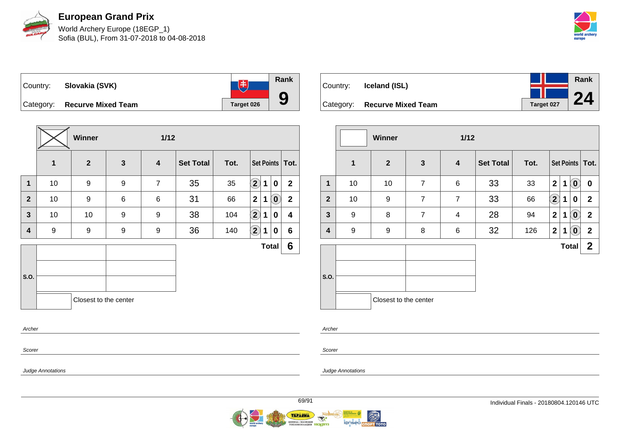

World Archery Europe (18EGP\_1) Sofia (BUL), From 31-07-2018 to 04-08-2018



**Rank**  $\overline{1}$ Country: **Slovakia (SVK) 9** Category: **Recurve Mixed Team Target 026** 

|                |    | Winner<br>$1/12$      |                  |                         |                  |      |                            |             |                            |                         |
|----------------|----|-----------------------|------------------|-------------------------|------------------|------|----------------------------|-------------|----------------------------|-------------------------|
|                | 1  | $\overline{2}$        | $\mathbf{3}$     | $\overline{\mathbf{4}}$ | <b>Set Total</b> | Tot. | Set Points   Tot.          |             |                            |                         |
| $\mathbf 1$    | 10 | $\boldsymbol{9}$      | $\boldsymbol{9}$ | $\overline{7}$          | 35               | 35   | $\left( \mathbf{2}\right)$ | 1           | $\mathbf 0$                | $\overline{2}$          |
| $\overline{2}$ | 10 | $\boldsymbol{9}$      | 6                | 6                       | 31               | 66   | $\mathbf{2}$               | 1           | $\left( \mathbf{0}\right)$ | $\overline{2}$          |
| $\mathbf{3}$   | 10 | 10                    | $\boldsymbol{9}$ | 9                       | 38               | 104  | $\left( \mathbf{2}\right)$ | $\mathbf 1$ | 0                          | $\overline{\mathbf{4}}$ |
| 4              | 9  | 9                     | 9                | 9                       | 36               | 140  | $\bf \overline{2}$         | 1           | 0                          | $6\phantom{1}$          |
|                |    |                       |                  |                         |                  |      |                            |             | <b>Total</b>               | $6\phantom{1}$          |
|                |    |                       |                  |                         |                  |      |                            |             |                            |                         |
| S.O.           |    |                       |                  |                         |                  |      |                            |             |                            |                         |
|                |    | Closest to the center |                  |                         |                  |      |                            |             |                            |                         |
| Archer         |    |                       |                  |                         |                  |      |                            |             |                            |                         |

| Country: | Iceland (ISL)                |            | Rank |
|----------|------------------------------|------------|------|
|          |                              |            | 24   |
|          | Category: Recurve Mixed Team | Target 027 |      |

|                |              | <b>Winner</b><br>$1/12$ |                |                         |                  |      |                   |   |                             |                   |
|----------------|--------------|-------------------------|----------------|-------------------------|------------------|------|-------------------|---|-----------------------------|-------------------|
|                | $\mathbf{1}$ | $\overline{2}$          | $\mathbf{3}$   | $\overline{\mathbf{4}}$ | <b>Set Total</b> | Tot. |                   |   |                             | Set Points   Tot. |
| 1              | 10           | 10                      | $\overline{7}$ | $\,6$                   | 33               | 33   | $\overline{2}$    | 1 | $\mathbf{O}$                | $\bf{0}$          |
| $\overline{2}$ | 10           | 9                       | $\overline{7}$ | $\overline{7}$          | 33               | 66   | $\left( 2\right)$ | 1 | 0                           | $\mathbf{2}$      |
| $\mathbf{3}$   | 9            | 8                       | $\overline{7}$ | $\overline{\mathbf{4}}$ | 28               | 94   | $\mathbf{2}$      | 1 | $(\mathbf{0})$              | $\mathbf{2}$      |
| 4              | 9            | 9                       | 8              | $\,6$                   | 32               | 126  | $\mathbf{2}$      | 1 | $\left( \textbf{0} \right)$ | $\mathbf 2$       |
|                |              |                         |                |                         |                  |      |                   |   | <b>Total</b>                | $\mathbf 2$       |
| S.O.           |              | Closest to the center   |                |                         |                  |      |                   |   |                             |                   |

Scorer

Scorer

Archer

Judge Annotations

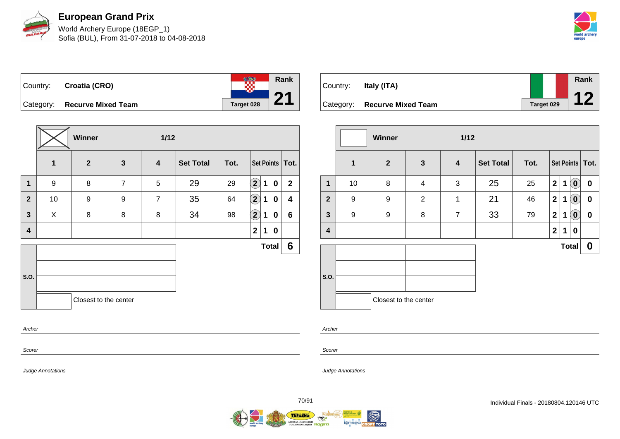

World Archery Europe (18EGP\_1) Sofia (BUL), From 31-07-2018 to 04-08-2018



te en **Rank** Country: **Croatia (CRO) 21** Category: **Recurve Mixed Team Target 028** 

|              |                  | Winner<br>$1/12$      |                |                  |                  |      |                            |   |              |                   |
|--------------|------------------|-----------------------|----------------|------------------|------------------|------|----------------------------|---|--------------|-------------------|
|              | 1                | $\overline{2}$        | $\mathbf{3}$   | $\boldsymbol{4}$ | <b>Set Total</b> | Tot. |                            |   |              | Set Points   Tot. |
| 1            | $\boldsymbol{9}$ | 8                     | $\overline{7}$ | 5                | 29               | 29   | $\left( \mathbf{2}\right)$ | 1 | $\mathbf 0$  | $\overline{2}$    |
| $\mathbf{2}$ | 10               | 9                     | 9              | $\overline{7}$   | 35               | 64   | $\bf \left( 2\right)$      | 1 | $\mathbf 0$  | 4                 |
| $\mathbf{3}$ | X                | 8                     | 8              | 8                | 34               | 98   | $\mathbf{2}$               | 1 | 0            | 6                 |
| 4            |                  |                       |                |                  |                  |      | $\mathbf{2}$               | 1 | 0            |                   |
|              |                  |                       |                |                  |                  |      |                            |   | <b>Total</b> | 6                 |
|              |                  |                       |                |                  |                  |      |                            |   |              |                   |
| S.O.         |                  |                       |                |                  |                  |      |                            |   |              |                   |
|              |                  | Closest to the center |                |                  |                  |      |                            |   |              |                   |
| Archer       |                  |                       |                |                  |                  |      |                            |   |              |                   |

| Country: | Italy (ITA)                  |            | Rank |
|----------|------------------------------|------------|------|
|          | Category: Recurve Mixed Team | Target 029 |      |

| $\boldsymbol{4}$<br>3<br>1 | <b>Set Total</b><br>25<br>21 | Tot.<br>25<br>46 | $\overline{\mathbf{2}}$<br>$\overline{\mathbf{2}}$ | 1 | $\left( \begin{matrix} 0 \\ 0 \end{matrix} \right)$ | Set Points   Tot.<br>$\bf{0}$ |
|----------------------------|------------------------------|------------------|----------------------------------------------------|---|-----------------------------------------------------|-------------------------------|
|                            |                              |                  |                                                    |   |                                                     |                               |
|                            |                              |                  |                                                    |   |                                                     |                               |
|                            |                              |                  |                                                    | 1 | $(\mathbf{0})$                                      | 0                             |
| $\overline{7}$             | 33                           | 79               | $\overline{2}$                                     | 1 | $(\mathbf{0})$                                      | $\boldsymbol{0}$              |
|                            |                              |                  | $\mathbf 2$                                        | 1 | 0                                                   |                               |
|                            |                              |                  |                                                    |   |                                                     | 0                             |
|                            |                              |                  |                                                    |   |                                                     |                               |
|                            | Closest to the center        |                  |                                                    |   |                                                     | <b>Total</b>                  |

Archer

Scorer

Judge Annotations

Scorer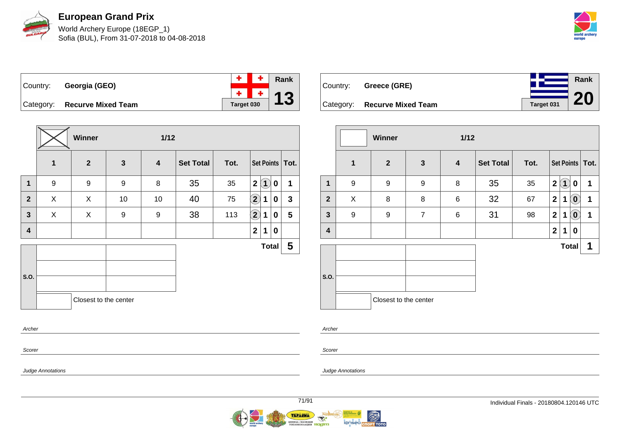

**European Grand Prix** World Archery Europe (18EGP\_1)

Sofia (BUL), From 31-07-2018 to 04-08-2018



**Rank**

**20**

÷ ٠ **Rank** Country: **Georgia (GEO)**  $\ddot{\Phi}$ ÷ **13** Category: **Recurve Mixed Team Target 030** 

**Winner 1/12 1 2 3 4 Set Total Tot. Set Points Tot. 1** 9 9 9 8 35 35 **2 1 0 1 2** X X 10 10 40 75 **2 1 0 3 3** X X 9 9 38 113 **2 1 0 5 4 2 1 0 S.O. Total 5** Closest to the center

| Country: Greece (GRE)        |            |
|------------------------------|------------|
| Category: Recurve Mixed Team | Target 031 |

|                         | <b>Winner</b><br>$1/12$ |                       |                |                  |                  |      |                |                    |                            |                   |
|-------------------------|-------------------------|-----------------------|----------------|------------------|------------------|------|----------------|--------------------|----------------------------|-------------------|
|                         | $\mathbf{1}$            | $\mathbf{2}$          | $\mathbf{3}$   | $\boldsymbol{4}$ | <b>Set Total</b> | Tot. |                |                    |                            | Set Points   Tot. |
| 1                       | 9                       | 9                     | 9              | 8                | 35               | 35   | $\overline{2}$ | $\mathbf{\hat{1}}$ | $\mathbf 0$                | 1                 |
| $\overline{2}$          | X                       | 8                     | 8              | $\,6$            | 32               | 67   | $\overline{2}$ | $\mathbf 1$        | $\overline{0}$             | 1                 |
| $\mathbf{3}$            | 9                       | 9                     | $\overline{7}$ | $\,6$            | 31               | 98   | $\overline{2}$ | 1                  | $\left( \mathbf{0}\right)$ | 1                 |
| $\overline{\mathbf{4}}$ |                         |                       |                |                  |                  |      | $\mathbf{2}$   | 1                  | 0                          |                   |
|                         |                         |                       |                |                  |                  |      |                | <b>Total</b>       |                            | 1                 |
|                         |                         |                       |                |                  |                  |      |                |                    |                            |                   |
| S.O.                    |                         |                       |                |                  |                  |      |                |                    |                            |                   |
|                         |                         | Closest to the center |                |                  |                  |      |                |                    |                            |                   |

Scorer

Archer

Judge Annotations

Archer

Scorer

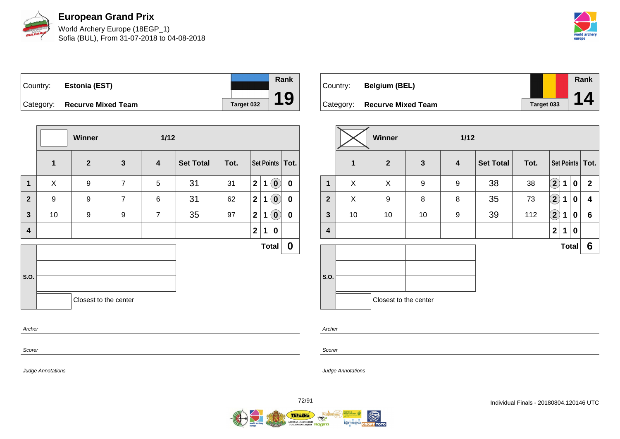

World Archery Europe (18EGP\_1) Sofia (BUL), From 31-07-2018 to 04-08-2018



Country: **Estonia (EST)** Category: **Recurve Mixed Team Target 032** 



|                | Winner<br>$1/12$ |                       |                |                         |                  |      |                |             |                            |                   |
|----------------|------------------|-----------------------|----------------|-------------------------|------------------|------|----------------|-------------|----------------------------|-------------------|
|                | $\mathbf 1$      | $\overline{2}$        | $\mathbf{3}$   | $\overline{\mathbf{4}}$ | <b>Set Total</b> | Tot. |                |             |                            | Set Points   Tot. |
| $\mathbf 1$    | X                | 9                     | $\overline{7}$ | 5                       | 31               | 31   | 2 <sup>1</sup> | $\mathbf 1$ | $\left( \mathbf{0}\right)$ | $\mathbf 0$       |
| $\overline{2}$ | $\boldsymbol{9}$ | $\boldsymbol{9}$      | $\overline{7}$ | 6                       | 31               | 62   | 2 <sup>1</sup> | $\mathbf 1$ | $\left( \mathbf{0}\right)$ | $\mathbf 0$       |
| $\mathbf{3}$   | 10               | 9                     | 9              | $\overline{7}$          | 35               | 97   | 2 <sup>1</sup> | $\mathbf 1$ | $\left( \mathbf{0}\right)$ | $\pmb{0}$         |
| 4              |                  |                       |                |                         |                  |      | $\mathbf{2}$   | $\mathbf 1$ | 0                          |                   |
|                |                  |                       |                |                         |                  |      |                |             | <b>Total</b>               | $\boldsymbol{0}$  |
|                |                  |                       |                |                         |                  |      |                |             |                            |                   |
| S.O.           |                  |                       |                |                         |                  |      |                |             |                            |                   |
|                |                  | Closest to the center |                |                         |                  |      |                |             |                            |                   |
|                |                  |                       |                |                         |                  |      |                |             |                            |                   |
| Archer         |                  |                       |                |                         |                  |      |                |             |                            |                   |

| Country: | <b>Belgium (BEL)</b>         |            | Rank |
|----------|------------------------------|------------|------|
|          |                              |            |      |
|          | Category: Recurve Mixed Team | Target 033 |      |

|                | <b>Winner</b><br>$1/12$ |                       |              |   |                  |      |                |             |              |                   |  |  |
|----------------|-------------------------|-----------------------|--------------|---|------------------|------|----------------|-------------|--------------|-------------------|--|--|
|                | $\mathbf 1$             | $\mathbf{2}$          | $\mathbf{3}$ | 4 | <b>Set Total</b> | Tot. |                |             |              | Set Points   Tot. |  |  |
| $\mathbf{1}$   | X                       | X                     | 9            | 9 | 38               | 38   | $\bf (2)$      | 1           | $\pmb{0}$    | $\mathbf{2}$      |  |  |
| $\overline{2}$ | X                       | 9                     | 8            | 8 | 35               | 73   | $\overline{2}$ | 1           | 0            | 4                 |  |  |
| $\mathbf{3}$   | 10                      | 10                    | 10           | 9 | 39               | 112  | $\overline{2}$ | 1           | $\mathbf 0$  | 6                 |  |  |
| 4              |                         |                       |              |   |                  |      | $\mathbf 2$    | $\mathbf 1$ | $\mathbf 0$  |                   |  |  |
|                |                         |                       |              |   |                  |      |                |             | <b>Total</b> | 6                 |  |  |
| S.O.           |                         | Closest to the center |              |   |                  |      |                |             |              |                   |  |  |
|                |                         |                       |              |   |                  |      |                |             |              |                   |  |  |

Archer

Scorer

Judge Annotations

Scorer

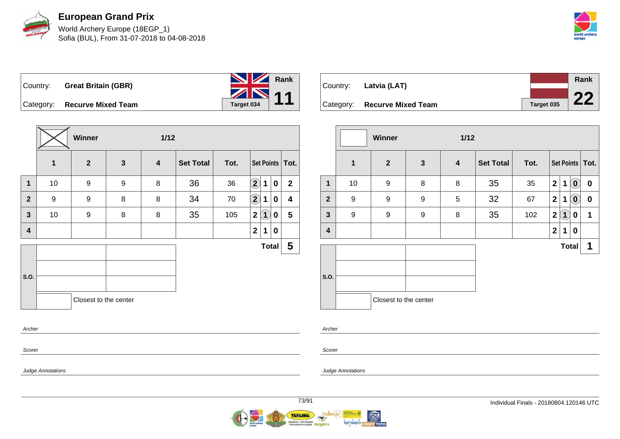



|                              | <b>NZ</b> |
|------------------------------|-----------|
| Country: Great Britain (GBR) | ZN        |

Category: **Recurve Mixed Team Target 034** 



| Country: Latvia (LAT)        |            | Rank |
|------------------------------|------------|------|
|                              |            | nn   |
| Category: Recurve Mixed Team | Target 035 |      |

|                         |              | <b>Winner</b>         |              | $1/12$ |                  |      |                         |                   |                |                   |
|-------------------------|--------------|-----------------------|--------------|--------|------------------|------|-------------------------|-------------------|----------------|-------------------|
|                         | $\mathbf{1}$ | $\overline{2}$        | $\mathbf{3}$ | 4      | <b>Set Total</b> | Tot. |                         |                   |                | Set Points   Tot. |
| 1                       | 10           | 9                     | 8            | 8      | 35               | 35   | $\mathbf{2}$            | 1                 | $(\mathbf{0})$ | 0                 |
| $\overline{2}$          | 9            | 9                     | 9            | 5      | 32               | 67   | $\mathbf{2}$            | 1                 | $(\mathbf{0})$ | $\boldsymbol{0}$  |
| $\mathbf{3}$            | 9            | 9                     | 9            | 8      | 35               | 102  | $\boldsymbol{2}$        | $\left[ 1\right]$ | 0              | 1                 |
| $\overline{\mathbf{4}}$ |              |                       |              |        |                  |      | $\overline{\mathbf{2}}$ | 1                 | $\mathbf 0$    |                   |
|                         |              |                       |              |        |                  |      |                         | <b>Total</b>      |                | 1                 |
| S.O.                    |              | Closest to the center |              |        |                  |      |                         |                   |                |                   |

Archer

Scorer

Judge Annotations

Judge Annotations

**Rank**

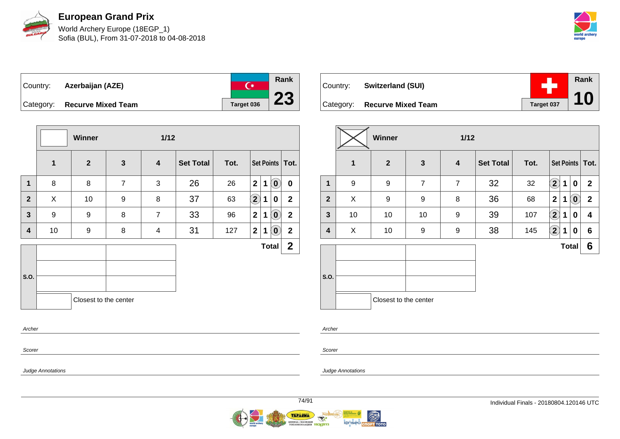

World Archery Europe (18EGP\_1) Sofia (BUL), From 31-07-2018 to 04-08-2018



 $\overline{C^*}$ Country: **Azerbaijan (AZE)** Category: **Recurve Mixed Team Target 036** 



| Country: | <b>Switzerland (SUI)</b>     |            | Rank<br>10 |
|----------|------------------------------|------------|------------|
|          | Category: Recurve Mixed Team | Target 037 |            |

|                |                  | Winner                |                | $1/12$         |                  |      |              |             |              |                         |
|----------------|------------------|-----------------------|----------------|----------------|------------------|------|--------------|-------------|--------------|-------------------------|
|                | 1                | $\overline{2}$        | $\mathbf{3}$   | $\overline{4}$ | <b>Set Total</b> | Tot. |              |             |              | Set Points   Tot.       |
| 1              | $\boldsymbol{9}$ | 9                     | $\overline{7}$ | $\overline{7}$ | 32               | 32   | $\mathbf{2}$ | 1           | 0            | $\mathbf{2}$            |
| $\overline{2}$ | X                | 9                     | 9              | 8              | 36               | 68   | $\mathbf{2}$ | 1           | $\bm{0}$     | $\overline{\mathbf{2}}$ |
| $\mathbf{3}$   | 10               | 10                    | 10             | 9              | 39               | 107  | $\mathbf{2}$ | $\mathbf 1$ | 0            | 4                       |
| 4              | X                | 10                    | 9              | 9              | 38               | 145  | $\mathbf{2}$ | $\mathbf 1$ | 0            | 6                       |
|                |                  |                       |                |                |                  |      |              |             | <b>Total</b> | 6                       |
| S.O.           |                  | Closest to the center |                |                |                  |      |              |             |              |                         |

Scorer

Scorer

Archer

Judge Annotations

Judge Annotations

**Rank**

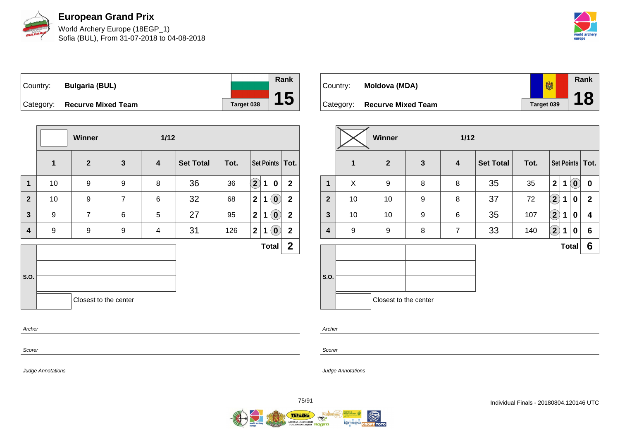

World Archery Europe (18EGP\_1) Sofia (BUL), From 31-07-2018 to 04-08-2018



Country: **Bulgaria (BUL)** Category: **Recurve Mixed Team Target 038** 

|                |              | <b>Winner</b>         |                | $1/12$                  |                  |      |                            |             |                                   |                   |
|----------------|--------------|-----------------------|----------------|-------------------------|------------------|------|----------------------------|-------------|-----------------------------------|-------------------|
|                | $\mathbf{1}$ | $\overline{2}$        | $\mathbf{3}$   | $\overline{\mathbf{4}}$ | <b>Set Total</b> | Tot. |                            |             |                                   | Set Points   Tot. |
| $\mathbf 1$    | 10           | 9                     | 9              | 8                       | 36               | 36   | $\left( \mathbf{2}\right)$ | 1           | 0                                 | $\overline{2}$    |
| $\overline{2}$ | 10           | $\boldsymbol{9}$      | $\overline{7}$ | 6                       | 32               | 68   | $\mathbf{2}$               | 1           | $(\bm{0})$                        | $\mathbf 2$       |
| $\mathbf{3}$   | 9            | $\overline{7}$        | 6              | 5                       | 27               | 95   | $\overline{2}$             | 1           | $\left  \mathbf{0} \right\rangle$ | $\mathbf 2$       |
| 4              | 9            | 9                     | 9              | $\overline{4}$          | 31               | 126  | 2                          | $\mathbf 1$ | $\left( \mathbf{0}\right)$        | $\mathbf{2}$      |
|                |              |                       |                |                         |                  |      |                            |             | <b>Total</b>                      | $\mathbf{2}$      |
| S.O.           |              |                       |                |                         |                  |      |                            |             |                                   |                   |
| Archer         |              | Closest to the center |                |                         |                  |      |                            |             |                                   |                   |

| Country: | Moldova (MDA)                | 喇          | <b>Rank</b> |
|----------|------------------------------|------------|-------------|
|          |                              |            | 18          |
|          | Category: Recurve Mixed Team | Target 039 |             |

|                  |             | Winner                |                  | 1/12                    |                  |      |              |              |                        |                   |
|------------------|-------------|-----------------------|------------------|-------------------------|------------------|------|--------------|--------------|------------------------|-------------------|
|                  | $\mathbf 1$ | $\overline{2}$        | $\mathbf{3}$     | $\overline{\mathbf{4}}$ | <b>Set Total</b> | Tot. |              |              |                        | Set Points   Tot. |
| 1                | X           | 9                     | 8                | 8                       | 35               | 35   | $\mathbf{2}$ | $\mathbf{1}$ | $\tilde{(\mathbf{0})}$ | $\pmb{0}$         |
| $\boldsymbol{2}$ | 10          | 10                    | $\boldsymbol{9}$ | 8                       | 37               | 72   | $\bf \Omega$ | 1            | 0                      | $\mathbf{2}$      |
| $\mathbf{3}$     | 10          | 10                    | 9                | 6                       | 35               | 107  | $\bf \Omega$ | 1            | 0                      | 4                 |
| 4                | 9           | 9                     | 8                | $\overline{7}$          | 33               | 140  | $\bf(2)$     | 1            | 0                      | 6                 |
|                  |             |                       |                  |                         |                  |      |              |              | <b>Total</b>           | 6                 |
| S.O.             |             |                       |                  |                         |                  |      |              |              |                        |                   |
|                  |             | Closest to the center |                  |                         |                  |      |              |              |                        |                   |

Scorer

Scorer

Archer

Judge Annotations

Judge Annotations

**Rank**

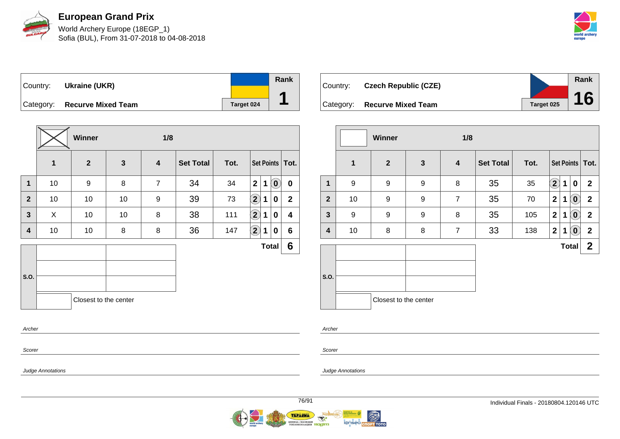

World Archery Europe (18EGP\_1) Sofia (BUL), From 31-07-2018 to 04-08-2018



Country: **Ukraine (UKR)** Category: **Recurve Mixed Team Target 024 Rank 1**

|                |    | <b>Winner</b>         |              | 1/8              |                  |      |                  |   |              |                   |
|----------------|----|-----------------------|--------------|------------------|------------------|------|------------------|---|--------------|-------------------|
|                | 1  | $\overline{2}$        | $\mathbf{3}$ | $\boldsymbol{4}$ | <b>Set Total</b> | Tot. |                  |   |              | Set Points   Tot. |
| $\mathbf 1$    | 10 | $\boldsymbol{9}$      | 8            | $\overline{7}$   | 34               | 34   | $\overline{2}$   | 1 | $\mathbf{O}$ | $\mathbf 0$       |
| $\overline{2}$ | 10 | 10                    | 10           | 9                | 39               | 73   | $\bigcircled{2}$ | 1 | 0            | $\overline{2}$    |
| 3              | X  | 10                    | 10           | 8                | 38               | 111  | $\Large 2$       | 1 | 0            | 4                 |
| 4              | 10 | 10                    | 8            | 8                | 36               | 147  | $\bigcirc$       | 1 | 0            | $6\phantom{1}$    |
|                |    |                       |              |                  |                  |      |                  |   | <b>Total</b> | 6                 |
|                |    |                       |              |                  |                  |      |                  |   |              |                   |
| S.O.           |    |                       |              |                  |                  |      |                  |   |              |                   |
|                |    | Closest to the center |              |                  |                  |      |                  |   |              |                   |
| Archer         |    |                       |              |                  |                  |      |                  |   |              |                   |

| Country:  | <b>Czech Republic (CZE)</b> |            | Rank |
|-----------|-----------------------------|------------|------|
|           |                             |            |      |
| Category: | <b>Recurve Mixed Team</b>   | Target 025 | 16   |

|                |    | <b>Winner</b>         |                  | 1/8            |                  |      |              |              |                                                     |                   |
|----------------|----|-----------------------|------------------|----------------|------------------|------|--------------|--------------|-----------------------------------------------------|-------------------|
|                | 1  | $\overline{2}$        | $\mathbf{3}$     | 4              | <b>Set Total</b> | Tot. |              |              |                                                     | Set Points   Tot. |
| $\mathbf 1$    | 9  | 9                     | $\boldsymbol{9}$ | 8              | 35               | 35   | $\bf (2)$    | 1            | 0                                                   | $\mathbf{2}$      |
| $\overline{2}$ | 10 | 9                     | 9                | $\overline{7}$ | 35               | 70   | $\mathbf{2}$ | 1            | $\left[ \begin{matrix} 0 \end{matrix} \right]$      | $\mathbf{2}$      |
| $\mathbf{3}$   | 9  | 9                     | 9                | 8              | 35               | 105  | $\mathbf{2}$ | 1            | $\left( \begin{matrix} 0 \\ 0 \end{matrix} \right)$ | $\mathbf{2}$      |
| 4              | 10 | 8                     | 8                | $\overline{7}$ | 33               | 138  | $\mathbf{2}$ | 1            | $\overline{\mathbf{0}}$                             | $\mathbf{2}$      |
|                |    |                       |                  |                |                  |      |              | <b>Total</b> |                                                     | $\mathbf{2}$      |
| S.O.           |    | Closest to the center |                  |                |                  |      |              |              |                                                     |                   |

Scorer

Archer

Judge Annotations

Scorer

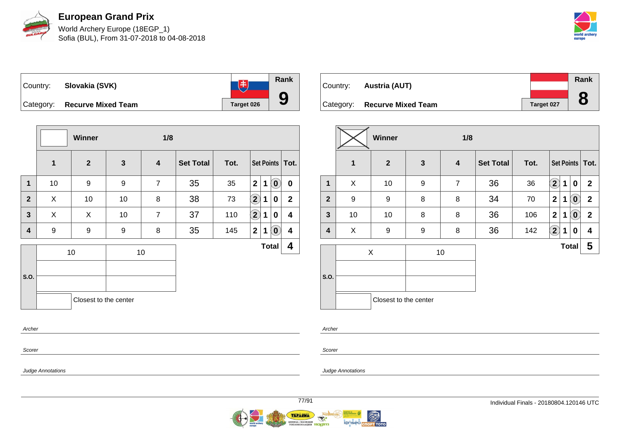

World Archery Europe (18EGP\_1) Sofia (BUL), From 31-07-2018 to 04-08-2018



**Rank**  $\begin{tabular}{|c|c|c|c|c|} \hline & \# & \# \\ \hline \end{tabular}$ Country: **Slovakia (SVK) 9** Category: **Recurve Mixed Team Target 026** 

|                         |                  | Winner                |              | 1/8                     |                  |      |                            |              |                            |                   |
|-------------------------|------------------|-----------------------|--------------|-------------------------|------------------|------|----------------------------|--------------|----------------------------|-------------------|
|                         | $\mathbf 1$      | $\overline{2}$        | $\mathbf{3}$ | $\overline{\mathbf{4}}$ | <b>Set Total</b> | Tot. |                            |              |                            | Set Points   Tot. |
| $\mathbf{1}$            | 10               | 9                     | 9            | $\overline{7}$          | 35               | 35   | $\overline{\mathbf{2}}$    | $\mathbf{1}$ | $\left( \mathbf{0}\right)$ | $\mathbf 0$       |
| $\mathbf{2}$            | X                | 10                    | 10           | 8                       | 38               | 73   | $\left( \mathbf{2}\right)$ | 1            | 0                          | $\mathbf{2}$      |
| 3                       | X                | X                     | 10           | $\overline{7}$          | 37               | 110  | $\left( \mathbf{2}\right)$ | 1            | 0                          | 4                 |
| $\overline{\mathbf{4}}$ | $\boldsymbol{9}$ | 9                     | 9            | 8                       | 35               | 145  | $\mathbf 2$                | 1            | $\left( \textbf{0}\right)$ | 4                 |
|                         |                  | 10                    |              | 10                      |                  |      |                            | <b>Total</b> |                            | 4                 |
|                         |                  |                       |              |                         |                  |      |                            |              |                            |                   |
| S.O.                    |                  |                       |              |                         |                  |      |                            |              |                            |                   |
|                         |                  | Closest to the center |              |                         |                  |      |                            |              |                            |                   |
| Archer                  |                  |                       |              |                         |                  |      |                            |              |                            |                   |

| Country: | Austria (AUT)                |            | Rank |
|----------|------------------------------|------------|------|
|          |                              |            | O    |
|          | Category: Recurve Mixed Team | Target 027 | O    |

|              |    | <b>Winner</b>         |              | 1/8                     |                  |      |                            |             |                            |                   |
|--------------|----|-----------------------|--------------|-------------------------|------------------|------|----------------------------|-------------|----------------------------|-------------------|
|              | 1  | $\overline{2}$        | $\mathbf{3}$ | $\overline{\mathbf{4}}$ | <b>Set Total</b> | Tot. |                            |             |                            | Set Points   Tot. |
| $\mathbf 1$  | X  | 10                    | 9            | $\overline{7}$          | 36               | 36   | $\mathbf{2}$               | 1           | 0                          | $\overline{2}$    |
| $\mathbf{2}$ | 9  | $\boldsymbol{9}$      | 8            | 8                       | 34               | 70   | $\overline{2}$             | $\mathbf 1$ | $\left( \mathbf{0}\right)$ | $\mathbf{2}$      |
| $\mathbf{3}$ | 10 | 10                    | 8            | 8                       | 36               | 106  | $\overline{2}$             | 1           | $\left( \mathbf{0}\right)$ | $\mathbf{2}$      |
| 4            | X  | 9                     | 9            | 8                       | 36               | 142  | $\left( \mathbf{2}\right)$ | $\mathbf 1$ | 0                          | 4                 |
|              |    | X                     |              | 10                      |                  |      |                            |             | <b>Total</b>               | 5                 |
|              |    |                       |              |                         |                  |      |                            |             |                            |                   |
| S.O.         |    |                       |              |                         |                  |      |                            |             |                            |                   |
|              |    | Closest to the center |              |                         |                  |      |                            |             |                            |                   |

Archer

Scorer

Judge Annotations

Judge Annotations

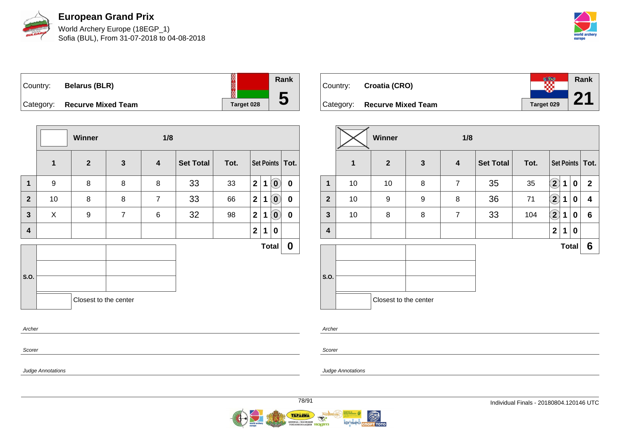

World Archery Europe (18EGP\_1) Sofia (BUL), From 31-07-2018 to 04-08-2018



| Country:  | <b>Belarus (BLR)</b>      |            |
|-----------|---------------------------|------------|
| Category: | <b>Recurve Mixed Team</b> | Target 028 |

|                |              | Winner                |                | 1/8                     |                  |      |                |             |                            |                   |
|----------------|--------------|-----------------------|----------------|-------------------------|------------------|------|----------------|-------------|----------------------------|-------------------|
|                | $\mathbf{1}$ | $\overline{2}$        | $\mathbf{3}$   | $\overline{\mathbf{4}}$ | <b>Set Total</b> | Tot. |                |             |                            | Set Points   Tot. |
| $\mathbf 1$    | 9            | 8                     | 8              | 8                       | 33               | 33   | $\overline{2}$ | $\mathbf 1$ | $\left( \mathbf{0}\right)$ | $\mathbf 0$       |
| $\overline{2}$ | 10           | 8                     | 8              | $\overline{7}$          | 33               | 66   | 2 <sup>1</sup> | 1           | $\mathbf{0}^{\prime}$      | $\mathbf 0$       |
| 3              | X            | 9                     | $\overline{7}$ | 6                       | 32               | 98   | $\mathbf{2}$   | 1           | $\bm{0}$                   | 0                 |
| 4              |              |                       |                |                         |                  |      | $\mathbf{2}$   | 1           | 0                          |                   |
|                |              |                       |                |                         |                  |      |                |             | <b>Total</b>               | $\mathbf 0$       |
| S.O.           |              | Closest to the center |                |                         |                  |      |                |             |                            |                   |
| Archer         |              |                       |                |                         |                  |      |                |             |                            |                   |

| Country: | Croatia (CRO)                |            | <b>Rank</b> |
|----------|------------------------------|------------|-------------|
|          | Category: Recurve Mixed Team | Target 029 |             |

|                         |              | Winner                |              | 1/8            |                  |      |                            |             |              |                   |
|-------------------------|--------------|-----------------------|--------------|----------------|------------------|------|----------------------------|-------------|--------------|-------------------|
|                         | $\mathbf{1}$ | $\mathbf{2}$          | $\mathbf{3}$ | 4              | <b>Set Total</b> | Tot. |                            |             |              | Set Points   Tot. |
| 1                       | 10           | 10                    | 8            | $\overline{7}$ | 35               | 35   | $\left( \mathbf{2}\right)$ | $\mathbf 1$ | 0            | $\mathbf{2}$      |
| $\overline{2}$          | 10           | 9                     | 9            | 8              | 36               | 71   | $\bf(2)$                   | 1           | 0            | 4                 |
| $\mathbf{3}$            | 10           | 8                     | 8            | $\overline{7}$ | 33               | 104  | $\bf{(2)}$                 | 1           | 0            | $6\phantom{1}$    |
| $\overline{\mathbf{4}}$ |              |                       |              |                |                  |      | $\overline{2}$             | 1           | 0            |                   |
|                         |              |                       |              |                |                  |      |                            |             | <b>Total</b> | 6                 |
|                         |              |                       |              |                |                  |      |                            |             |              |                   |
| S.O.                    |              |                       |              |                |                  |      |                            |             |              |                   |
|                         |              | Closest to the center |              |                |                  |      |                            |             |              |                   |

Archer

Scorer

Judge Annotations

Scorer

Judge Annotations

**Rank**

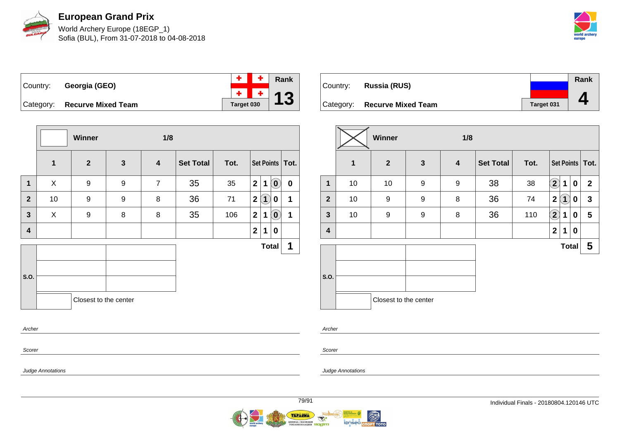

World Archery Europe (18EGP\_1) Sofia (BUL), From 31-07-2018 to 04-08-2018



| Country: | Georgia (GEO)                | $+$ $+$ $\sqrt{2}$ Rank        |  |
|----------|------------------------------|--------------------------------|--|
|          |                              | $\frac{+}{1}$ $\frac{+}{1}$ 13 |  |
|          | Category: Recurve Mixed Team |                                |  |

**Winner 1/8 1 2 3 4 Set Total Tot. Set Points Tot. 1** X 9 9 7 35 35 **2 1 0 0**  $2$  | 10 | 9 | 9 | 8 | 36 | 71 | $2(1)$  **0** | 1 **3** X 9 8 8 35 106 **2 1 0 1 4 2 1 0 S.O. Total 1** Closest to the center

| Country: | Russia (RUS)                 |            | Rank |
|----------|------------------------------|------------|------|
|          | Category: Recurve Mixed Team | Target 031 |      |

|                         |    | Winner                |              | 1/8              |                  |      |                   |                   |   |                         |
|-------------------------|----|-----------------------|--------------|------------------|------------------|------|-------------------|-------------------|---|-------------------------|
|                         | 1  | $\mathbf{2}$          | $\mathbf{3}$ | $\boldsymbol{4}$ | <b>Set Total</b> | Tot. |                   |                   |   | Set Points   Tot.       |
| $\mathbf 1$             | 10 | 10                    | 9            | 9                | 38               | 38   | $\mathbf{2}$      | 1                 | 0 | $\mathbf{2}$            |
| $\overline{2}$          | 10 | 9                     | 9            | 8                | 36               | 74   | $\mathbf{2}$      | $\left( 1\right)$ | 0 | $\mathbf{3}$            |
| $\mathbf{3}$            | 10 | 9                     | 9            | 8                | 36               | 110  | $\left( 2\right)$ | 1                 | 0 | $\overline{\mathbf{5}}$ |
| $\overline{\mathbf{4}}$ |    |                       |              |                  |                  |      | $\mathbf{2}$      | 1                 | 0 |                         |
|                         |    |                       |              |                  |                  |      |                   | <b>Total</b>      |   | 5                       |
| S.O.                    |    |                       |              |                  |                  |      |                   |                   |   |                         |
|                         |    | Closest to the center |              |                  |                  |      |                   |                   |   |                         |

Archer

Scorer

Scorer

Archer

Judge Annotations

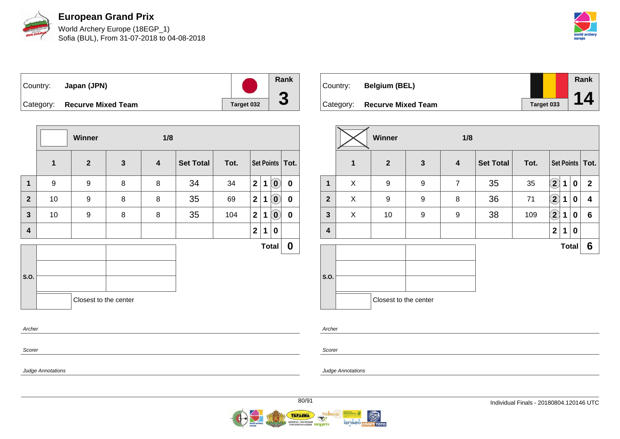

World Archery Europe (18EGP\_1) Sofia (BUL), From 31-07-2018 to 04-08-2018



| Country: | Japan (JPN)                  |            | Ran |
|----------|------------------------------|------------|-----|
|          | Category: Recurve Mixed Team | Target 032 |     |

|              |                  | Winner                |              | 1/8 |                  |      |                |             |                            |                   |
|--------------|------------------|-----------------------|--------------|-----|------------------|------|----------------|-------------|----------------------------|-------------------|
|              | $\mathbf{1}$     | $\overline{2}$        | $\mathbf{3}$ | 4   | <b>Set Total</b> | Tot. |                |             |                            | Set Points   Tot. |
| $\mathbf{1}$ | $\boldsymbol{9}$ | $\boldsymbol{9}$      | 8            | 8   | 34               | 34   | $\overline{2}$ | 1           | $\left( \mathbf{0}\right)$ | $\mathbf 0$       |
| $\mathbf{2}$ | 10               | $\boldsymbol{9}$      | 8            | 8   | 35               | 69   | 2 <sup>1</sup> | $\mathbf 1$ | $\left( \mathbf{0}\right)$ | $\boldsymbol{0}$  |
| $\mathbf{3}$ | 10               | 9                     | 8            | 8   | 35               | 104  | 2 <sup>1</sup> | 1           | $\left( \mathbf{0}\right)$ | $\boldsymbol{0}$  |
| 4            |                  |                       |              |     |                  |      | $\mathbf{2}$   | 1           | 0                          |                   |
|              |                  |                       |              |     |                  |      |                |             | <b>Total</b>               | $\mathbf 0$       |
|              |                  |                       |              |     |                  |      |                |             |                            |                   |
| S.O.         |                  |                       |              |     |                  |      |                |             |                            |                   |
|              |                  | Closest to the center |              |     |                  |      |                |             |                            |                   |
| Archer       |                  |                       |              |     |                  |      |                |             |                            |                   |

| Country:  | <b>Belgium (BEL)</b>      |            | Rank |
|-----------|---------------------------|------------|------|
| Category: | <b>Recurve Mixed Team</b> | Target 033 | 14   |

|                |              | Winner                |              | 1/8              |                  |      |                   |             |              |                   |
|----------------|--------------|-----------------------|--------------|------------------|------------------|------|-------------------|-------------|--------------|-------------------|
|                | $\mathbf{1}$ | $\overline{2}$        | $\mathbf{3}$ | $\boldsymbol{4}$ | <b>Set Total</b> | Tot. |                   |             |              | Set Points   Tot. |
| 1              | X            | 9                     | 9            | $\overline{7}$   | 35               | 35   | $\left( 2\right)$ | $\mathbf 1$ | 0            | $\overline{2}$    |
| $\overline{2}$ | X            | 9                     | 9            | 8                | 36               | 71   | $\Omega$          | 1           | 0            | 4                 |
| $\mathbf{3}$   | X            | 10                    | 9            | 9                | 38               | 109  | $\left( 2\right)$ | 1           | 0            | $6\phantom{1}$    |
| 4              |              |                       |              |                  |                  |      | $\mathbf 2$       | 1           | 0            |                   |
|                |              |                       |              |                  |                  |      |                   |             | <b>Total</b> | 6                 |
| S.O.           |              |                       |              |                  |                  |      |                   |             |              |                   |
|                |              | Closest to the center |              |                  |                  |      |                   |             |              |                   |

Archer

Scorer

Judge Annotations

Scorer

Judge Annotations

**Rank**

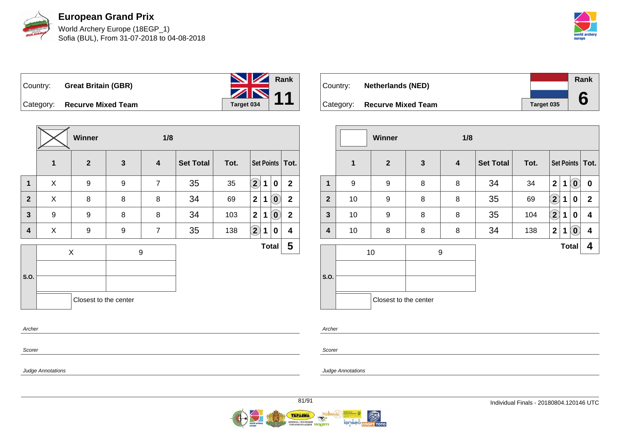



Country: **Great Britain (GBR)**



Category: **Recurve Mixed Team Target 034** 

|                |                  | Winner                |              | 1/8                     |                  |      |                   |   |                            |                         |
|----------------|------------------|-----------------------|--------------|-------------------------|------------------|------|-------------------|---|----------------------------|-------------------------|
|                | $\mathbf 1$      | $\overline{2}$        | $\mathbf{3}$ | $\overline{\mathbf{4}}$ | <b>Set Total</b> | Tot. |                   |   |                            | Set Points   Tot.       |
| $\mathbf 1$    | X                | 9                     | 9            | $\overline{7}$          | 35               | 35   | $\mathbf{2}$      | 1 | 0                          | $\mathbf{2}$            |
| $\overline{2}$ | X                | 8                     | 8            | 8                       | 34               | 69   | $\mathbf{2}$      | 1 | $\mathbf{0}$               | $\mathbf{2}$            |
| $\mathbf{3}$   | $\boldsymbol{9}$ | 9                     | 8            | 8                       | 34               | 103  | $\mathbf{2}$      | 1 | $\left( \mathbf{0}\right)$ | $\overline{2}$          |
| 4              | X                | 9                     | 9            | $\overline{7}$          | 35               | 138  | $\left( 2\right)$ | 1 | 0                          | $\overline{\mathbf{4}}$ |
|                |                  | X                     |              | 9                       |                  |      |                   |   | <b>Total</b>               | 5                       |
|                |                  |                       |              |                         |                  |      |                   |   |                            |                         |
| S.O.           |                  |                       |              |                         |                  |      |                   |   |                            |                         |
|                |                  | Closest to the center |              |                         |                  |      |                   |   |                            |                         |
| Archer         |                  |                       |              |                         |                  |      |                   |   |                            |                         |

|          |                              |            | Rank |  |
|----------|------------------------------|------------|------|--|
| Country: | <b>Netherlands (NED)</b>     |            |      |  |
|          |                              |            |      |  |
|          | Category: Recurve Mixed Team | Target 035 |      |  |

|                |    | <b>Winner</b>         |              | 1/8 |                  |      |              |   |                                                |                         |
|----------------|----|-----------------------|--------------|-----|------------------|------|--------------|---|------------------------------------------------|-------------------------|
|                | 1  | $\overline{2}$        | $\mathbf{3}$ | 4   | <b>Set Total</b> | Tot. |              |   |                                                | Set Points   Tot.       |
| $\mathbf 1$    | 9  | 9                     | 8            | 8   | 34               | 34   | $\mathbf{2}$ | 1 | $\left( \begin{matrix} 0 \end{matrix} \right)$ | 0                       |
| $\overline{2}$ | 10 | 9                     | 8            | 8   | 35               | 69   | $\bf(2)$     | 1 | 0                                              | $\mathbf{2}$            |
| $\mathbf{3}$   | 10 | 9                     | 8            | 8   | 35               | 104  | $\bf(2)$     | 1 | $\bf{0}$                                       | 4                       |
| 4              | 10 | 8                     | 8            | 8   | 34               | 138  | $\mathbf{2}$ | 1 | $\left( \mathbf{0}\right)$                     | $\overline{\mathbf{4}}$ |
|                |    | 10                    | 9            |     |                  |      |              |   | <b>Total</b>                                   | 4                       |
| S.O.           |    |                       |              |     |                  |      |              |   |                                                |                         |
|                |    | Closest to the center |              |     |                  |      |              |   |                                                |                         |

Archer

Scorer

Judge Annotations

Scorer

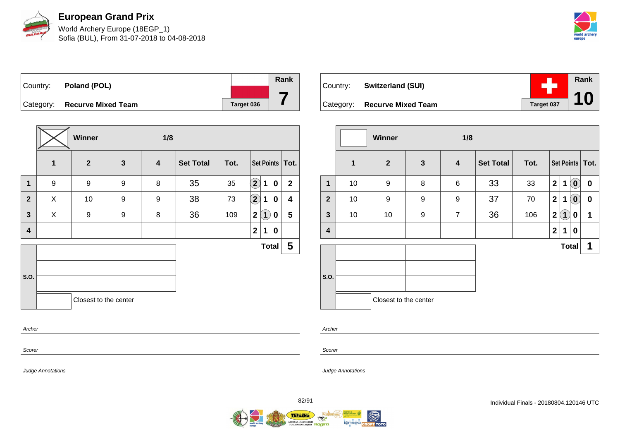

World Archery Europe (18EGP\_1) Sofia (BUL), From 31-07-2018 to 04-08-2018



Country: **Poland (POL)** Category: **Recurve Mixed Team Target 036 Rank 7**

|                         |   | Winner<br>1/8         |              |                         |                  |      |                            |     |              |                   |  |
|-------------------------|---|-----------------------|--------------|-------------------------|------------------|------|----------------------------|-----|--------------|-------------------|--|
|                         | 1 | $\overline{2}$        | $\mathbf{3}$ | $\overline{\mathbf{4}}$ | <b>Set Total</b> | Tot. |                            |     |              | Set Points   Tot. |  |
| $\mathbf{1}$            | 9 | 9                     | 9            | 8                       | 35               | 35   | $\left( \mathbf{2}\right)$ | 1   | $\pmb{0}$    | $\overline{2}$    |  |
| $\overline{2}$          | X | 10                    | 9            | 9                       | 38               | 73   | $\left( \mathbf{2}\right)$ | 1   | 0            | 4                 |  |
| $\mathbf{3}$            | X | 9                     | 9            | 8                       | 36               | 109  | $\mathbf{2}$               | (1) | 0            | $5\phantom{.0}$   |  |
| $\overline{\mathbf{4}}$ |   |                       |              |                         |                  |      | $\overline{2}$             | 1   | $\mathbf 0$  |                   |  |
|                         |   |                       |              |                         |                  |      |                            |     | <b>Total</b> | 5                 |  |
|                         |   |                       |              |                         |                  |      |                            |     |              |                   |  |
| S.O.                    |   |                       |              |                         |                  |      |                            |     |              |                   |  |
|                         |   | Closest to the center |              |                         |                  |      |                            |     |              |                   |  |
| Archer                  |   |                       |              |                         |                  |      |                            |     |              |                   |  |

| Country: Switzerland (SUI)   |            | Rank |
|------------------------------|------------|------|
| Category: Recurve Mixed Team | Target 037 | 10   |

|                         |              | <b>Winner</b>         |              | 1/8                     |                  |      |                |                   |                            |                   |
|-------------------------|--------------|-----------------------|--------------|-------------------------|------------------|------|----------------|-------------------|----------------------------|-------------------|
|                         | $\mathbf{1}$ | $\mathbf{2}$          | $\mathbf{3}$ | $\overline{\mathbf{4}}$ | <b>Set Total</b> | Tot. |                |                   |                            | Set Points   Tot. |
| 1                       | 10           | 9                     | 8            | $\,6$                   | 33               | 33   | $\overline{2}$ | $\mathbf 1$       | $\left( \mathbf{0}\right)$ | 0                 |
| $\mathbf{2}$            | 10           | 9                     | 9            | 9                       | 37               | 70   | $\mathbf{2}$   | $\mathbf 1$       | $(\mathbf{0})$             | $\boldsymbol{0}$  |
| $\mathbf{3}$            | 10           | 10                    | 9            | $\overline{7}$          | 36               | 106  | $\mathbf 2$    | $\left( 1\right)$ | 0                          | 1                 |
| $\overline{\mathbf{4}}$ |              |                       |              |                         |                  |      | $\mathbf{2}$   | 1                 | 0                          |                   |
|                         |              |                       |              |                         |                  |      |                | <b>Total</b>      |                            | 1                 |
| S.O.                    |              |                       |              |                         |                  |      |                |                   |                            |                   |
|                         |              | Closest to the center |              |                         |                  |      |                |                   |                            |                   |

Archer

Scorer

Judge Annotations

Judge Annotations

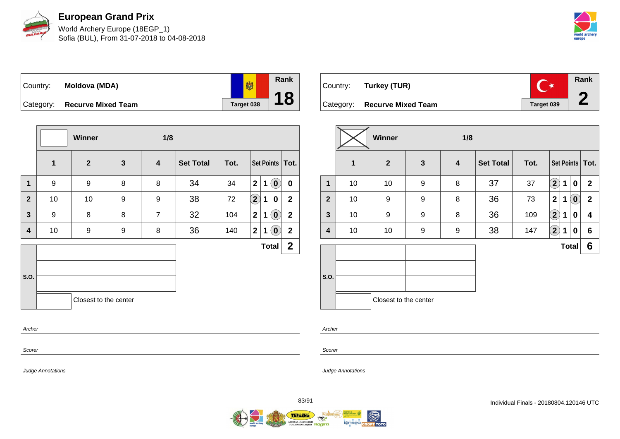

World Archery Europe (18EGP\_1) Sofia (BUL), From 31-07-2018 to 04-08-2018



喇 Country: **Moldova (MDA)** Category: **Recurve Mixed Team Target 038** 

|                |                  | <b>Winner</b>         |              | 1/8              |                  |      |                |             |                            |                   |
|----------------|------------------|-----------------------|--------------|------------------|------------------|------|----------------|-------------|----------------------------|-------------------|
|                | $\mathbf 1$      | $\overline{2}$        | $\mathbf{3}$ | $\boldsymbol{4}$ | <b>Set Total</b> | Tot. |                |             |                            | Set Points   Tot. |
| 1              | $\boldsymbol{9}$ | 9                     | 8            | 8                | 34               | 34   | $\mathbf{2}$   | $\mathbf 1$ | $\left( \mathbf{0}\right)$ | $\mathbf 0$       |
| $\overline{2}$ | 10               | 10                    | 9            | $\boldsymbol{9}$ | 38               | 72   | $\boxed{2}$    | $\mathbf 1$ | 0                          | $\overline{2}$    |
| $\overline{3}$ | 9                | 8                     | 8            | $\overline{7}$   | 32               | 104  | 2              | $\mathbf 1$ | $\left( \mathbf{0}\right)$ | $\boldsymbol{2}$  |
| 4              | 10               | 9                     | 9            | 8                | 36               | 140  | 2 <sup>1</sup> | 1           | $\left( \mathbf{0}\right)$ | $\mathbf{2}$      |
|                |                  |                       |              |                  |                  |      |                |             | <b>Total</b>               | $\mathbf{2}$      |
|                |                  |                       |              |                  |                  |      |                |             |                            |                   |
| S.O.           |                  |                       |              |                  |                  |      |                |             |                            |                   |
|                |                  | Closest to the center |              |                  |                  |      |                |             |                            |                   |
| Archer         |                  |                       |              |                  |                  |      |                |             |                            |                   |

| Country: Turkey (TUR)        |            | Rank |
|------------------------------|------------|------|
| Category: Recurve Mixed Team | Target 039 |      |

|                |    | Winner                |              | 1/8 |                  |      |                   |              |                            |                   |
|----------------|----|-----------------------|--------------|-----|------------------|------|-------------------|--------------|----------------------------|-------------------|
|                | 1  | $\mathbf{2}$          | $\mathbf{3}$ | 4   | <b>Set Total</b> | Tot. |                   |              |                            | Set Points   Tot. |
| $\mathbf{1}$   | 10 | 10                    | 9            | 8   | 37               | 37   | $\mathbf{2}$      | 1            | 0                          | $\mathbf{2}$      |
| $\overline{2}$ | 10 | 9                     | 9            | 8   | 36               | 73   | 2                 | 1            | $\left( \mathbf{0}\right)$ | $\mathbf{2}$      |
| 3              | 10 | 9                     | 9            | 8   | 36               | 109  | $\left( 2\right)$ | 1            | 0                          | 4                 |
| 4              | 10 | 10                    | 9            | 9   | 38               | 147  | $\mathbf{2)}$     | 1            | 0                          | 6                 |
|                |    |                       |              |     |                  |      |                   | <b>Total</b> |                            | $6\phantom{1}$    |
| S.O.           |    | Closest to the center |              |     |                  |      |                   |              |                            |                   |

Archer

Scorer

Judge Annotations

Scorer

Judge Annotations

**Rank**

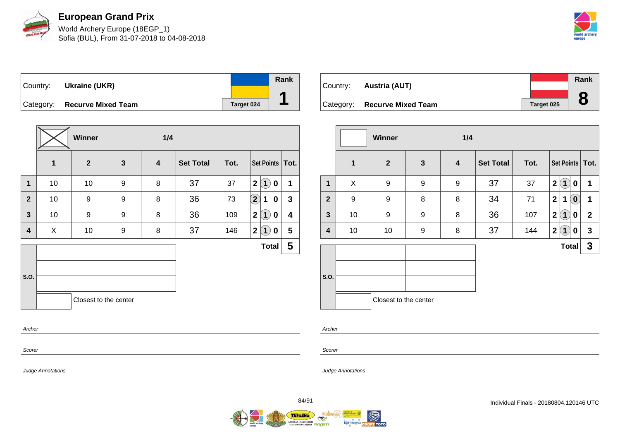

World Archery Europe (18EGP\_1) Sofia (BUL), From 31-07-2018 to 04-08-2018





|                |             | Winner                |              | 1/4                     |                  |      |                                   |              |
|----------------|-------------|-----------------------|--------------|-------------------------|------------------|------|-----------------------------------|--------------|
|                | $\mathbf 1$ | $\mathbf{2}$          | $\mathbf{3}$ | $\overline{\mathbf{4}}$ | <b>Set Total</b> | Tot. | Set Points   Tot.                 |              |
| $\mathbf 1$    | 10          | 10                    | 9            | 8                       | 37               | 37   | $\mathbf{2}$<br>$\mathbf{1}$<br>0 | 1            |
| $\overline{2}$ | 10          | 9                     | 9            | 8                       | 36               | 73   | $\Large 2$<br>1<br>0              | $\mathbf{3}$ |
| $\mathbf{3}$   | 10          | 9                     | 9            | 8                       | 36               | 109  | 2(1)<br>0                         | 4            |
| 4              | X           | 10                    | 9            | 8                       | 37               | 146  | 2 <br>$\overline{1}$<br>0         | 5            |
|                |             |                       |              |                         |                  |      | <b>Total</b>                      | 5            |
|                |             |                       |              |                         |                  |      |                                   |              |
| S.O.           |             |                       |              |                         |                  |      |                                   |              |
|                |             | Closest to the center |              |                         |                  |      |                                   |              |
| Archer         |             |                       |              |                         |                  |      |                                   |              |

| Country: | Austria (AUT)                |            | Rank           |
|----------|------------------------------|------------|----------------|
|          | Category: Recurve Mixed Team | Target 025 | $\bullet$<br>O |

|              |                  | <b>Winner</b>         |              | 1/4                     |                  |      |                                                         |              |
|--------------|------------------|-----------------------|--------------|-------------------------|------------------|------|---------------------------------------------------------|--------------|
|              | $\mathbf{1}$     | $\overline{2}$        | $\mathbf{3}$ | $\overline{\mathbf{4}}$ | <b>Set Total</b> | Tot. | Set Points   Tot.                                       |              |
| 1            | X                | 9                     | 9            | 9                       | 37               | 37   | $\overline{\mathbf{2}}$<br>$\overline{\mathbf{1}}$<br>0 | 1            |
| $\mathbf{2}$ | $\boldsymbol{9}$ | 9                     | 8            | 8                       | 34               | 71   | $\overline{\mathbf{2}}$<br>$\overline{\mathbf{0}}$<br>1 | 1            |
| $\mathbf{3}$ | 10               | 9                     | 9            | 8                       | 36               | 107  | $\overline{\mathbf{1}}$<br>$\mathbf{2}$<br>0            | $\mathbf{2}$ |
| 4            | 10               | 10                    | 9            | 8                       | 37               | 144  | $\mathbf{2}$<br>$\overline{\mathbf{1}}$<br>0            | $\mathbf{3}$ |
|              |                  |                       |              |                         |                  |      | <b>Total</b>                                            | $\mathbf{3}$ |
| S.O.         |                  |                       |              |                         |                  |      |                                                         |              |
|              |                  | Closest to the center |              |                         |                  |      |                                                         |              |

Archer

Scorer

Judge Annotations

Judge Annotations

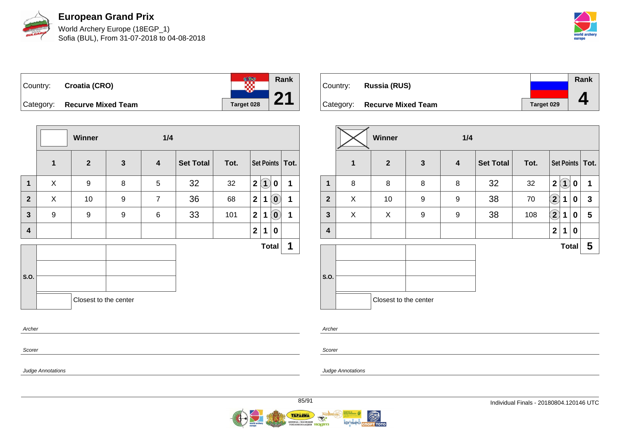

World Archery Europe (18EGP\_1) Sofia (BUL), From 31-07-2018 to 04-08-2018



te en **Rank** Country: **Croatia (CRO) 21** Category: **Recurve Mixed Team Target 028** 

|                         |             | Winner                |             | 1/4                     |                  |      |                |                   |                            |                   |
|-------------------------|-------------|-----------------------|-------------|-------------------------|------------------|------|----------------|-------------------|----------------------------|-------------------|
|                         | $\mathbf 1$ | $\overline{2}$        | $\mathbf 3$ | $\overline{\mathbf{4}}$ | <b>Set Total</b> | Tot. |                |                   |                            | Set Points   Tot. |
| $\mathbf 1$             | X           | $\boldsymbol{9}$      | 8           | 5                       | 32               | 32   | 2              | $\left( 1\right)$ | 0                          | 1                 |
| $\mathbf{2}$            | X           | 10                    | 9           | $\overline{7}$          | 36               | 68   | 2 <sup>1</sup> | $\mathbf 1$       | $\left( \textbf{0}\right)$ | 1                 |
| $\mathbf{3}$            | 9           | 9                     | 9           | 6                       | 33               | 101  | 2 <sup>1</sup> | 1                 | $\left( \mathbf{0}\right)$ | 1                 |
| $\overline{\mathbf{4}}$ |             |                       |             |                         |                  |      | $\mathbf{2}$   | 1                 | 0                          |                   |
|                         |             |                       |             |                         |                  |      |                |                   | <b>Total</b>               | 1                 |
| S.O.                    |             |                       |             |                         |                  |      |                |                   |                            |                   |
|                         |             | Closest to the center |             |                         |                  |      |                |                   |                            |                   |
| Archer                  |             |                       |             |                         |                  |      |                |                   |                            |                   |

| Country: | Russia (RUS)                 |                   | Rank |
|----------|------------------------------|-------------------|------|
|          | Category: Recurve Mixed Team | <b>Target 029</b> |      |

|              |   | Winner                |              | 1/4                     |                  |      |                |              |             |                   |
|--------------|---|-----------------------|--------------|-------------------------|------------------|------|----------------|--------------|-------------|-------------------|
|              | 1 | $\overline{2}$        | $\mathbf{3}$ | $\overline{\mathbf{4}}$ | <b>Set Total</b> | Tot. |                |              |             | Set Points   Tot. |
| 1            | 8 | 8                     | 8            | 8                       | 32               | 32   | $\mathbf{2}$   | $\mathbf{1}$ | $\mathbf 0$ | 1                 |
| $\mathbf{2}$ | X | 10                    | 9            | 9                       | 38               | 70   | $\mathbf{2}$   | 1            | 0           | $\mathbf{3}$      |
| $\mathbf{3}$ | X | X                     | 9            | 9                       | 38               | 108  | $\mathbf{Q}$   | 1            | 0           | $5\phantom{.0}$   |
| 4            |   |                       |              |                         |                  |      | $\overline{2}$ | 1            | 0           |                   |
|              |   |                       |              |                         |                  |      |                | <b>Total</b> |             | 5                 |
|              |   |                       |              |                         |                  |      |                |              |             |                   |
| S.O.         |   |                       |              |                         |                  |      |                |              |             |                   |
|              |   | Closest to the center |              |                         |                  |      |                |              |             |                   |

Scorer

Scorer

Archer

Judge Annotations

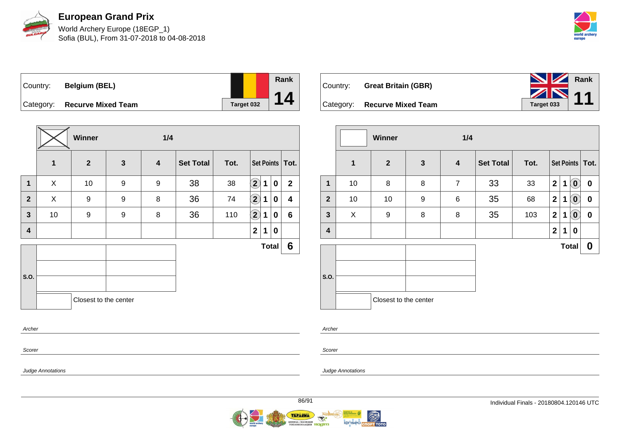

World Archery Europe (18EGP\_1) Sofia (BUL), From 31-07-2018 to 04-08-2018



Country: **Belgium (BEL)**



Category: **Recurve Mixed Team Target 032** 

|                |              | Winner                |                  | 1/4              |                  |      |                            |   |              |                   |
|----------------|--------------|-----------------------|------------------|------------------|------------------|------|----------------------------|---|--------------|-------------------|
|                | $\mathbf{1}$ | $\mathbf{2}$          | $\mathbf{3}$     | $\boldsymbol{4}$ | <b>Set Total</b> | Tot. |                            |   |              | Set Points   Tot. |
| 1              | X            | 10                    | $\boldsymbol{9}$ | $\boldsymbol{9}$ | 38               | 38   | $\left( \mathbf{2}\right)$ | 1 | 0            | $\overline{2}$    |
| $\overline{2}$ | X            | 9                     | 9                | 8                | 36               | 74   | $\left( \mathbf{2}\right)$ | 1 | 0            | 4                 |
| 3              | 10           | $\boldsymbol{9}$      | 9                | 8                | 36               | 110  | $\bf(2)$                   | 1 | 0            | $6\phantom{1}$    |
| 4              |              |                       |                  |                  |                  |      | $\mathbf 2$                | 1 | 0            |                   |
|                |              |                       |                  |                  |                  |      |                            |   | <b>Total</b> | 6                 |
|                |              |                       |                  |                  |                  |      |                            |   |              |                   |
| S.O.           |              |                       |                  |                  |                  |      |                            |   |              |                   |
|                |              | Closest to the center |                  |                  |                  |      |                            |   |              |                   |
|                |              |                       |                  |                  |                  |      |                            |   |              |                   |
| Archer         |              |                       |                  |                  |                  |      |                            |   |              |                   |

|                              | <b>NV</b> Rank                                                                                                                                                                                                                                                                                                                                                                                                                                                                  |  |
|------------------------------|---------------------------------------------------------------------------------------------------------------------------------------------------------------------------------------------------------------------------------------------------------------------------------------------------------------------------------------------------------------------------------------------------------------------------------------------------------------------------------|--|
| Country: Great Britain (GBR) | $\overline{\mathcal{L}}$ $\overline{\mathcal{L}}$ $\overline{\mathcal{L}}$ $\overline{\mathcal{L}}$ $\overline{\mathcal{L}}$ $\overline{\mathcal{L}}$ $\overline{\mathcal{L}}$ $\overline{\mathcal{L}}$ $\overline{\mathcal{L}}$ $\overline{\mathcal{L}}$ $\overline{\mathcal{L}}$ $\overline{\mathcal{L}}$ $\overline{\mathcal{L}}$ $\overline{\mathcal{L}}$ $\overline{\mathcal{L}}$ $\overline{\mathcal{L}}$ $\overline{\mathcal{L}}$ $\overline{\mathcal{L}}$ $\overline{\$ |  |
| Category: Recurve Mixed Team |                                                                                                                                                                                                                                                                                                                                                                                                                                                                                 |  |

|              |              | <b>Winner</b>         |              | 1/4              |                  |      |                |   |                            |                   |
|--------------|--------------|-----------------------|--------------|------------------|------------------|------|----------------|---|----------------------------|-------------------|
|              | $\mathbf{1}$ | $\overline{2}$        | $\mathbf{3}$ | $\boldsymbol{4}$ | <b>Set Total</b> | Tot. |                |   |                            | Set Points   Tot. |
| $\mathbf{1}$ | 10           | 8                     | 8            | $\overline{7}$   | 33               | 33   | $\mathbf{2}$   | 1 | $\left( \mathbf{0}\right)$ | $\boldsymbol{0}$  |
| $\mathbf{2}$ | 10           | 10                    | 9            | 6                | 35               | 68   | $\overline{2}$ | 1 | $\overline{\mathbf{0}}$    | $\bf{0}$          |
| $\mathbf{3}$ | X            | 9                     | 8            | 8                | 35               | 103  | $\mathbf{2}$   | 1 | $\left( \mathbf{0}\right)$ | $\bf{0}$          |
| 4            |              |                       |              |                  |                  |      | $\mathbf{2}$   | 1 | 0                          |                   |
|              |              |                       |              |                  |                  |      |                |   | <b>Total</b>               | 0                 |
| S.O.         |              |                       |              |                  |                  |      |                |   |                            |                   |
|              |              | Closest to the center |              |                  |                  |      |                |   |                            |                   |

Scorer

Scorer

Archer

Judge Annotations

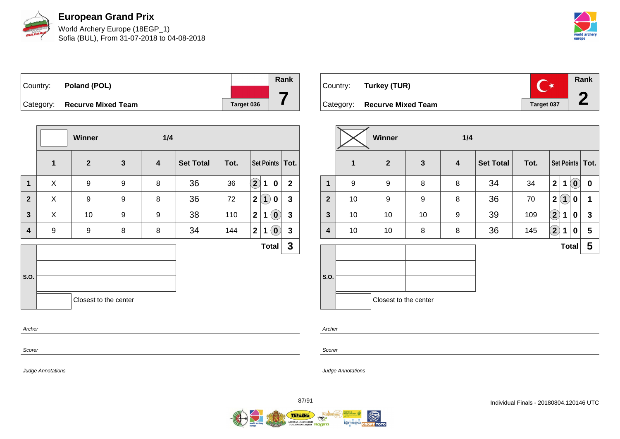

World Archery Europe (18EGP\_1) Sofia (BUL), From 31-07-2018 to 04-08-2018



| Country:  | Poland (POL)              |            | Rank |
|-----------|---------------------------|------------|------|
|           |                           |            |      |
| Category: | <b>Recurve Mixed Team</b> | Target 036 |      |

|                         |              | Winner                |                  | 1/4                     |                  |      |                            |             |              |                   |
|-------------------------|--------------|-----------------------|------------------|-------------------------|------------------|------|----------------------------|-------------|--------------|-------------------|
|                         | $\mathbf{1}$ | $\overline{2}$        | $\mathbf{3}$     | $\overline{\mathbf{4}}$ | <b>Set Total</b> | Tot. |                            |             |              | Set Points   Tot. |
| $\mathbf 1$             | X            | $\boldsymbol{9}$      | $\boldsymbol{9}$ | 8                       | 36               | 36   | $\left( \mathbf{2}\right)$ | $\mathbf 1$ | 0            | $\overline{2}$    |
| $\overline{2}$          | X            | 9                     | 9                | 8                       | 36               | 72   | 2                          | $\bf(1)$    | 0            | $\mathbf{3}$      |
| $\mathbf{3}$            | X            | 10                    | 9                | 9                       | 38               | 110  | $\mathbf{2}$               | $\mathbf 1$ | $\mathbf{0}$ | $\mathbf{3}$      |
| $\overline{\mathbf{4}}$ | 9            | 9                     | 8                | 8                       | 34               | 144  | 2 <sup>1</sup>             | 1           | $\bm{0}$     | 3                 |
|                         |              |                       |                  |                         |                  |      |                            |             | <b>Total</b> | $\mathbf{3}$      |
|                         |              |                       |                  |                         |                  |      |                            |             |              |                   |
| S.O.                    |              |                       |                  |                         |                  |      |                            |             |              |                   |
|                         |              | Closest to the center |                  |                         |                  |      |                            |             |              |                   |
| Archer                  |              |                       |                  |                         |                  |      |                            |             |              |                   |

| Country: Turkey (TUR)        |            | Rank |
|------------------------------|------------|------|
| Category: Recurve Mixed Team | Target 037 |      |

|                |    | Winner                |              | 1/4 |                  |      |                         |                     |                |                   |
|----------------|----|-----------------------|--------------|-----|------------------|------|-------------------------|---------------------|----------------|-------------------|
|                | 1  | $\mathbf{2}$          | $\mathbf{3}$ | 4   | <b>Set Total</b> | Tot. |                         |                     |                | Set Points   Tot. |
| 1              | 9  | 9                     | 8            | 8   | 34               | 34   | $\overline{\mathbf{2}}$ | 1                   | $(\mathbf{0})$ | 0                 |
| $\overline{2}$ | 10 | 9                     | 9            | 8   | 36               | 70   | $\mathbf 2$             | $\langle 1 \rangle$ | 0              | 1                 |
| $\mathbf{3}$   | 10 | 10                    | 10           | 9   | 39               | 109  | $\boxed{2}$             | 1                   | 0              | $\mathbf{3}$      |
| 4              | 10 | 10                    | 8            | 8   | 36               | 145  | $\mathbf{2}$            | 1                   | 0              | 5                 |
|                |    |                       |              |     |                  |      |                         | <b>Total</b>        |                | 5                 |
| S.O.           |    |                       |              |     |                  |      |                         |                     |                |                   |
|                |    | Closest to the center |              |     |                  |      |                         |                     |                |                   |

Archer

Scorer

Judge Annotations

Judge Annotations

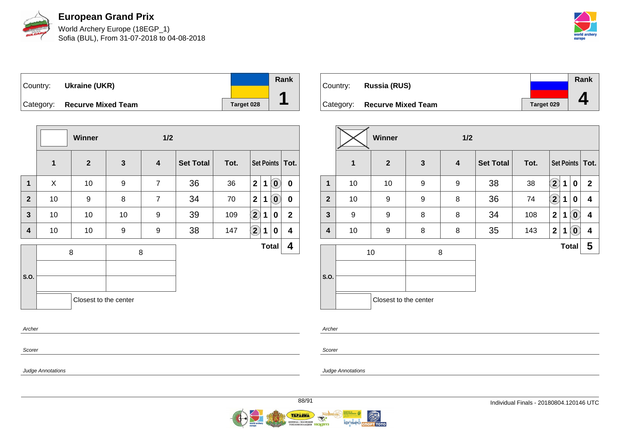

World Archery Europe (18EGP\_1) Sofia (BUL), From 31-07-2018 to 04-08-2018



| Country:  | Ukraine (UKR)             |            | Rank |
|-----------|---------------------------|------------|------|
| Category: | <b>Recurve Mixed Team</b> | Target 028 |      |

|                |             | Winner                |              | 1/2                     |                  |      |                   |             |                            |                   |
|----------------|-------------|-----------------------|--------------|-------------------------|------------------|------|-------------------|-------------|----------------------------|-------------------|
|                | $\mathbf 1$ | $\overline{2}$        | $\mathbf{3}$ | $\overline{\mathbf{4}}$ | <b>Set Total</b> | Tot. |                   |             |                            | Set Points   Tot. |
| $\mathbf 1$    | X           | 10                    | 9            | $\overline{7}$          | 36               | 36   | $\overline{2}$    | 1           | $\left( \mathbf{0}\right)$ | $\mathbf 0$       |
| $\mathbf{2}$   | 10          | 9                     | 8            | $\overline{7}$          | 34               | 70   | 2 <sup>1</sup>    | $\mathbf 1$ | $\left( \mathbf{0}\right)$ | $\mathbf 0$       |
| $\overline{3}$ | 10          | 10                    | 10           | 9                       | 39               | 109  | $\left( 2\right)$ | $\mathbf 1$ | 0                          | $\mathbf{2}$      |
| 4              | 10          | 10                    | 9            | 9                       | 38               | 147  | $\bigcirc$        | 1           | 0                          | 4                 |
|                |             | 8                     |              | 8                       |                  |      |                   |             | <b>Total</b>               | 4                 |
|                |             |                       |              |                         |                  |      |                   |             |                            |                   |
| S.O.           |             |                       |              |                         |                  |      |                   |             |                            |                   |
|                |             | Closest to the center |              |                         |                  |      |                   |             |                            |                   |
| Archer         |             |                       |              |                         |                  |      |                   |             |                            |                   |

| Country: | Russia (RUS)                 |            | <b>Rank</b> |
|----------|------------------------------|------------|-------------|
|          | Category: Recurve Mixed Team | Target 029 |             |

|                |              | <b>Winner</b>         |              | 1/2                     |                  |      |              |   |                            |                         |
|----------------|--------------|-----------------------|--------------|-------------------------|------------------|------|--------------|---|----------------------------|-------------------------|
|                | $\mathbf{1}$ | $\boldsymbol{2}$      | $\mathbf{3}$ | $\overline{\mathbf{4}}$ | <b>Set Total</b> | Tot. |              |   |                            | Set Points   Tot.       |
| 1              | 10           | 10                    | 9            | 9                       | 38               | 38   | $\mathbf{2}$ | 1 | $\mathbf 0$                | $\mathbf{2}$            |
| $\overline{2}$ | 10           | 9                     | 9            | 8                       | 36               | 74   | $\bf(2)$     | 1 | 0                          | 4                       |
| $\mathbf{3}$   | 9            | 9                     | 8            | 8                       | 34               | 108  | $\mathbf{2}$ | 1 | $\left( \mathbf{0}\right)$ | $\overline{\mathbf{4}}$ |
| 4              | 10           | 9                     | 8            | 8                       | 35               | 143  | $\mathbf 2$  | 1 | $\left[ \mathbf{0}\right]$ | $\overline{\mathbf{4}}$ |
|                |              | 10                    | 8            |                         |                  |      |              |   | <b>Total</b>               | 5                       |
|                |              |                       |              |                         |                  |      |              |   |                            |                         |
| S.O.           |              |                       |              |                         |                  |      |              |   |                            |                         |
|                |              | Closest to the center |              |                         |                  |      |              |   |                            |                         |

Scorer

Scorer

Archer

Judge Annotations

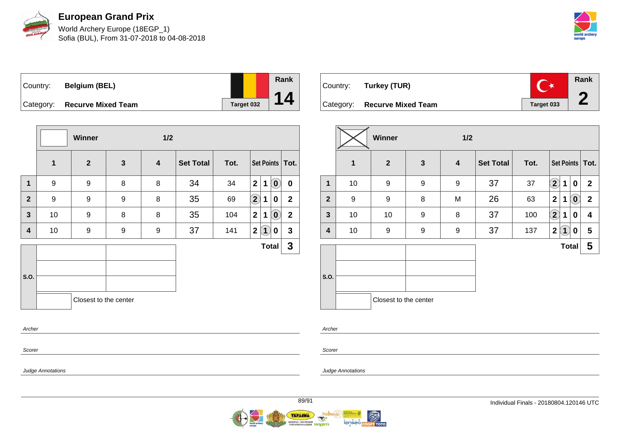

World Archery Europe (18EGP\_1) Sofia (BUL), From 31-07-2018 to 04-08-2018



Country: **Belgium (BEL)** Category: **Recurve Mixed Team Target 032** 



|                |                  | Winner                |              | $1/2$                   |                  |      |                   |              |                            |                   |
|----------------|------------------|-----------------------|--------------|-------------------------|------------------|------|-------------------|--------------|----------------------------|-------------------|
|                | $\mathbf{1}$     | $\mathbf{2}$          | $\mathbf{3}$ | $\overline{\mathbf{4}}$ | <b>Set Total</b> | Tot. |                   |              |                            | Set Points   Tot. |
| $\mathbf 1$    | $\boldsymbol{9}$ | 9                     | 8            | 8                       | 34               | 34   | $\mathbf{2}$      | $\mathbf 1$  | $\left( \mathbf{0}\right)$ | $\mathbf 0$       |
| $\overline{2}$ | $\boldsymbol{9}$ | 9                     | 9            | 8                       | 35               | 69   | $\left( 2\right)$ | $\mathbf 1$  | 0                          | $\mathbf{2}$      |
| $\mathbf{3}$   | 10               | 9                     | 8            | 8                       | 35               | 104  | $\boldsymbol{2}$  | 1            | $\left( 0 \right)$         | $\mathbf 2$       |
| 4              | 10               | 9                     | 9            | 9                       | 37               | 141  | $\mathbf{2}$      | $\mathbf{1}$ | 0                          | $\mathbf{3}$      |
|                |                  |                       |              |                         |                  |      |                   |              | <b>Total</b>               | $\mathbf{3}$      |
|                |                  |                       |              |                         |                  |      |                   |              |                            |                   |
| S.O.           |                  |                       |              |                         |                  |      |                   |              |                            |                   |
|                |                  | Closest to the center |              |                         |                  |      |                   |              |                            |                   |
|                |                  |                       |              |                         |                  |      |                   |              |                            |                   |
| Archer         |                  |                       |              |                         |                  |      |                   |              |                            |                   |

| Country: Turkey (TUR)        |            | Rank |
|------------------------------|------------|------|
| Category: Recurve Mixed Team | Target 033 |      |

|                |    | Winner                |              | 1/2                     |                  |      |                                   |                                                |
|----------------|----|-----------------------|--------------|-------------------------|------------------|------|-----------------------------------|------------------------------------------------|
|                | 1  | $\boldsymbol{2}$      | $\mathbf{3}$ | $\overline{\mathbf{4}}$ | <b>Set Total</b> | Tot. |                                   | Set Points   Tot.                              |
| 1              | 10 | 9                     | 9            | 9                       | 37               | 37   | $\bf(2)$<br>1                     | $\mathbf{2}$<br>0                              |
| $\overline{2}$ | 9  | 9                     | 8            | M                       | 26               | 63   | $\mathbf{2}$<br>1                 | $\left( \mathbf{0}\right)$<br>$\boldsymbol{2}$ |
| 3              | 10 | 10                    | 9            | 8                       | 37               | 100  | $\bf(2)$<br>1                     | 0<br>4                                         |
| 4              | 10 | 9                     | 9            | 9                       | 37               | 137  | $\mathbf{2}$<br>$\left( 1\right)$ | 5<br>0                                         |
|                |    |                       |              |                         |                  |      | <b>Total</b>                      | 5                                              |
| S.O.           |    | Closest to the center |              |                         |                  |      |                                   |                                                |
|                |    |                       |              |                         |                  |      |                                   |                                                |

Scorer

Scorer

Archer

Judge Annotations

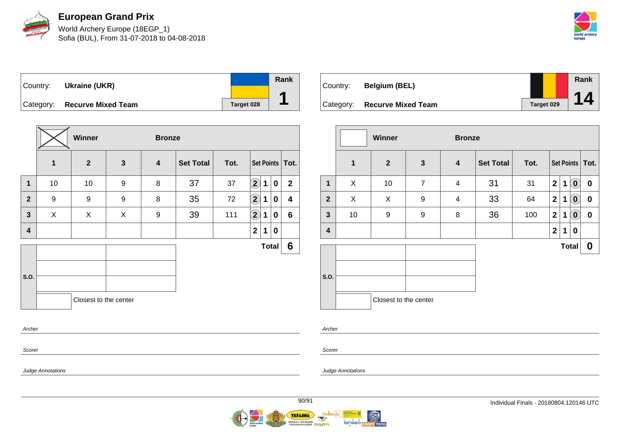

World Archery Europe (18EGP\_1) Sofia (BUL), From 31-07-2018 to 04-08-2018



| Country: | Ukraine (UKR)                |            | Rank |
|----------|------------------------------|------------|------|
|          | Category: Recurve Mixed Team | Target 028 |      |

|              |             | Winner                |              | <b>Bronze</b>           |                  |      |                    |             |              |                   |
|--------------|-------------|-----------------------|--------------|-------------------------|------------------|------|--------------------|-------------|--------------|-------------------|
|              | $\mathbf 1$ | $\overline{2}$        | $\mathbf{3}$ | $\overline{\mathbf{4}}$ | <b>Set Total</b> | Tot. |                    |             |              | Set Points   Tot. |
| $\mathbf 1$  | 10          | 10                    | 9            | 8                       | 37               | 37   | $\mathbf{2}$       | $\mathbf 1$ | 0            | $\mathbf{2}$      |
| $\mathbf{2}$ | 9           | $\boldsymbol{9}$      | 9            | 8                       | 35               | 72   | $\bf \overline{2}$ | 1           | 0            | 4                 |
| $\mathbf{3}$ | X           | X                     | X            | 9                       | 39               | 111  | $\Large 2$         | $\mathbf 1$ | 0            | $6\phantom{a}$    |
| 4            |             |                       |              |                         |                  |      | $\mathbf{2}$       | 1           | 0            |                   |
|              |             |                       |              |                         |                  |      |                    |             | <b>Total</b> | 6                 |
|              |             |                       |              |                         |                  |      |                    |             |              |                   |
| S.O.         |             |                       |              |                         |                  |      |                    |             |              |                   |
|              |             | Closest to the center |              |                         |                  |      |                    |             |              |                   |
| Archer       |             |                       |              |                         |                  |      |                    |             |              |                   |

| Country:  | <b>Belgium (BEL)</b>      |                   | Rank |
|-----------|---------------------------|-------------------|------|
| Category: | <b>Recurve Mixed Team</b> | <b>Target 029</b> | 14   |

|                |              | <b>Winner</b>         | <b>Bronze</b>  |                  |                  |      |                |              |                |                   |
|----------------|--------------|-----------------------|----------------|------------------|------------------|------|----------------|--------------|----------------|-------------------|
|                | $\mathbf{1}$ | $\overline{2}$        | $\mathbf{3}$   | $\boldsymbol{4}$ | <b>Set Total</b> | Tot. |                |              |                | Set Points   Tot. |
| $\mathbf{1}$   | X            | 10                    | $\overline{7}$ | $\overline{4}$   | 31               | 31   | $\overline{2}$ | 1            | $\mathbf{O}$   | $\bf{0}$          |
| $\overline{2}$ | X            | X                     | 9              | 4                | 33               | 64   | $\overline{2}$ | 1            | $\overline{0}$ | $\boldsymbol{0}$  |
| $\mathbf{3}$   | 10           | 9                     | 9              | 8                | 36               | 100  | $\overline{2}$ | $\mathbf 1$  | $(\mathbf{0})$ | $\boldsymbol{0}$  |
| 4              |              |                       |                |                  |                  |      | $\mathbf{2}$   | $\mathbf 1$  | 0              |                   |
|                |              |                       |                |                  |                  |      |                | <b>Total</b> |                | 0                 |
| S.O.           |              |                       |                |                  |                  |      |                |              |                |                   |
|                |              | Closest to the center |                |                  |                  |      |                |              |                |                   |

Archer

Scorer

Judge Annotations

Judge Annotations